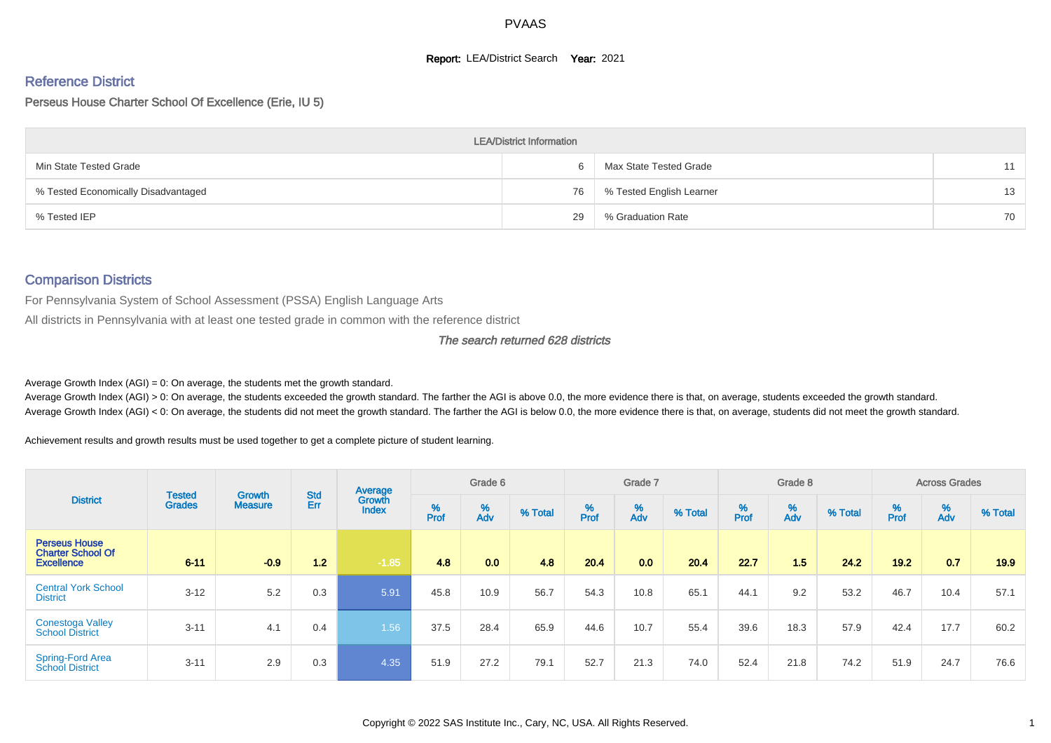#### **Report: LEA/District Search Year: 2021**

# Reference District

Perseus House Charter School Of Excellence (Erie, IU 5)

|                                     | <b>LEA/District Information</b> |                          |    |
|-------------------------------------|---------------------------------|--------------------------|----|
| Min State Tested Grade              |                                 | Max State Tested Grade   | 11 |
| % Tested Economically Disadvantaged | 76                              | % Tested English Learner | 13 |
| % Tested IEP                        | 29                              | % Graduation Rate        | 70 |

# Comparison Districts

For Pennsylvania System of School Assessment (PSSA) English Language Arts

All districts in Pennsylvania with at least one tested grade in common with the reference district

#### The search returned 628 districts

Average Growth Index  $(AGI) = 0$ : On average, the students met the growth standard.

Average Growth Index (AGI) > 0: On average, the students exceeded the growth standard. The farther the AGI is above 0.0, the more evidence there is that, on average, students exceeded the growth standard. Average Growth Index (AGI) < 0: On average, the students did not meet the growth standard. The farther the AGI is below 0.0, the more evidence there is that, on average, students did not meet the growth standard.

Achievement results and growth results must be used together to get a complete picture of student learning.

| <b>District</b>                                                       |                                |                                 |                   | Average                |           | Grade 6  |         |          | Grade 7  |         |           | Grade 8  |         |           | <b>Across Grades</b> |         |
|-----------------------------------------------------------------------|--------------------------------|---------------------------------|-------------------|------------------------|-----------|----------|---------|----------|----------|---------|-----------|----------|---------|-----------|----------------------|---------|
|                                                                       | <b>Tested</b><br><b>Grades</b> | <b>Growth</b><br><b>Measure</b> | <b>Std</b><br>Err | Growth<br><b>Index</b> | %<br>Prof | %<br>Adv | % Total | $%$ Prof | %<br>Adv | % Total | %<br>Prof | %<br>Adv | % Total | %<br>Prof | %<br>Adv             | % Total |
| <b>Perseus House</b><br><b>Charter School Of</b><br><b>Excellence</b> | $6 - 11$                       | $-0.9$                          | $1.2$             | $-1.85$                | 4.8       | 0.0      | 4.8     | 20.4     | 0.0      | 20.4    | 22.7      | 1.5      | 24.2    | 19.2      | 0.7                  | 19.9    |
| <b>Central York School</b><br><b>District</b>                         | $3 - 12$                       | 5.2                             | 0.3               | 5.91                   | 45.8      | 10.9     | 56.7    | 54.3     | 10.8     | 65.1    | 44.1      | 9.2      | 53.2    | 46.7      | 10.4                 | 57.1    |
| <b>Conestoga Valley</b><br><b>School District</b>                     | $3 - 11$                       | 4.1                             | 0.4               | 1.56                   | 37.5      | 28.4     | 65.9    | 44.6     | 10.7     | 55.4    | 39.6      | 18.3     | 57.9    | 42.4      | 17.7                 | 60.2    |
| <b>Spring-Ford Area</b><br><b>School District</b>                     | $3 - 11$                       | 2.9                             | 0.3               | 4.35                   | 51.9      | 27.2     | 79.1    | 52.7     | 21.3     | 74.0    | 52.4      | 21.8     | 74.2    | 51.9      | 24.7                 | 76.6    |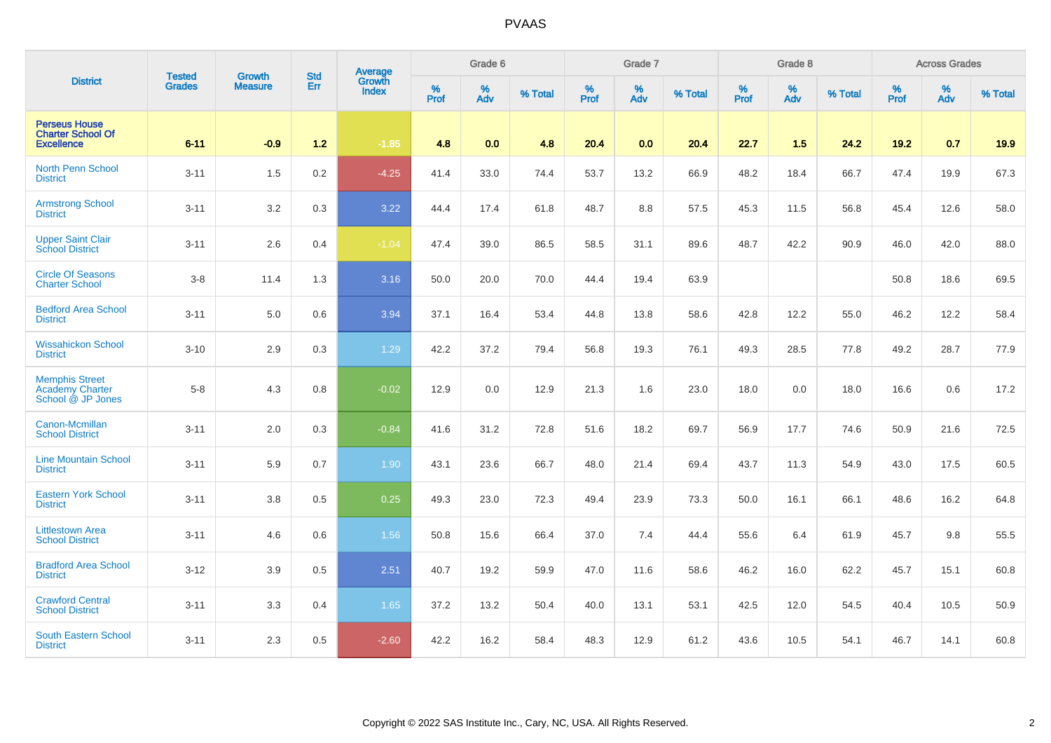|                                                                       |                                | <b>Growth</b>  | <b>Std</b> |                                          |              | Grade 6  |         |                  | Grade 7  |         |           | Grade 8  |         |           | <b>Across Grades</b> |         |
|-----------------------------------------------------------------------|--------------------------------|----------------|------------|------------------------------------------|--------------|----------|---------|------------------|----------|---------|-----------|----------|---------|-----------|----------------------|---------|
| <b>District</b>                                                       | <b>Tested</b><br><b>Grades</b> | <b>Measure</b> | Err        | <b>Average</b><br>Growth<br><b>Index</b> | $\%$<br>Prof | %<br>Adv | % Total | %<br><b>Prof</b> | %<br>Adv | % Total | %<br>Prof | %<br>Adv | % Total | %<br>Prof | %<br>Adv             | % Total |
| <b>Perseus House</b><br><b>Charter School Of</b><br><b>Excellence</b> | $6 - 11$                       | $-0.9$         | $1.2$      | $-1.85$                                  | 4.8          | 0.0      | 4.8     | 20.4             | 0.0      | 20.4    | 22.7      | 1.5      | 24.2    | $19.2$    | 0.7                  | 19.9    |
| <b>North Penn School</b><br><b>District</b>                           | $3 - 11$                       | 1.5            | 0.2        | $-4.25$                                  | 41.4         | 33.0     | 74.4    | 53.7             | 13.2     | 66.9    | 48.2      | 18.4     | 66.7    | 47.4      | 19.9                 | 67.3    |
| <b>Armstrong School</b><br><b>District</b>                            | $3 - 11$                       | 3.2            | 0.3        | 3.22                                     | 44.4         | 17.4     | 61.8    | 48.7             | 8.8      | 57.5    | 45.3      | 11.5     | 56.8    | 45.4      | 12.6                 | 58.0    |
| Upper Saint Clair<br>School District                                  | $3 - 11$                       | 2.6            | 0.4        | $-1.04$                                  | 47.4         | 39.0     | 86.5    | 58.5             | 31.1     | 89.6    | 48.7      | 42.2     | 90.9    | 46.0      | 42.0                 | 88.0    |
| <b>Circle Of Seasons</b><br><b>Charter School</b>                     | $3-8$                          | 11.4           | 1.3        | 3.16                                     | 50.0         | 20.0     | 70.0    | 44.4             | 19.4     | 63.9    |           |          |         | 50.8      | 18.6                 | 69.5    |
| <b>Bedford Area School</b><br><b>District</b>                         | $3 - 11$                       | 5.0            | 0.6        | 3.94                                     | 37.1         | 16.4     | 53.4    | 44.8             | 13.8     | 58.6    | 42.8      | 12.2     | 55.0    | 46.2      | 12.2                 | 58.4    |
| <b>Wissahickon School</b><br><b>District</b>                          | $3 - 10$                       | 2.9            | 0.3        | 1.29                                     | 42.2         | 37.2     | 79.4    | 56.8             | 19.3     | 76.1    | 49.3      | 28.5     | 77.8    | 49.2      | 28.7                 | 77.9    |
| <b>Memphis Street</b><br><b>Academy Charter</b><br>School @ JP Jones  | $5-8$                          | 4.3            | 0.8        | $-0.02$                                  | 12.9         | 0.0      | 12.9    | 21.3             | 1.6      | 23.0    | 18.0      | 0.0      | 18.0    | 16.6      | 0.6                  | 17.2    |
| Canon-Mcmillan<br><b>School District</b>                              | $3 - 11$                       | $2.0\,$        | 0.3        | $-0.84$                                  | 41.6         | 31.2     | 72.8    | 51.6             | 18.2     | 69.7    | 56.9      | 17.7     | 74.6    | 50.9      | 21.6                 | 72.5    |
| <b>Line Mountain School</b><br><b>District</b>                        | $3 - 11$                       | 5.9            | 0.7        | 1.90                                     | 43.1         | 23.6     | 66.7    | 48.0             | 21.4     | 69.4    | 43.7      | 11.3     | 54.9    | 43.0      | 17.5                 | 60.5    |
| <b>Eastern York School</b><br><b>District</b>                         | $3 - 11$                       | 3.8            | 0.5        | 0.25                                     | 49.3         | 23.0     | 72.3    | 49.4             | 23.9     | 73.3    | 50.0      | 16.1     | 66.1    | 48.6      | 16.2                 | 64.8    |
| <b>Littlestown Area</b><br><b>School District</b>                     | $3 - 11$                       | 4.6            | 0.6        | 1.56                                     | 50.8         | 15.6     | 66.4    | 37.0             | 7.4      | 44.4    | 55.6      | 6.4      | 61.9    | 45.7      | 9.8                  | 55.5    |
| <b>Bradford Area School</b><br><b>District</b>                        | $3 - 12$                       | 3.9            | 0.5        | 2.51                                     | 40.7         | 19.2     | 59.9    | 47.0             | 11.6     | 58.6    | 46.2      | 16.0     | 62.2    | 45.7      | 15.1                 | 60.8    |
| <b>Crawford Central</b><br><b>School District</b>                     | $3 - 11$                       | 3.3            | 0.4        | 1.65                                     | 37.2         | 13.2     | 50.4    | 40.0             | 13.1     | 53.1    | 42.5      | 12.0     | 54.5    | 40.4      | 10.5                 | 50.9    |
| <b>South Eastern School</b><br><b>District</b>                        | $3 - 11$                       | 2.3            | 0.5        | $-2.60$                                  | 42.2         | 16.2     | 58.4    | 48.3             | 12.9     | 61.2    | 43.6      | 10.5     | 54.1    | 46.7      | 14.1                 | 60.8    |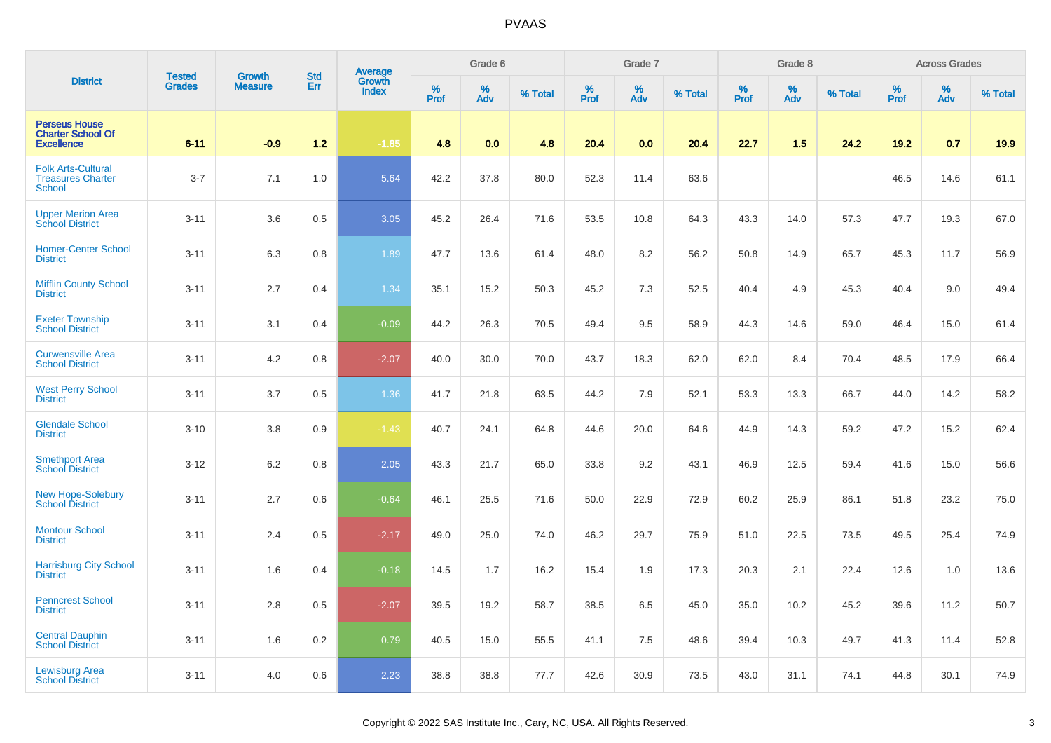| <b>District</b>                                                       |                                |                                 |                   | Average                |              | Grade 6     |         |           | Grade 7  |         |              | Grade 8  |         |           | <b>Across Grades</b> |         |
|-----------------------------------------------------------------------|--------------------------------|---------------------------------|-------------------|------------------------|--------------|-------------|---------|-----------|----------|---------|--------------|----------|---------|-----------|----------------------|---------|
|                                                                       | <b>Tested</b><br><b>Grades</b> | <b>Growth</b><br><b>Measure</b> | <b>Std</b><br>Err | Growth<br><b>Index</b> | $\%$<br>Prof | $\%$<br>Adv | % Total | %<br>Prof | %<br>Adv | % Total | $\%$<br>Prof | %<br>Adv | % Total | %<br>Prof | $\%$<br>Adv          | % Total |
| <b>Perseus House</b><br><b>Charter School Of</b><br><b>Excellence</b> | $6 - 11$                       | $-0.9$                          | $1.2$             | $-1.85$                | 4.8          | 0.0         | 4.8     | 20.4      | 0.0      | 20.4    | 22.7         | 1.5      | 24.2    | 19.2      | 0.7                  | 19.9    |
| <b>Folk Arts-Cultural</b><br><b>Treasures Charter</b><br>School       | $3 - 7$                        | 7.1                             | 1.0               | 5.64                   | 42.2         | 37.8        | 80.0    | 52.3      | 11.4     | 63.6    |              |          |         | 46.5      | 14.6                 | 61.1    |
| <b>Upper Merion Area</b><br><b>School District</b>                    | $3 - 11$                       | 3.6                             | 0.5               | 3.05                   | 45.2         | 26.4        | 71.6    | 53.5      | 10.8     | 64.3    | 43.3         | 14.0     | 57.3    | 47.7      | 19.3                 | 67.0    |
| <b>Homer-Center School</b><br><b>District</b>                         | $3 - 11$                       | 6.3                             | 0.8               | 1.89                   | 47.7         | 13.6        | 61.4    | 48.0      | 8.2      | 56.2    | 50.8         | 14.9     | 65.7    | 45.3      | 11.7                 | 56.9    |
| <b>Mifflin County School</b><br><b>District</b>                       | $3 - 11$                       | 2.7                             | 0.4               | 1.34                   | 35.1         | 15.2        | 50.3    | 45.2      | $7.3$    | 52.5    | 40.4         | 4.9      | 45.3    | 40.4      | 9.0                  | 49.4    |
| <b>Exeter Township</b><br><b>School District</b>                      | $3 - 11$                       | 3.1                             | 0.4               | $-0.09$                | 44.2         | 26.3        | 70.5    | 49.4      | 9.5      | 58.9    | 44.3         | 14.6     | 59.0    | 46.4      | 15.0                 | 61.4    |
| <b>Curwensville Area</b><br><b>School District</b>                    | $3 - 11$                       | 4.2                             | 0.8               | $-2.07$                | 40.0         | 30.0        | 70.0    | 43.7      | 18.3     | 62.0    | 62.0         | 8.4      | 70.4    | 48.5      | 17.9                 | 66.4    |
| <b>West Perry School</b><br><b>District</b>                           | $3 - 11$                       | 3.7                             | 0.5               | 1.36                   | 41.7         | 21.8        | 63.5    | 44.2      | 7.9      | 52.1    | 53.3         | 13.3     | 66.7    | 44.0      | 14.2                 | 58.2    |
| <b>Glendale School</b><br><b>District</b>                             | $3 - 10$                       | 3.8                             | 0.9               | $-1.43$                | 40.7         | 24.1        | 64.8    | 44.6      | 20.0     | 64.6    | 44.9         | 14.3     | 59.2    | 47.2      | 15.2                 | 62.4    |
| <b>Smethport Area</b><br><b>School District</b>                       | $3 - 12$                       | 6.2                             | 0.8               | 2.05                   | 43.3         | 21.7        | 65.0    | 33.8      | 9.2      | 43.1    | 46.9         | 12.5     | 59.4    | 41.6      | 15.0                 | 56.6    |
| <b>New Hope-Solebury</b><br><b>School District</b>                    | $3 - 11$                       | 2.7                             | 0.6               | $-0.64$                | 46.1         | 25.5        | 71.6    | 50.0      | 22.9     | 72.9    | 60.2         | 25.9     | 86.1    | 51.8      | 23.2                 | 75.0    |
| <b>Montour School</b><br><b>District</b>                              | $3 - 11$                       | 2.4                             | 0.5               | $-2.17$                | 49.0         | 25.0        | 74.0    | 46.2      | 29.7     | 75.9    | 51.0         | 22.5     | 73.5    | 49.5      | 25.4                 | 74.9    |
| <b>Harrisburg City School</b><br><b>District</b>                      | $3 - 11$                       | 1.6                             | 0.4               | $-0.18$                | 14.5         | 1.7         | 16.2    | 15.4      | 1.9      | 17.3    | 20.3         | 2.1      | 22.4    | 12.6      | 1.0                  | 13.6    |
| <b>Penncrest School</b><br><b>District</b>                            | $3 - 11$                       | 2.8                             | 0.5               | $-2.07$                | 39.5         | 19.2        | 58.7    | 38.5      | 6.5      | 45.0    | 35.0         | 10.2     | 45.2    | 39.6      | 11.2                 | 50.7    |
| <b>Central Dauphin</b><br><b>School District</b>                      | $3 - 11$                       | 1.6                             | 0.2               | 0.79                   | 40.5         | 15.0        | 55.5    | 41.1      | 7.5      | 48.6    | 39.4         | 10.3     | 49.7    | 41.3      | 11.4                 | 52.8    |
| <b>Lewisburg Area</b><br><b>School District</b>                       | $3 - 11$                       | 4.0                             | 0.6               | 2.23                   | 38.8         | 38.8        | 77.7    | 42.6      | 30.9     | 73.5    | 43.0         | 31.1     | 74.1    | 44.8      | 30.1                 | 74.9    |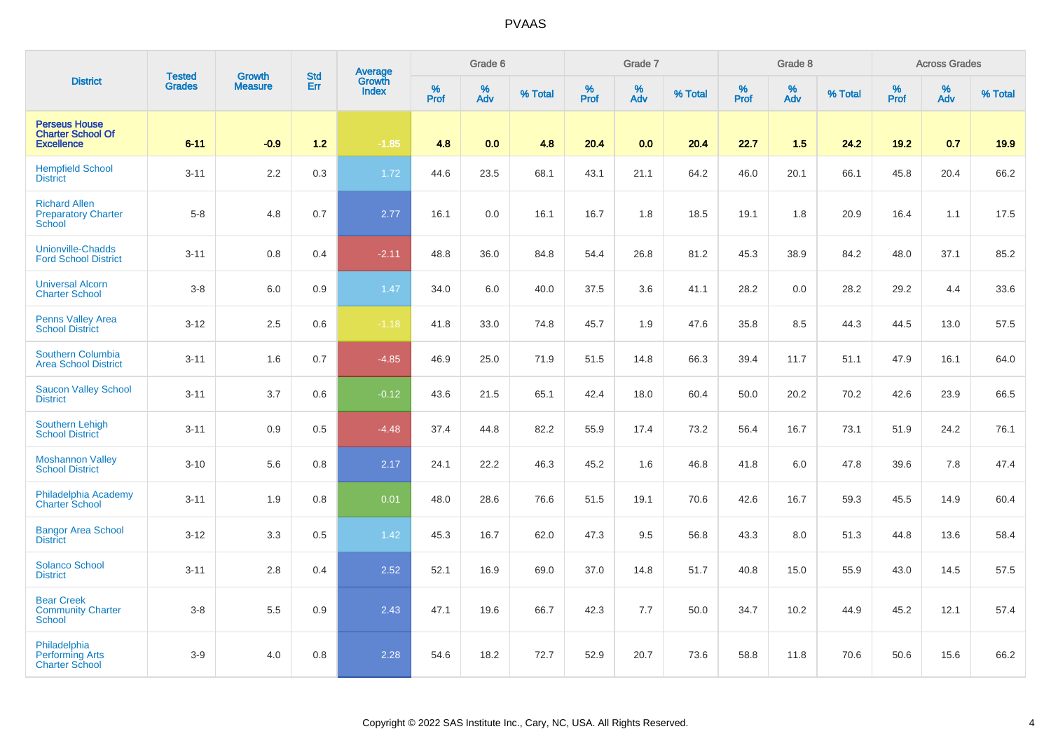| <b>District</b>                                                       | <b>Tested</b> | <b>Growth</b>  | <b>Std</b> | <b>Average</b><br>Growth |                     | Grade 6     |         |                     | Grade 7  |         |                  | Grade 8  |         |              | <b>Across Grades</b> |         |
|-----------------------------------------------------------------------|---------------|----------------|------------|--------------------------|---------------------|-------------|---------|---------------------|----------|---------|------------------|----------|---------|--------------|----------------------|---------|
|                                                                       | <b>Grades</b> | <b>Measure</b> | Err        | <b>Index</b>             | $\%$<br><b>Prof</b> | $\%$<br>Adv | % Total | $\%$<br><b>Prof</b> | %<br>Adv | % Total | %<br><b>Prof</b> | %<br>Adv | % Total | $\%$<br>Prof | %<br>Adv             | % Total |
| <b>Perseus House</b><br><b>Charter School Of</b><br><b>Excellence</b> | $6 - 11$      | $-0.9$         | $1.2$      | $-1.85$                  | 4.8                 | 0.0         | 4.8     | 20.4                | 0.0      | 20.4    | 22.7             | 1.5      | 24.2    | $19.2$       | 0.7                  | 19.9    |
| <b>Hempfield School</b><br><b>District</b>                            | $3 - 11$      | 2.2            | 0.3        | 1.72                     | 44.6                | 23.5        | 68.1    | 43.1                | 21.1     | 64.2    | 46.0             | 20.1     | 66.1    | 45.8         | 20.4                 | 66.2    |
| <b>Richard Allen</b><br><b>Preparatory Charter</b><br>School          | $5 - 8$       | 4.8            | 0.7        | 2.77                     | 16.1                | 0.0         | 16.1    | 16.7                | 1.8      | 18.5    | 19.1             | 1.8      | 20.9    | 16.4         | 1.1                  | 17.5    |
| <b>Unionville-Chadds</b><br><b>Ford School District</b>               | $3 - 11$      | 0.8            | 0.4        | $-2.11$                  | 48.8                | 36.0        | 84.8    | 54.4                | 26.8     | 81.2    | 45.3             | 38.9     | 84.2    | 48.0         | 37.1                 | 85.2    |
| <b>Universal Alcorn</b><br><b>Charter School</b>                      | $3 - 8$       | 6.0            | 0.9        | 1.47                     | 34.0                | 6.0         | 40.0    | 37.5                | 3.6      | 41.1    | 28.2             | 0.0      | 28.2    | 29.2         | 4.4                  | 33.6    |
| <b>Penns Valley Area</b><br><b>School District</b>                    | $3 - 12$      | 2.5            | 0.6        | $-1.18$                  | 41.8                | 33.0        | 74.8    | 45.7                | 1.9      | 47.6    | 35.8             | 8.5      | 44.3    | 44.5         | 13.0                 | 57.5    |
| Southern Columbia<br><b>Area School District</b>                      | $3 - 11$      | 1.6            | 0.7        | $-4.85$                  | 46.9                | 25.0        | 71.9    | 51.5                | 14.8     | 66.3    | 39.4             | 11.7     | 51.1    | 47.9         | 16.1                 | 64.0    |
| <b>Saucon Valley School</b><br><b>District</b>                        | $3 - 11$      | 3.7            | 0.6        | $-0.12$                  | 43.6                | 21.5        | 65.1    | 42.4                | 18.0     | 60.4    | 50.0             | 20.2     | 70.2    | 42.6         | 23.9                 | 66.5    |
| <b>Southern Lehigh</b><br><b>School District</b>                      | $3 - 11$      | 0.9            | 0.5        | $-4.48$                  | 37.4                | 44.8        | 82.2    | 55.9                | 17.4     | 73.2    | 56.4             | 16.7     | 73.1    | 51.9         | 24.2                 | 76.1    |
| <b>Moshannon Valley</b><br><b>School District</b>                     | $3 - 10$      | 5.6            | 0.8        | 2.17                     | 24.1                | 22.2        | 46.3    | 45.2                | 1.6      | 46.8    | 41.8             | 6.0      | 47.8    | 39.6         | 7.8                  | 47.4    |
| Philadelphia Academy<br><b>Charter School</b>                         | $3 - 11$      | 1.9            | 0.8        | 0.01                     | 48.0                | 28.6        | 76.6    | 51.5                | 19.1     | 70.6    | 42.6             | 16.7     | 59.3    | 45.5         | 14.9                 | 60.4    |
| <b>Bangor Area School</b><br><b>District</b>                          | $3 - 12$      | 3.3            | 0.5        | 1.42                     | 45.3                | 16.7        | 62.0    | 47.3                | 9.5      | 56.8    | 43.3             | 8.0      | 51.3    | 44.8         | 13.6                 | 58.4    |
| Solanco School<br><b>District</b>                                     | $3 - 11$      | 2.8            | 0.4        | 2.52                     | 52.1                | 16.9        | 69.0    | 37.0                | 14.8     | 51.7    | 40.8             | 15.0     | 55.9    | 43.0         | 14.5                 | 57.5    |
| <b>Bear Creek</b><br><b>Community Charter</b><br><b>School</b>        | $3 - 8$       | 5.5            | 0.9        | 2.43                     | 47.1                | 19.6        | 66.7    | 42.3                | 7.7      | 50.0    | 34.7             | 10.2     | 44.9    | 45.2         | 12.1                 | 57.4    |
| Philadelphia<br><b>Performing Arts</b><br><b>Charter School</b>       | $3-9$         | 4.0            | 0.8        | 2.28                     | 54.6                | 18.2        | 72.7    | 52.9                | 20.7     | 73.6    | 58.8             | 11.8     | 70.6    | 50.6         | 15.6                 | 66.2    |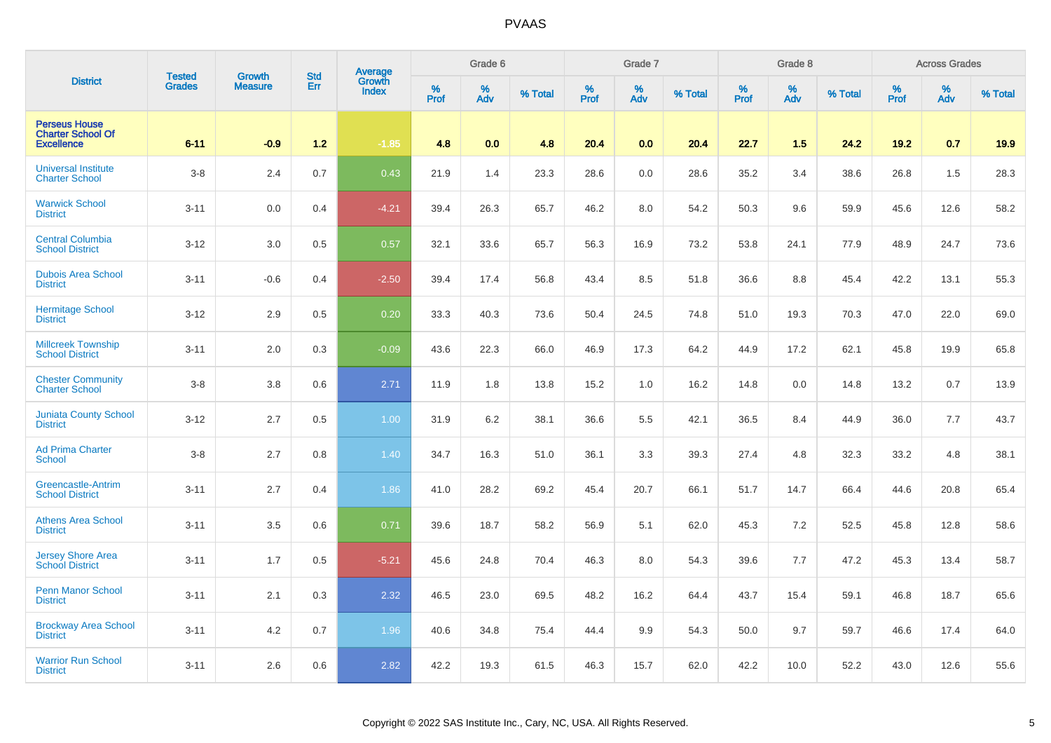|                                                                       | <b>Tested</b> | <b>Growth</b>  | <b>Std</b> |                                          |           | Grade 6  |         |           | Grade 7  |         |           | Grade 8  |         |           | <b>Across Grades</b> |         |
|-----------------------------------------------------------------------|---------------|----------------|------------|------------------------------------------|-----------|----------|---------|-----------|----------|---------|-----------|----------|---------|-----------|----------------------|---------|
| <b>District</b>                                                       | <b>Grades</b> | <b>Measure</b> | Err        | <b>Average</b><br>Growth<br><b>Index</b> | %<br>Prof | %<br>Adv | % Total | %<br>Prof | %<br>Adv | % Total | %<br>Prof | %<br>Adv | % Total | %<br>Prof | %<br>Adv             | % Total |
| <b>Perseus House</b><br><b>Charter School Of</b><br><b>Excellence</b> | $6 - 11$      | $-0.9$         | $1.2$      | $-1.85$                                  | 4.8       | 0.0      | 4.8     | 20.4      | 0.0      | 20.4    | 22.7      | 1.5      | 24.2    | 19.2      | 0.7                  | 19.9    |
| <b>Universal Institute</b><br><b>Charter School</b>                   | $3 - 8$       | 2.4            | 0.7        | 0.43                                     | 21.9      | 1.4      | 23.3    | 28.6      | $0.0\,$  | 28.6    | 35.2      | 3.4      | 38.6    | 26.8      | 1.5                  | 28.3    |
| <b>Warwick School</b><br><b>District</b>                              | $3 - 11$      | 0.0            | 0.4        | $-4.21$                                  | 39.4      | 26.3     | 65.7    | 46.2      | $8.0\,$  | 54.2    | 50.3      | 9.6      | 59.9    | 45.6      | 12.6                 | 58.2    |
| <b>Central Columbia</b><br><b>School District</b>                     | $3 - 12$      | 3.0            | 0.5        | 0.57                                     | 32.1      | 33.6     | 65.7    | 56.3      | 16.9     | 73.2    | 53.8      | 24.1     | 77.9    | 48.9      | 24.7                 | 73.6    |
| <b>Dubois Area School</b><br><b>District</b>                          | $3 - 11$      | $-0.6$         | 0.4        | $-2.50$                                  | 39.4      | 17.4     | 56.8    | 43.4      | 8.5      | 51.8    | 36.6      | 8.8      | 45.4    | 42.2      | 13.1                 | 55.3    |
| <b>Hermitage School</b><br><b>District</b>                            | $3 - 12$      | 2.9            | 0.5        | 0.20                                     | 33.3      | 40.3     | 73.6    | 50.4      | 24.5     | 74.8    | 51.0      | 19.3     | 70.3    | 47.0      | 22.0                 | 69.0    |
| <b>Millcreek Township</b><br><b>School District</b>                   | $3 - 11$      | 2.0            | 0.3        | $-0.09$                                  | 43.6      | 22.3     | 66.0    | 46.9      | 17.3     | 64.2    | 44.9      | 17.2     | 62.1    | 45.8      | 19.9                 | 65.8    |
| <b>Chester Community</b><br><b>Charter School</b>                     | $3 - 8$       | 3.8            | 0.6        | 2.71                                     | 11.9      | 1.8      | 13.8    | 15.2      | 1.0      | 16.2    | 14.8      | 0.0      | 14.8    | 13.2      | 0.7                  | 13.9    |
| <b>Juniata County School</b><br><b>District</b>                       | $3 - 12$      | 2.7            | 0.5        | 1.00                                     | 31.9      | 6.2      | 38.1    | 36.6      | 5.5      | 42.1    | 36.5      | 8.4      | 44.9    | 36.0      | 7.7                  | 43.7    |
| <b>Ad Prima Charter</b><br><b>School</b>                              | $3 - 8$       | 2.7            | 0.8        | 1.40                                     | 34.7      | 16.3     | 51.0    | 36.1      | 3.3      | 39.3    | 27.4      | 4.8      | 32.3    | 33.2      | 4.8                  | 38.1    |
| Greencastle-Antrim<br><b>School District</b>                          | $3 - 11$      | 2.7            | 0.4        | 1.86                                     | 41.0      | 28.2     | 69.2    | 45.4      | 20.7     | 66.1    | 51.7      | 14.7     | 66.4    | 44.6      | 20.8                 | 65.4    |
| <b>Athens Area School</b><br><b>District</b>                          | $3 - 11$      | 3.5            | 0.6        | 0.71                                     | 39.6      | 18.7     | 58.2    | 56.9      | 5.1      | 62.0    | 45.3      | 7.2      | 52.5    | 45.8      | 12.8                 | 58.6    |
| <b>Jersey Shore Area</b><br><b>School District</b>                    | $3 - 11$      | 1.7            | 0.5        | $-5.21$                                  | 45.6      | 24.8     | 70.4    | 46.3      | $8.0\,$  | 54.3    | 39.6      | 7.7      | 47.2    | 45.3      | 13.4                 | 58.7    |
| <b>Penn Manor School</b><br><b>District</b>                           | $3 - 11$      | 2.1            | 0.3        | 2.32                                     | 46.5      | 23.0     | 69.5    | 48.2      | 16.2     | 64.4    | 43.7      | 15.4     | 59.1    | 46.8      | 18.7                 | 65.6    |
| <b>Brockway Area School</b><br><b>District</b>                        | $3 - 11$      | 4.2            | 0.7        | 1.96                                     | 40.6      | 34.8     | 75.4    | 44.4      | 9.9      | 54.3    | 50.0      | 9.7      | 59.7    | 46.6      | 17.4                 | 64.0    |
| <b>Warrior Run School</b><br><b>District</b>                          | $3 - 11$      | 2.6            | 0.6        | 2.82                                     | 42.2      | 19.3     | 61.5    | 46.3      | 15.7     | 62.0    | 42.2      | 10.0     | 52.2    | 43.0      | 12.6                 | 55.6    |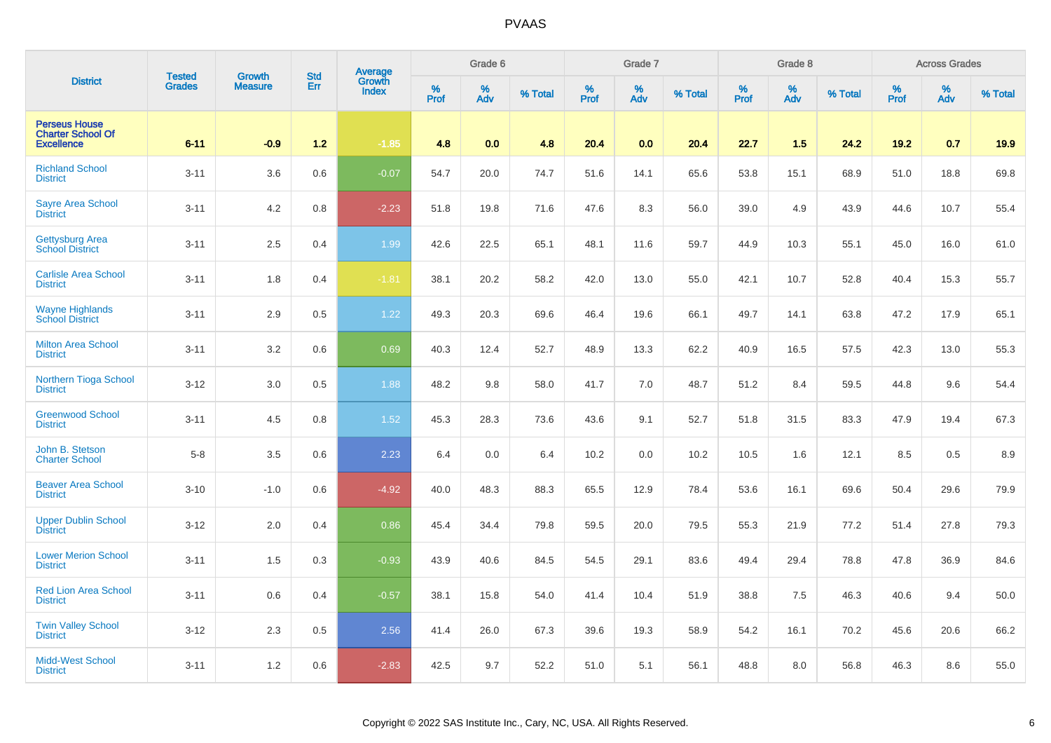|                                                                       | <b>Tested</b> | <b>Growth</b>  | <b>Std</b> |                                          |           | Grade 6  |         |           | Grade 7  |         |              | Grade 8  |         |           | <b>Across Grades</b> |         |
|-----------------------------------------------------------------------|---------------|----------------|------------|------------------------------------------|-----------|----------|---------|-----------|----------|---------|--------------|----------|---------|-----------|----------------------|---------|
| <b>District</b>                                                       | <b>Grades</b> | <b>Measure</b> | Err        | <b>Average</b><br>Growth<br><b>Index</b> | %<br>Prof | %<br>Adv | % Total | %<br>Prof | %<br>Adv | % Total | $\%$<br>Prof | %<br>Adv | % Total | %<br>Prof | %<br>Adv             | % Total |
| <b>Perseus House</b><br><b>Charter School Of</b><br><b>Excellence</b> | $6 - 11$      | $-0.9$         | $1.2$      | $-1.85$                                  | 4.8       | 0.0      | 4.8     | 20.4      | 0.0      | 20.4    | 22.7         | 1.5      | 24.2    | 19.2      | 0.7                  | 19.9    |
| <b>Richland School</b><br><b>District</b>                             | $3 - 11$      | 3.6            | 0.6        | $-0.07$                                  | 54.7      | 20.0     | 74.7    | 51.6      | 14.1     | 65.6    | 53.8         | 15.1     | 68.9    | 51.0      | 18.8                 | 69.8    |
| <b>Sayre Area School</b><br><b>District</b>                           | $3 - 11$      | 4.2            | 0.8        | $-2.23$                                  | 51.8      | 19.8     | 71.6    | 47.6      | $8.3\,$  | 56.0    | 39.0         | 4.9      | 43.9    | 44.6      | 10.7                 | 55.4    |
| <b>Gettysburg Area</b><br><b>School District</b>                      | $3 - 11$      | 2.5            | 0.4        | 1.99                                     | 42.6      | 22.5     | 65.1    | 48.1      | 11.6     | 59.7    | 44.9         | 10.3     | 55.1    | 45.0      | 16.0                 | 61.0    |
| <b>Carlisle Area School</b><br><b>District</b>                        | $3 - 11$      | 1.8            | 0.4        | $-1.81$                                  | 38.1      | 20.2     | 58.2    | 42.0      | 13.0     | 55.0    | 42.1         | 10.7     | 52.8    | 40.4      | 15.3                 | 55.7    |
| <b>Wayne Highlands</b><br><b>School District</b>                      | $3 - 11$      | 2.9            | 0.5        | 1.22                                     | 49.3      | 20.3     | 69.6    | 46.4      | 19.6     | 66.1    | 49.7         | 14.1     | 63.8    | 47.2      | 17.9                 | 65.1    |
| <b>Milton Area School</b><br><b>District</b>                          | $3 - 11$      | 3.2            | 0.6        | 0.69                                     | 40.3      | 12.4     | 52.7    | 48.9      | 13.3     | 62.2    | 40.9         | 16.5     | 57.5    | 42.3      | 13.0                 | 55.3    |
| Northern Tioga School<br><b>District</b>                              | $3 - 12$      | 3.0            | 0.5        | 1.88                                     | 48.2      | 9.8      | 58.0    | 41.7      | 7.0      | 48.7    | 51.2         | 8.4      | 59.5    | 44.8      | 9.6                  | 54.4    |
| <b>Greenwood School</b><br><b>District</b>                            | $3 - 11$      | 4.5            | 0.8        | 1.52                                     | 45.3      | 28.3     | 73.6    | 43.6      | 9.1      | 52.7    | 51.8         | 31.5     | 83.3    | 47.9      | 19.4                 | 67.3    |
| John B. Stetson<br><b>Charter School</b>                              | $5-8$         | 3.5            | 0.6        | 2.23                                     | 6.4       | 0.0      | 6.4     | 10.2      | 0.0      | 10.2    | 10.5         | 1.6      | 12.1    | 8.5       | 0.5                  | 8.9     |
| <b>Beaver Area School</b><br><b>District</b>                          | $3 - 10$      | $-1.0$         | 0.6        | $-4.92$                                  | 40.0      | 48.3     | 88.3    | 65.5      | 12.9     | 78.4    | 53.6         | 16.1     | 69.6    | 50.4      | 29.6                 | 79.9    |
| <b>Upper Dublin School</b><br><b>District</b>                         | $3 - 12$      | 2.0            | 0.4        | 0.86                                     | 45.4      | 34.4     | 79.8    | 59.5      | 20.0     | 79.5    | 55.3         | 21.9     | 77.2    | 51.4      | 27.8                 | 79.3    |
| <b>Lower Merion School</b><br><b>District</b>                         | $3 - 11$      | 1.5            | 0.3        | $-0.93$                                  | 43.9      | 40.6     | 84.5    | 54.5      | 29.1     | 83.6    | 49.4         | 29.4     | 78.8    | 47.8      | 36.9                 | 84.6    |
| <b>Red Lion Area School</b><br><b>District</b>                        | $3 - 11$      | 0.6            | 0.4        | $-0.57$                                  | 38.1      | 15.8     | 54.0    | 41.4      | 10.4     | 51.9    | 38.8         | 7.5      | 46.3    | 40.6      | 9.4                  | 50.0    |
| <b>Twin Valley School</b><br><b>District</b>                          | $3 - 12$      | 2.3            | 0.5        | 2.56                                     | 41.4      | 26.0     | 67.3    | 39.6      | 19.3     | 58.9    | 54.2         | 16.1     | 70.2    | 45.6      | 20.6                 | 66.2    |
| <b>Midd-West School</b><br><b>District</b>                            | $3 - 11$      | 1.2            | 0.6        | $-2.83$                                  | 42.5      | 9.7      | 52.2    | 51.0      | 5.1      | 56.1    | 48.8         | 8.0      | 56.8    | 46.3      | 8.6                  | 55.0    |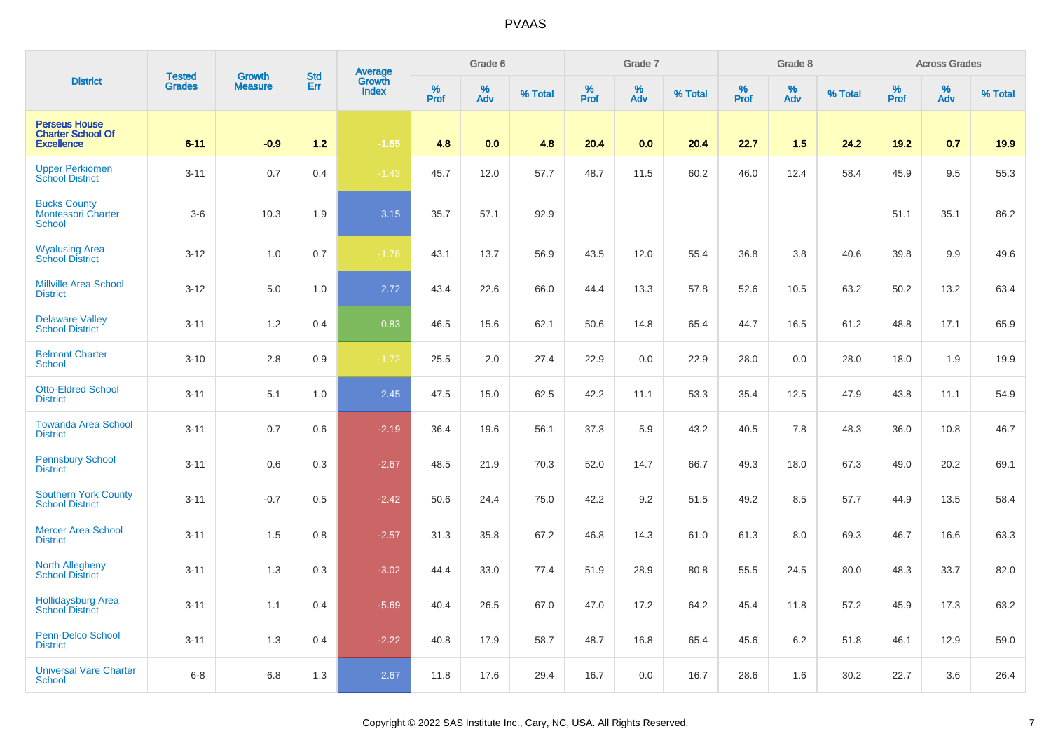| <b>District</b>                                                       |                                |                                 |                   |                                          |                     | Grade 6     |         |                     | Grade 7  |         |                     | Grade 8  |         |                  | <b>Across Grades</b> |         |
|-----------------------------------------------------------------------|--------------------------------|---------------------------------|-------------------|------------------------------------------|---------------------|-------------|---------|---------------------|----------|---------|---------------------|----------|---------|------------------|----------------------|---------|
|                                                                       | <b>Tested</b><br><b>Grades</b> | <b>Growth</b><br><b>Measure</b> | <b>Std</b><br>Err | <b>Average</b><br>Growth<br><b>Index</b> | $\%$<br><b>Prof</b> | $\%$<br>Adv | % Total | $\%$<br><b>Prof</b> | %<br>Adv | % Total | $\%$<br><b>Prof</b> | %<br>Adv | % Total | %<br><b>Prof</b> | $\%$<br>Adv          | % Total |
| <b>Perseus House</b><br><b>Charter School Of</b><br><b>Excellence</b> | $6 - 11$                       | $-0.9$                          | $1.2$             | $-1.85$                                  | 4.8                 | 0.0         | 4.8     | 20.4                | 0.0      | 20.4    | 22.7                | 1.5      | 24.2    | 19.2             | 0.7                  | 19.9    |
| <b>Upper Perkiomen</b><br><b>School District</b>                      | $3 - 11$                       | 0.7                             | 0.4               | $-1.43$                                  | 45.7                | 12.0        | 57.7    | 48.7                | 11.5     | 60.2    | 46.0                | 12.4     | 58.4    | 45.9             | 9.5                  | 55.3    |
| <b>Bucks County</b><br><b>Montessori Charter</b><br>School            | $3-6$                          | 10.3                            | 1.9               | 3.15                                     | 35.7                | 57.1        | 92.9    |                     |          |         |                     |          |         | 51.1             | 35.1                 | 86.2    |
| <b>Wyalusing Area</b><br><b>School District</b>                       | $3 - 12$                       | 1.0                             | 0.7               | $-1.78$                                  | 43.1                | 13.7        | 56.9    | 43.5                | 12.0     | 55.4    | 36.8                | 3.8      | 40.6    | 39.8             | 9.9                  | 49.6    |
| <b>Millville Area School</b><br><b>District</b>                       | $3 - 12$                       | 5.0                             | 1.0               | 2.72                                     | 43.4                | 22.6        | 66.0    | 44.4                | 13.3     | 57.8    | 52.6                | 10.5     | 63.2    | 50.2             | 13.2                 | 63.4    |
| <b>Delaware Valley</b><br><b>School District</b>                      | $3 - 11$                       | 1.2                             | 0.4               | 0.83                                     | 46.5                | 15.6        | 62.1    | 50.6                | 14.8     | 65.4    | 44.7                | 16.5     | 61.2    | 48.8             | 17.1                 | 65.9    |
| <b>Belmont Charter</b><br><b>School</b>                               | $3 - 10$                       | 2.8                             | 0.9               | $-1.72$                                  | 25.5                | 2.0         | 27.4    | 22.9                | 0.0      | 22.9    | 28.0                | 0.0      | 28.0    | 18.0             | 1.9                  | 19.9    |
| <b>Otto-Eldred School</b><br><b>District</b>                          | $3 - 11$                       | 5.1                             | 1.0               | 2.45                                     | 47.5                | 15.0        | 62.5    | 42.2                | 11.1     | 53.3    | 35.4                | 12.5     | 47.9    | 43.8             | 11.1                 | 54.9    |
| <b>Towanda Area School</b><br><b>District</b>                         | $3 - 11$                       | 0.7                             | 0.6               | $-2.19$                                  | 36.4                | 19.6        | 56.1    | 37.3                | 5.9      | 43.2    | 40.5                | 7.8      | 48.3    | 36.0             | 10.8                 | 46.7    |
| <b>Pennsbury School</b><br><b>District</b>                            | $3 - 11$                       | 0.6                             | 0.3               | $-2.67$                                  | 48.5                | 21.9        | 70.3    | 52.0                | 14.7     | 66.7    | 49.3                | 18.0     | 67.3    | 49.0             | 20.2                 | 69.1    |
| <b>Southern York County</b><br><b>School District</b>                 | $3 - 11$                       | $-0.7$                          | 0.5               | $-2.42$                                  | 50.6                | 24.4        | 75.0    | 42.2                | 9.2      | 51.5    | 49.2                | 8.5      | 57.7    | 44.9             | 13.5                 | 58.4    |
| <b>Mercer Area School</b><br><b>District</b>                          | $3 - 11$                       | 1.5                             | 0.8               | $-2.57$                                  | 31.3                | 35.8        | 67.2    | 46.8                | 14.3     | 61.0    | 61.3                | 8.0      | 69.3    | 46.7             | 16.6                 | 63.3    |
| <b>North Allegheny</b><br><b>School District</b>                      | $3 - 11$                       | 1.3                             | 0.3               | $-3.02$                                  | 44.4                | 33.0        | 77.4    | 51.9                | 28.9     | 80.8    | 55.5                | 24.5     | 80.0    | 48.3             | 33.7                 | 82.0    |
| <b>Hollidaysburg Area</b><br>School District                          | $3 - 11$                       | 1.1                             | 0.4               | $-5.69$                                  | 40.4                | 26.5        | 67.0    | 47.0                | 17.2     | 64.2    | 45.4                | 11.8     | 57.2    | 45.9             | 17.3                 | 63.2    |
| <b>Penn-Delco School</b><br><b>District</b>                           | $3 - 11$                       | 1.3                             | 0.4               | $-2.22$                                  | 40.8                | 17.9        | 58.7    | 48.7                | 16.8     | 65.4    | 45.6                | 6.2      | 51.8    | 46.1             | 12.9                 | 59.0    |
| <b>Universal Vare Charter</b><br><b>School</b>                        | $6 - 8$                        | 6.8                             | 1.3               | 2.67                                     | 11.8                | 17.6        | 29.4    | 16.7                | 0.0      | 16.7    | 28.6                | 1.6      | 30.2    | 22.7             | 3.6                  | 26.4    |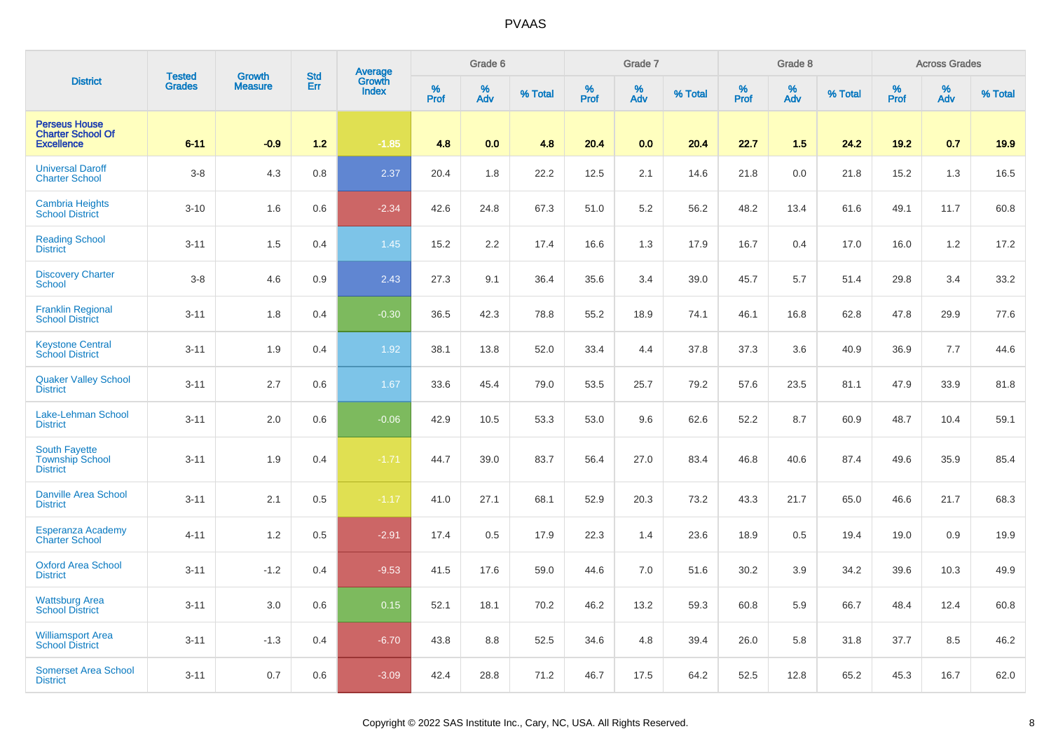|                                                                       | <b>Tested</b> | <b>Growth</b>  | <b>Std</b> | <b>Average</b><br>Growth |          | Grade 6  |         |          | Grade 7  |         |           | Grade 8  |         |           | <b>Across Grades</b> |         |
|-----------------------------------------------------------------------|---------------|----------------|------------|--------------------------|----------|----------|---------|----------|----------|---------|-----------|----------|---------|-----------|----------------------|---------|
| <b>District</b>                                                       | <b>Grades</b> | <b>Measure</b> | Err        | <b>Index</b>             | $%$ Prof | %<br>Adv | % Total | $%$ Prof | %<br>Adv | % Total | %<br>Prof | %<br>Adv | % Total | %<br>Prof | %<br>Adv             | % Total |
| <b>Perseus House</b><br><b>Charter School Of</b><br><b>Excellence</b> | $6 - 11$      | $-0.9$         | $1.2$      | $-1.85$                  | 4.8      | 0.0      | 4.8     | 20.4     | 0.0      | 20.4    | 22.7      | 1.5      | 24.2    | 19.2      | 0.7                  | 19.9    |
| <b>Universal Daroff</b><br><b>Charter School</b>                      | $3 - 8$       | 4.3            | 0.8        | 2.37                     | 20.4     | 1.8      | 22.2    | 12.5     | 2.1      | 14.6    | 21.8      | 0.0      | 21.8    | 15.2      | 1.3                  | 16.5    |
| <b>Cambria Heights</b><br><b>School District</b>                      | $3 - 10$      | 1.6            | 0.6        | $-2.34$                  | 42.6     | 24.8     | 67.3    | 51.0     | 5.2      | 56.2    | 48.2      | 13.4     | 61.6    | 49.1      | 11.7                 | 60.8    |
| <b>Reading School</b><br><b>District</b>                              | $3 - 11$      | 1.5            | 0.4        | 1.45                     | 15.2     | 2.2      | 17.4    | 16.6     | 1.3      | 17.9    | 16.7      | 0.4      | 17.0    | 16.0      | 1.2                  | 17.2    |
| <b>Discovery Charter</b><br><b>School</b>                             | $3 - 8$       | 4.6            | 0.9        | 2.43                     | 27.3     | 9.1      | 36.4    | 35.6     | 3.4      | 39.0    | 45.7      | 5.7      | 51.4    | 29.8      | 3.4                  | 33.2    |
| <b>Franklin Regional</b><br><b>School District</b>                    | $3 - 11$      | 1.8            | 0.4        | $-0.30$                  | 36.5     | 42.3     | 78.8    | 55.2     | 18.9     | 74.1    | 46.1      | 16.8     | 62.8    | 47.8      | 29.9                 | 77.6    |
| <b>Keystone Central</b><br>School District                            | $3 - 11$      | 1.9            | 0.4        | 1.92                     | 38.1     | 13.8     | 52.0    | 33.4     | 4.4      | 37.8    | 37.3      | 3.6      | 40.9    | 36.9      | 7.7                  | 44.6    |
| <b>Quaker Valley School</b><br><b>District</b>                        | $3 - 11$      | 2.7            | 0.6        | 1.67                     | 33.6     | 45.4     | 79.0    | 53.5     | 25.7     | 79.2    | 57.6      | 23.5     | 81.1    | 47.9      | 33.9                 | 81.8    |
| Lake-Lehman School<br><b>District</b>                                 | $3 - 11$      | 2.0            | 0.6        | $-0.06$                  | 42.9     | 10.5     | 53.3    | 53.0     | 9.6      | 62.6    | 52.2      | 8.7      | 60.9    | 48.7      | 10.4                 | 59.1    |
| <b>South Fayette</b><br><b>Township School</b><br><b>District</b>     | $3 - 11$      | 1.9            | 0.4        | $-1.71$                  | 44.7     | 39.0     | 83.7    | 56.4     | 27.0     | 83.4    | 46.8      | 40.6     | 87.4    | 49.6      | 35.9                 | 85.4    |
| <b>Danville Area School</b><br><b>District</b>                        | $3 - 11$      | 2.1            | 0.5        | $-1.17$                  | 41.0     | 27.1     | 68.1    | 52.9     | 20.3     | 73.2    | 43.3      | 21.7     | 65.0    | 46.6      | 21.7                 | 68.3    |
| Esperanza Academy<br><b>Charter School</b>                            | $4 - 11$      | 1.2            | 0.5        | $-2.91$                  | 17.4     | 0.5      | 17.9    | 22.3     | 1.4      | 23.6    | 18.9      | 0.5      | 19.4    | 19.0      | 0.9                  | 19.9    |
| <b>Oxford Area School</b><br><b>District</b>                          | $3 - 11$      | $-1.2$         | 0.4        | $-9.53$                  | 41.5     | 17.6     | 59.0    | 44.6     | $7.0$    | 51.6    | 30.2      | 3.9      | 34.2    | 39.6      | 10.3                 | 49.9    |
| <b>Wattsburg Area</b><br>School District                              | $3 - 11$      | 3.0            | 0.6        | 0.15                     | 52.1     | 18.1     | 70.2    | 46.2     | 13.2     | 59.3    | 60.8      | 5.9      | 66.7    | 48.4      | 12.4                 | 60.8    |
| <b>Williamsport Area</b><br><b>School District</b>                    | $3 - 11$      | $-1.3$         | 0.4        | $-6.70$                  | 43.8     | 8.8      | 52.5    | 34.6     | 4.8      | 39.4    | 26.0      | 5.8      | 31.8    | 37.7      | 8.5                  | 46.2    |
| <b>Somerset Area School</b><br><b>District</b>                        | $3 - 11$      | 0.7            | 0.6        | $-3.09$                  | 42.4     | 28.8     | 71.2    | 46.7     | 17.5     | 64.2    | 52.5      | 12.8     | 65.2    | 45.3      | 16.7                 | 62.0    |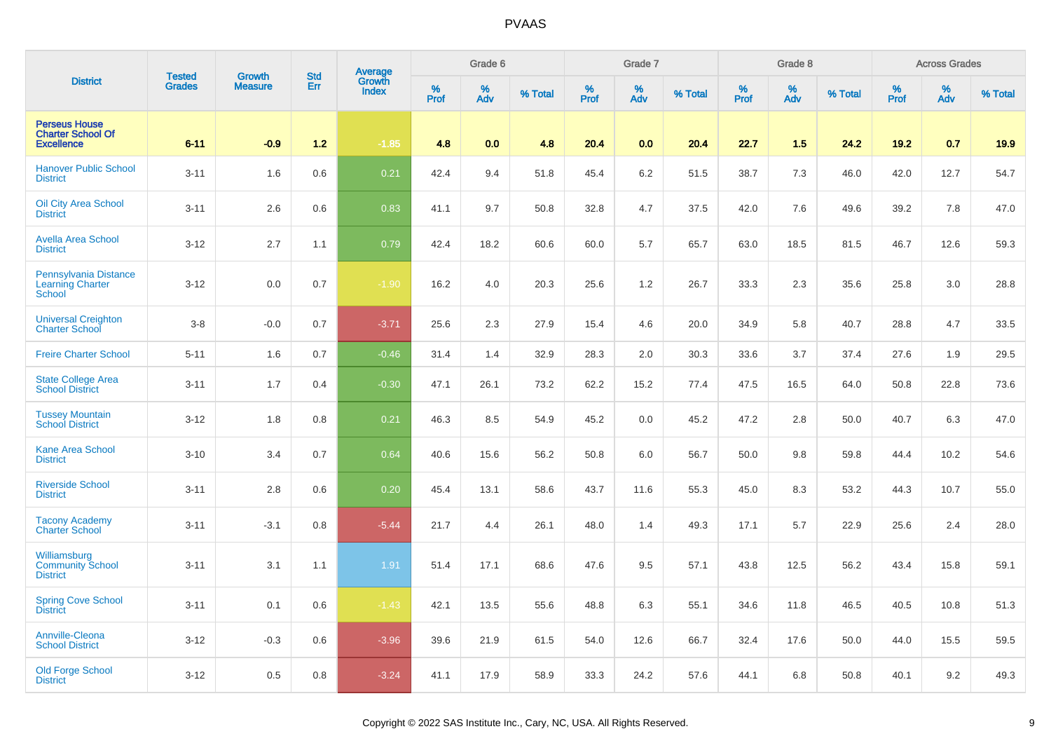|                                                                       | <b>Tested</b> | <b>Growth</b>  | <b>Std</b> | <b>Average</b><br>Growth |          | Grade 6  |         |          | Grade 7  |         |           | Grade 8  |         |           | <b>Across Grades</b> |         |
|-----------------------------------------------------------------------|---------------|----------------|------------|--------------------------|----------|----------|---------|----------|----------|---------|-----------|----------|---------|-----------|----------------------|---------|
| <b>District</b>                                                       | <b>Grades</b> | <b>Measure</b> | Err        | <b>Index</b>             | $%$ Prof | %<br>Adv | % Total | $%$ Prof | %<br>Adv | % Total | %<br>Prof | %<br>Adv | % Total | %<br>Prof | %<br>Adv             | % Total |
| <b>Perseus House</b><br><b>Charter School Of</b><br><b>Excellence</b> | $6 - 11$      | $-0.9$         | $1.2$      | $-1.85$                  | 4.8      | 0.0      | 4.8     | 20.4     | 0.0      | 20.4    | 22.7      | 1.5      | 24.2    | 19.2      | 0.7                  | 19.9    |
| <b>Hanover Public School</b><br><b>District</b>                       | $3 - 11$      | 1.6            | 0.6        | 0.21                     | 42.4     | 9.4      | 51.8    | 45.4     | 6.2      | 51.5    | 38.7      | 7.3      | 46.0    | 42.0      | 12.7                 | 54.7    |
| <b>Oil City Area School</b><br><b>District</b>                        | $3 - 11$      | 2.6            | 0.6        | 0.83                     | 41.1     | 9.7      | 50.8    | 32.8     | 4.7      | 37.5    | 42.0      | 7.6      | 49.6    | 39.2      | 7.8                  | 47.0    |
| <b>Avella Area School</b><br><b>District</b>                          | $3 - 12$      | 2.7            | 1.1        | 0.79                     | 42.4     | 18.2     | 60.6    | 60.0     | 5.7      | 65.7    | 63.0      | 18.5     | 81.5    | 46.7      | 12.6                 | 59.3    |
| Pennsylvania Distance<br><b>Learning Charter</b><br><b>School</b>     | $3 - 12$      | $0.0\,$        | 0.7        | $-1.90$                  | 16.2     | 4.0      | 20.3    | 25.6     | 1.2      | 26.7    | 33.3      | 2.3      | 35.6    | 25.8      | $3.0\,$              | 28.8    |
| <b>Universal Creighton</b><br><b>Charter School</b>                   | $3 - 8$       | $-0.0$         | 0.7        | $-3.71$                  | 25.6     | 2.3      | 27.9    | 15.4     | 4.6      | 20.0    | 34.9      | 5.8      | 40.7    | 28.8      | 4.7                  | 33.5    |
| <b>Freire Charter School</b>                                          | $5 - 11$      | 1.6            | 0.7        | $-0.46$                  | 31.4     | 1.4      | 32.9    | 28.3     | 2.0      | 30.3    | 33.6      | 3.7      | 37.4    | 27.6      | 1.9                  | 29.5    |
| <b>State College Area</b><br><b>School District</b>                   | $3 - 11$      | 1.7            | 0.4        | $-0.30$                  | 47.1     | 26.1     | 73.2    | 62.2     | 15.2     | 77.4    | 47.5      | 16.5     | 64.0    | 50.8      | 22.8                 | 73.6    |
| <b>Tussey Mountain</b><br><b>School District</b>                      | $3 - 12$      | 1.8            | 0.8        | 0.21                     | 46.3     | 8.5      | 54.9    | 45.2     | 0.0      | 45.2    | 47.2      | 2.8      | 50.0    | 40.7      | 6.3                  | 47.0    |
| <b>Kane Area School</b><br><b>District</b>                            | $3 - 10$      | 3.4            | 0.7        | 0.64                     | 40.6     | 15.6     | 56.2    | 50.8     | 6.0      | 56.7    | 50.0      | 9.8      | 59.8    | 44.4      | 10.2                 | 54.6    |
| <b>Riverside School</b><br><b>District</b>                            | $3 - 11$      | 2.8            | 0.6        | 0.20                     | 45.4     | 13.1     | 58.6    | 43.7     | 11.6     | 55.3    | 45.0      | 8.3      | 53.2    | 44.3      | 10.7                 | 55.0    |
| <b>Tacony Academy</b><br><b>Charter School</b>                        | $3 - 11$      | $-3.1$         | 0.8        | $-5.44$                  | 21.7     | 4.4      | 26.1    | 48.0     | 1.4      | 49.3    | 17.1      | 5.7      | 22.9    | 25.6      | 2.4                  | 28.0    |
| Williamsburg<br><b>Community School</b><br><b>District</b>            | $3 - 11$      | 3.1            | 1.1        | 1.91                     | 51.4     | 17.1     | 68.6    | 47.6     | 9.5      | 57.1    | 43.8      | 12.5     | 56.2    | 43.4      | 15.8                 | 59.1    |
| <b>Spring Cove School</b><br><b>District</b>                          | $3 - 11$      | 0.1            | 0.6        | $-1.43$                  | 42.1     | 13.5     | 55.6    | 48.8     | 6.3      | 55.1    | 34.6      | 11.8     | 46.5    | 40.5      | 10.8                 | 51.3    |
| Annville-Cleona<br><b>School District</b>                             | $3 - 12$      | $-0.3$         | 0.6        | $-3.96$                  | 39.6     | 21.9     | 61.5    | 54.0     | 12.6     | 66.7    | 32.4      | 17.6     | 50.0    | 44.0      | 15.5                 | 59.5    |
| <b>Old Forge School</b><br><b>District</b>                            | $3 - 12$      | 0.5            | 0.8        | $-3.24$                  | 41.1     | 17.9     | 58.9    | 33.3     | 24.2     | 57.6    | 44.1      | 6.8      | 50.8    | 40.1      | 9.2                  | 49.3    |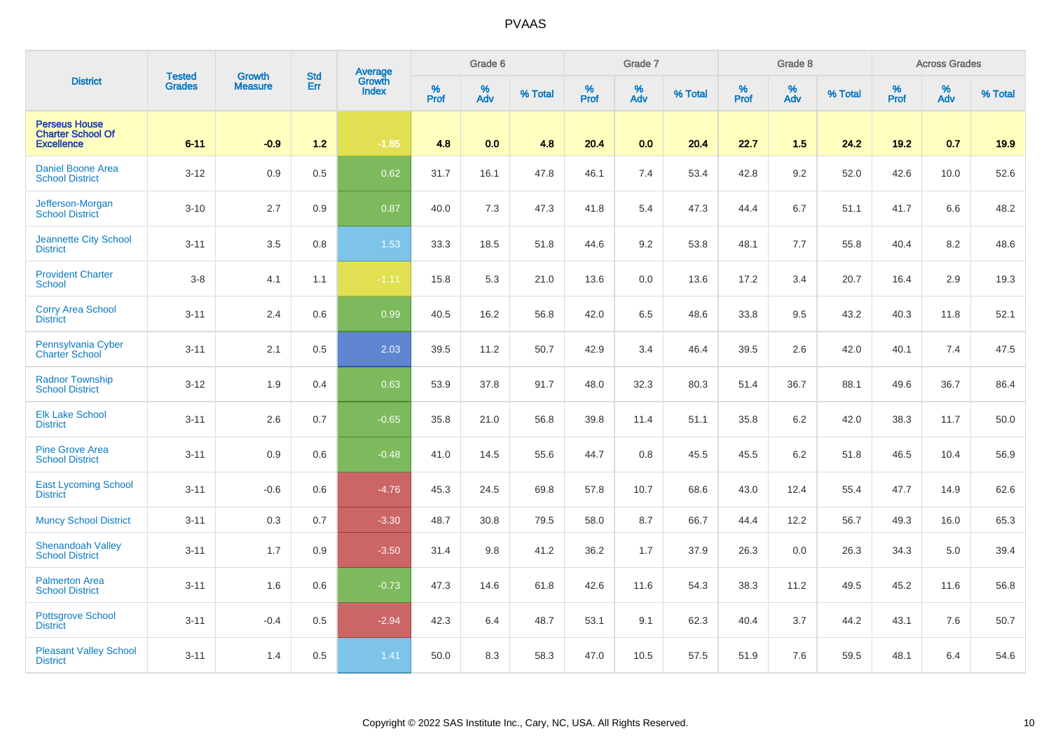| <b>District</b>                                                       | <b>Tested</b> | <b>Growth</b>  | <b>Std</b> | Average<br>Growth |              | Grade 6     |         |                     | Grade 7  |         |              | Grade 8  |         |           | <b>Across Grades</b> |         |
|-----------------------------------------------------------------------|---------------|----------------|------------|-------------------|--------------|-------------|---------|---------------------|----------|---------|--------------|----------|---------|-----------|----------------------|---------|
|                                                                       | <b>Grades</b> | <b>Measure</b> | Err        | <b>Index</b>      | $\%$<br>Prof | $\%$<br>Adv | % Total | $\%$<br><b>Prof</b> | %<br>Adv | % Total | $\%$<br>Prof | %<br>Adv | % Total | %<br>Prof | %<br>Adv             | % Total |
| <b>Perseus House</b><br><b>Charter School Of</b><br><b>Excellence</b> | $6 - 11$      | $-0.9$         | $1.2$      | $-1.85$           | 4.8          | 0.0         | 4.8     | 20.4                | 0.0      | 20.4    | 22.7         | 1.5      | 24.2    | 19.2      | 0.7                  | 19.9    |
| <b>Daniel Boone Area</b><br><b>School District</b>                    | $3 - 12$      | 0.9            | 0.5        | 0.62              | 31.7         | 16.1        | 47.8    | 46.1                | 7.4      | 53.4    | 42.8         | 9.2      | 52.0    | 42.6      | 10.0                 | 52.6    |
| Jefferson-Morgan<br><b>School District</b>                            | $3 - 10$      | 2.7            | 0.9        | 0.87              | 40.0         | 7.3         | 47.3    | 41.8                | 5.4      | 47.3    | 44.4         | 6.7      | 51.1    | 41.7      | 6.6                  | 48.2    |
| <b>Jeannette City School</b><br><b>District</b>                       | $3 - 11$      | 3.5            | 0.8        | 1.53              | 33.3         | 18.5        | 51.8    | 44.6                | 9.2      | 53.8    | 48.1         | 7.7      | 55.8    | 40.4      | 8.2                  | 48.6    |
| <b>Provident Charter</b><br><b>School</b>                             | $3-8$         | 4.1            | 1.1        | $-1.11$           | 15.8         | 5.3         | 21.0    | 13.6                | 0.0      | 13.6    | 17.2         | 3.4      | 20.7    | 16.4      | 2.9                  | 19.3    |
| <b>Corry Area School</b><br><b>District</b>                           | $3 - 11$      | 2.4            | 0.6        | 0.99              | 40.5         | 16.2        | 56.8    | 42.0                | 6.5      | 48.6    | 33.8         | 9.5      | 43.2    | 40.3      | 11.8                 | 52.1    |
| Pennsylvania Cyber<br><b>Charter School</b>                           | $3 - 11$      | 2.1            | 0.5        | 2.03              | 39.5         | 11.2        | 50.7    | 42.9                | 3.4      | 46.4    | 39.5         | 2.6      | 42.0    | 40.1      | 7.4                  | 47.5    |
| <b>Radnor Township</b><br><b>School District</b>                      | $3 - 12$      | 1.9            | 0.4        | 0.63              | 53.9         | 37.8        | 91.7    | 48.0                | 32.3     | 80.3    | 51.4         | 36.7     | 88.1    | 49.6      | 36.7                 | 86.4    |
| <b>Elk Lake School</b><br><b>District</b>                             | $3 - 11$      | 2.6            | 0.7        | $-0.65$           | 35.8         | 21.0        | 56.8    | 39.8                | 11.4     | 51.1    | 35.8         | 6.2      | 42.0    | 38.3      | 11.7                 | 50.0    |
| <b>Pine Grove Area</b><br><b>School District</b>                      | $3 - 11$      | 0.9            | 0.6        | $-0.48$           | 41.0         | 14.5        | 55.6    | 44.7                | 0.8      | 45.5    | 45.5         | 6.2      | 51.8    | 46.5      | 10.4                 | 56.9    |
| <b>East Lycoming School</b><br><b>District</b>                        | $3 - 11$      | $-0.6$         | 0.6        | $-4.76$           | 45.3         | 24.5        | 69.8    | 57.8                | 10.7     | 68.6    | 43.0         | 12.4     | 55.4    | 47.7      | 14.9                 | 62.6    |
| <b>Muncy School District</b>                                          | $3 - 11$      | 0.3            | 0.7        | $-3.30$           | 48.7         | 30.8        | 79.5    | 58.0                | 8.7      | 66.7    | 44.4         | 12.2     | 56.7    | 49.3      | 16.0                 | 65.3    |
| Shenandoah Valley<br><b>School District</b>                           | $3 - 11$      | 1.7            | 0.9        | $-3.50$           | 31.4         | 9.8         | 41.2    | 36.2                | 1.7      | 37.9    | 26.3         | 0.0      | 26.3    | 34.3      | 5.0                  | 39.4    |
| <b>Palmerton Area</b><br><b>School District</b>                       | $3 - 11$      | 1.6            | 0.6        | $-0.73$           | 47.3         | 14.6        | 61.8    | 42.6                | 11.6     | 54.3    | 38.3         | 11.2     | 49.5    | 45.2      | 11.6                 | 56.8    |
| <b>Pottsgrove School</b><br><b>District</b>                           | $3 - 11$      | $-0.4$         | 0.5        | $-2.94$           | 42.3         | 6.4         | 48.7    | 53.1                | 9.1      | 62.3    | 40.4         | 3.7      | 44.2    | 43.1      | 7.6                  | 50.7    |
| <b>Pleasant Valley School</b><br><b>District</b>                      | $3 - 11$      | 1.4            | 0.5        | 1.41              | 50.0         | 8.3         | 58.3    | 47.0                | 10.5     | 57.5    | 51.9         | 7.6      | 59.5    | 48.1      | 6.4                  | 54.6    |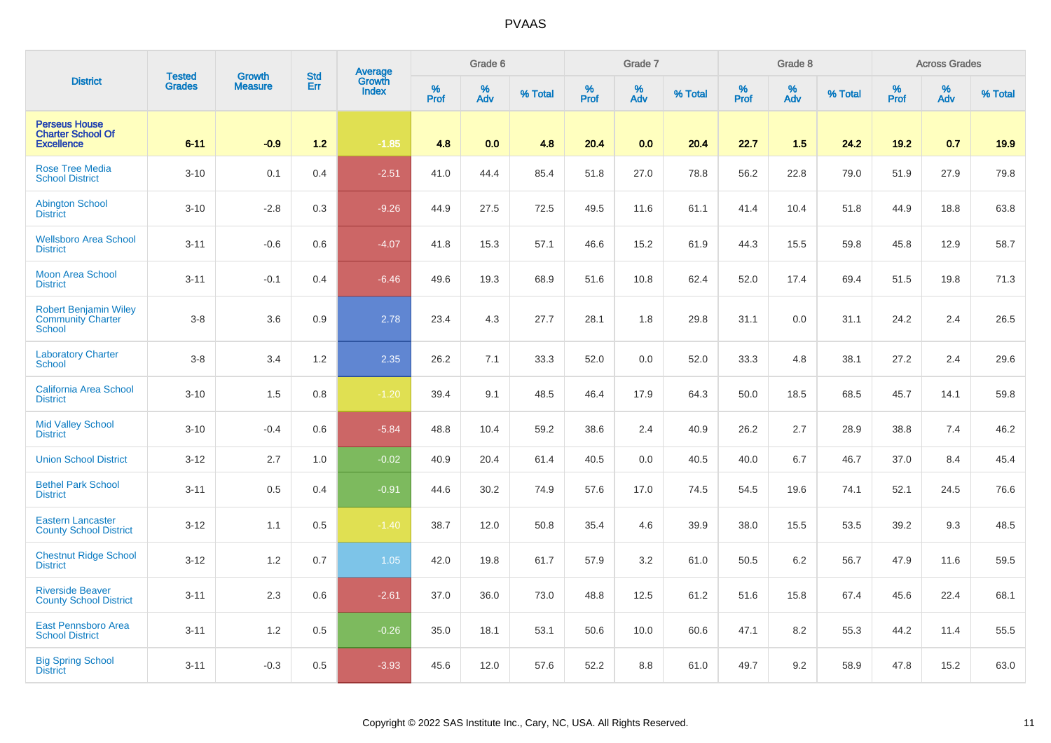| <b>District</b>                                                           | <b>Tested</b> | <b>Growth</b>  | <b>Std</b> | <b>Average</b><br>Growth |           | Grade 6  |         |           | Grade 7  |         |           | Grade 8  |         |           | <b>Across Grades</b> |         |
|---------------------------------------------------------------------------|---------------|----------------|------------|--------------------------|-----------|----------|---------|-----------|----------|---------|-----------|----------|---------|-----------|----------------------|---------|
|                                                                           | <b>Grades</b> | <b>Measure</b> | Err        | <b>Index</b>             | %<br>Prof | %<br>Adv | % Total | %<br>Prof | %<br>Adv | % Total | %<br>Prof | %<br>Adv | % Total | %<br>Prof | %<br>Adv             | % Total |
| <b>Perseus House</b><br><b>Charter School Of</b><br><b>Excellence</b>     | $6 - 11$      | $-0.9$         | $1.2$      | $-1.85$                  | 4.8       | 0.0      | 4.8     | 20.4      | 0.0      | 20.4    | 22.7      | 1.5      | 24.2    | 19.2      | 0.7                  | 19.9    |
| <b>Rose Tree Media</b><br><b>School District</b>                          | $3 - 10$      | 0.1            | 0.4        | $-2.51$                  | 41.0      | 44.4     | 85.4    | 51.8      | 27.0     | 78.8    | 56.2      | 22.8     | 79.0    | 51.9      | 27.9                 | 79.8    |
| <b>Abington School</b><br><b>District</b>                                 | $3 - 10$      | $-2.8$         | 0.3        | $-9.26$                  | 44.9      | 27.5     | 72.5    | 49.5      | 11.6     | 61.1    | 41.4      | 10.4     | 51.8    | 44.9      | 18.8                 | 63.8    |
| <b>Wellsboro Area School</b><br><b>District</b>                           | $3 - 11$      | $-0.6$         | 0.6        | $-4.07$                  | 41.8      | 15.3     | 57.1    | 46.6      | 15.2     | 61.9    | 44.3      | 15.5     | 59.8    | 45.8      | 12.9                 | 58.7    |
| <b>Moon Area School</b><br><b>District</b>                                | $3 - 11$      | $-0.1$         | 0.4        | $-6.46$                  | 49.6      | 19.3     | 68.9    | 51.6      | 10.8     | 62.4    | 52.0      | 17.4     | 69.4    | 51.5      | 19.8                 | 71.3    |
| <b>Robert Benjamin Wiley</b><br><b>Community Charter</b><br><b>School</b> | $3 - 8$       | 3.6            | 0.9        | 2.78                     | 23.4      | 4.3      | 27.7    | 28.1      | 1.8      | 29.8    | 31.1      | 0.0      | 31.1    | 24.2      | 2.4                  | 26.5    |
| <b>Laboratory Charter</b><br>School                                       | $3 - 8$       | 3.4            | 1.2        | 2.35                     | 26.2      | 7.1      | 33.3    | 52.0      | 0.0      | 52.0    | 33.3      | 4.8      | 38.1    | 27.2      | 2.4                  | 29.6    |
| <b>California Area School</b><br><b>District</b>                          | $3 - 10$      | 1.5            | 0.8        | $-1.20$                  | 39.4      | 9.1      | 48.5    | 46.4      | 17.9     | 64.3    | 50.0      | 18.5     | 68.5    | 45.7      | 14.1                 | 59.8    |
| <b>Mid Valley School</b><br><b>District</b>                               | $3 - 10$      | $-0.4$         | 0.6        | $-5.84$                  | 48.8      | 10.4     | 59.2    | 38.6      | 2.4      | 40.9    | 26.2      | 2.7      | 28.9    | 38.8      | 7.4                  | 46.2    |
| <b>Union School District</b>                                              | $3 - 12$      | 2.7            | 1.0        | $-0.02$                  | 40.9      | 20.4     | 61.4    | 40.5      | 0.0      | 40.5    | 40.0      | 6.7      | 46.7    | 37.0      | 8.4                  | 45.4    |
| <b>Bethel Park School</b><br><b>District</b>                              | $3 - 11$      | 0.5            | 0.4        | $-0.91$                  | 44.6      | 30.2     | 74.9    | 57.6      | 17.0     | 74.5    | 54.5      | 19.6     | 74.1    | 52.1      | 24.5                 | 76.6    |
| <b>Eastern Lancaster</b><br><b>County School District</b>                 | $3 - 12$      | 1.1            | 0.5        | $-1.40$                  | 38.7      | 12.0     | 50.8    | 35.4      | 4.6      | 39.9    | 38.0      | 15.5     | 53.5    | 39.2      | 9.3                  | 48.5    |
| <b>Chestnut Ridge School</b><br><b>District</b>                           | $3 - 12$      | 1.2            | 0.7        | 1.05                     | 42.0      | 19.8     | 61.7    | 57.9      | 3.2      | 61.0    | 50.5      | 6.2      | 56.7    | 47.9      | 11.6                 | 59.5    |
| <b>Riverside Beaver</b><br><b>County School District</b>                  | $3 - 11$      | 2.3            | 0.6        | $-2.61$                  | 37.0      | 36.0     | 73.0    | 48.8      | 12.5     | 61.2    | 51.6      | 15.8     | 67.4    | 45.6      | 22.4                 | 68.1    |
| <b>East Pennsboro Area</b><br><b>School District</b>                      | $3 - 11$      | 1.2            | 0.5        | $-0.26$                  | 35.0      | 18.1     | 53.1    | 50.6      | 10.0     | 60.6    | 47.1      | 8.2      | 55.3    | 44.2      | 11.4                 | 55.5    |
| <b>Big Spring School</b><br><b>District</b>                               | $3 - 11$      | $-0.3$         | 0.5        | $-3.93$                  | 45.6      | 12.0     | 57.6    | 52.2      | 8.8      | 61.0    | 49.7      | 9.2      | 58.9    | 47.8      | 15.2                 | 63.0    |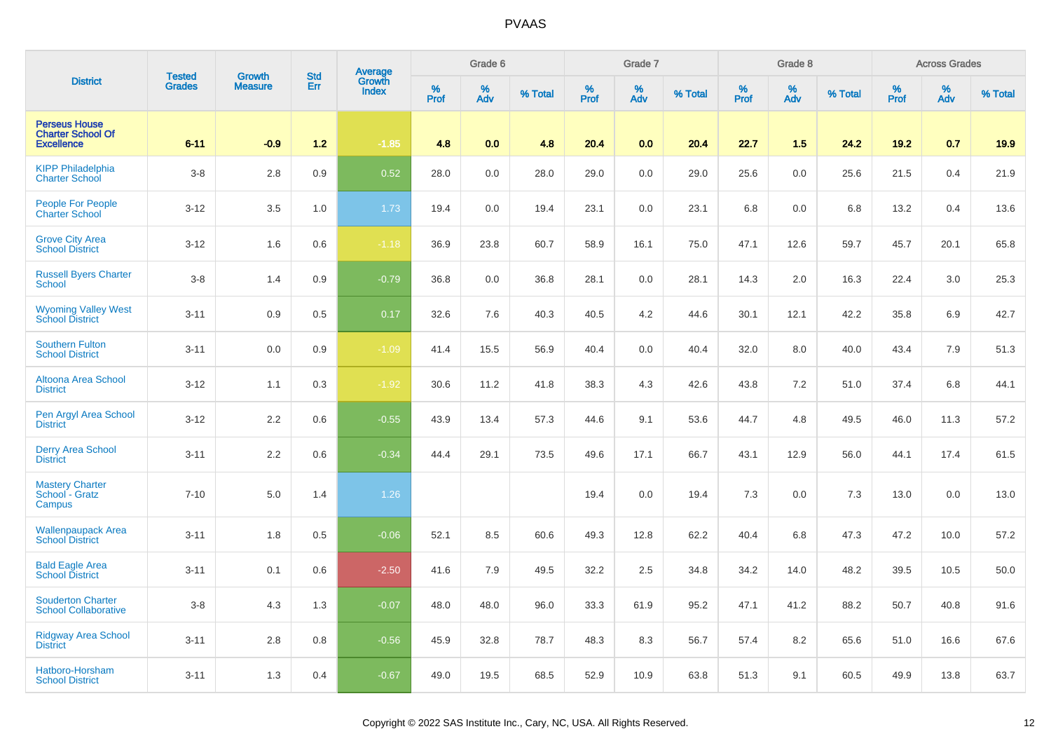| <b>District</b>                                                       | <b>Tested</b> | <b>Growth</b>  | <b>Std</b> | Average<br>Growth |          | Grade 6  |         |           | Grade 7  |         |           | Grade 8  |         |           | <b>Across Grades</b> |         |
|-----------------------------------------------------------------------|---------------|----------------|------------|-------------------|----------|----------|---------|-----------|----------|---------|-----------|----------|---------|-----------|----------------------|---------|
|                                                                       | <b>Grades</b> | <b>Measure</b> | Err        | <b>Index</b>      | $%$ Prof | %<br>Adv | % Total | %<br>Prof | %<br>Adv | % Total | %<br>Prof | %<br>Adv | % Total | %<br>Prof | %<br>Adv             | % Total |
| <b>Perseus House</b><br><b>Charter School Of</b><br><b>Excellence</b> | $6 - 11$      | $-0.9$         | $1.2$      | $-1.85$           | 4.8      | 0.0      | 4.8     | 20.4      | 0.0      | 20.4    | 22.7      | 1.5      | 24.2    | 19.2      | 0.7                  | 19.9    |
| <b>KIPP Philadelphia</b><br><b>Charter School</b>                     | $3-8$         | 2.8            | 0.9        | 0.52              | 28.0     | 0.0      | 28.0    | 29.0      | 0.0      | 29.0    | 25.6      | 0.0      | 25.6    | 21.5      | 0.4                  | 21.9    |
| <b>People For People</b><br><b>Charter School</b>                     | $3 - 12$      | 3.5            | 1.0        | 1.73              | 19.4     | 0.0      | 19.4    | 23.1      | $0.0\,$  | 23.1    | $6.8\,$   | 0.0      | 6.8     | 13.2      | 0.4                  | 13.6    |
| <b>Grove City Area</b><br><b>School District</b>                      | $3 - 12$      | 1.6            | 0.6        | $-1.18$           | 36.9     | 23.8     | 60.7    | 58.9      | 16.1     | 75.0    | 47.1      | 12.6     | 59.7    | 45.7      | 20.1                 | 65.8    |
| <b>Russell Byers Charter</b><br><b>School</b>                         | $3 - 8$       | 1.4            | 0.9        | $-0.79$           | 36.8     | 0.0      | 36.8    | 28.1      | 0.0      | 28.1    | 14.3      | 2.0      | 16.3    | 22.4      | 3.0                  | 25.3    |
| <b>Wyoming Valley West</b><br><b>School District</b>                  | $3 - 11$      | 0.9            | 0.5        | 0.17              | 32.6     | 7.6      | 40.3    | 40.5      | 4.2      | 44.6    | 30.1      | 12.1     | 42.2    | 35.8      | 6.9                  | 42.7    |
| <b>Southern Fulton</b><br><b>School District</b>                      | $3 - 11$      | 0.0            | 0.9        | $-1.09$           | 41.4     | 15.5     | 56.9    | 40.4      | 0.0      | 40.4    | 32.0      | 8.0      | 40.0    | 43.4      | 7.9                  | 51.3    |
| Altoona Area School<br><b>District</b>                                | $3 - 12$      | 1.1            | 0.3        | $-1.92$           | 30.6     | 11.2     | 41.8    | 38.3      | 4.3      | 42.6    | 43.8      | 7.2      | 51.0    | 37.4      | 6.8                  | 44.1    |
| Pen Argyl Area School<br><b>District</b>                              | $3 - 12$      | 2.2            | 0.6        | $-0.55$           | 43.9     | 13.4     | 57.3    | 44.6      | 9.1      | 53.6    | 44.7      | 4.8      | 49.5    | 46.0      | 11.3                 | 57.2    |
| <b>Derry Area School</b><br><b>District</b>                           | $3 - 11$      | 2.2            | 0.6        | $-0.34$           | 44.4     | 29.1     | 73.5    | 49.6      | 17.1     | 66.7    | 43.1      | 12.9     | 56.0    | 44.1      | 17.4                 | 61.5    |
| <b>Mastery Charter</b><br>School - Gratz<br>Campus                    | $7 - 10$      | 5.0            | 1.4        | 1.26              |          |          |         | 19.4      | 0.0      | 19.4    | 7.3       | 0.0      | 7.3     | 13.0      | 0.0                  | 13.0    |
| <b>Wallenpaupack Area</b><br><b>School District</b>                   | $3 - 11$      | 1.8            | 0.5        | $-0.06$           | 52.1     | 8.5      | 60.6    | 49.3      | 12.8     | 62.2    | 40.4      | 6.8      | 47.3    | 47.2      | 10.0                 | 57.2    |
| <b>Bald Eagle Area<br/>School District</b>                            | $3 - 11$      | 0.1            | 0.6        | $-2.50$           | 41.6     | 7.9      | 49.5    | 32.2      | 2.5      | 34.8    | 34.2      | 14.0     | 48.2    | 39.5      | 10.5                 | 50.0    |
| <b>Souderton Charter</b><br><b>School Collaborative</b>               | $3-8$         | 4.3            | 1.3        | $-0.07$           | 48.0     | 48.0     | 96.0    | 33.3      | 61.9     | 95.2    | 47.1      | 41.2     | 88.2    | 50.7      | 40.8                 | 91.6    |
| Ridgway Area School<br><b>District</b>                                | $3 - 11$      | 2.8            | 0.8        | $-0.56$           | 45.9     | 32.8     | 78.7    | 48.3      | 8.3      | 56.7    | 57.4      | 8.2      | 65.6    | 51.0      | 16.6                 | 67.6    |
| Hatboro-Horsham<br><b>School District</b>                             | $3 - 11$      | 1.3            | 0.4        | $-0.67$           | 49.0     | 19.5     | 68.5    | 52.9      | 10.9     | 63.8    | 51.3      | 9.1      | 60.5    | 49.9      | 13.8                 | 63.7    |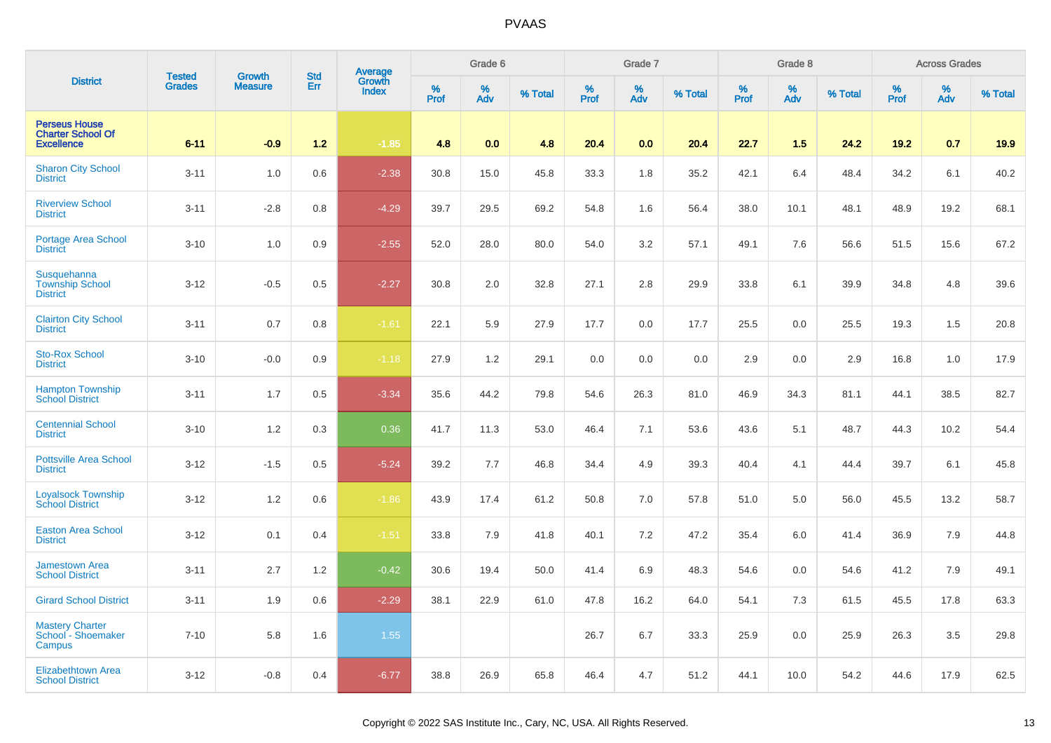| <b>District</b>                                                       | <b>Tested</b> | <b>Growth</b>  | <b>Std</b> | Average<br>Growth |           | Grade 6  |         |           | Grade 7  |         |           | Grade 8  |         |           | <b>Across Grades</b> |         |
|-----------------------------------------------------------------------|---------------|----------------|------------|-------------------|-----------|----------|---------|-----------|----------|---------|-----------|----------|---------|-----------|----------------------|---------|
|                                                                       | <b>Grades</b> | <b>Measure</b> | Err        | <b>Index</b>      | %<br>Prof | %<br>Adv | % Total | %<br>Prof | %<br>Adv | % Total | %<br>Prof | %<br>Adv | % Total | %<br>Prof | %<br>Adv             | % Total |
| <b>Perseus House</b><br><b>Charter School Of</b><br><b>Excellence</b> | $6 - 11$      | $-0.9$         | $1.2$      | $-1.85$           | 4.8       | 0.0      | 4.8     | 20.4      | 0.0      | 20.4    | 22.7      | 1.5      | 24.2    | 19.2      | 0.7                  | 19.9    |
| <b>Sharon City School</b><br><b>District</b>                          | $3 - 11$      | 1.0            | 0.6        | $-2.38$           | 30.8      | 15.0     | 45.8    | 33.3      | 1.8      | 35.2    | 42.1      | 6.4      | 48.4    | 34.2      | 6.1                  | 40.2    |
| <b>Riverview School</b><br><b>District</b>                            | $3 - 11$      | $-2.8$         | 0.8        | $-4.29$           | 39.7      | 29.5     | 69.2    | 54.8      | 1.6      | 56.4    | 38.0      | 10.1     | 48.1    | 48.9      | 19.2                 | 68.1    |
| <b>Portage Area School</b><br><b>District</b>                         | $3 - 10$      | $1.0$          | 0.9        | $-2.55$           | 52.0      | 28.0     | 80.0    | 54.0      | 3.2      | 57.1    | 49.1      | 7.6      | 56.6    | 51.5      | 15.6                 | 67.2    |
| Susquehanna<br><b>Township School</b><br><b>District</b>              | $3 - 12$      | $-0.5$         | 0.5        | $-2.27$           | 30.8      | 2.0      | 32.8    | 27.1      | 2.8      | 29.9    | 33.8      | 6.1      | 39.9    | 34.8      | 4.8                  | 39.6    |
| <b>Clairton City School</b><br><b>District</b>                        | $3 - 11$      | 0.7            | 0.8        | $-1.61$           | 22.1      | 5.9      | 27.9    | 17.7      | 0.0      | 17.7    | 25.5      | 0.0      | 25.5    | 19.3      | 1.5                  | 20.8    |
| <b>Sto-Rox School</b><br><b>District</b>                              | $3 - 10$      | $-0.0$         | 0.9        | $-1.18$           | 27.9      | 1.2      | 29.1    | 0.0       | 0.0      | 0.0     | 2.9       | 0.0      | 2.9     | 16.8      | 1.0                  | 17.9    |
| <b>Hampton Township</b><br><b>School District</b>                     | $3 - 11$      | 1.7            | 0.5        | $-3.34$           | 35.6      | 44.2     | 79.8    | 54.6      | 26.3     | 81.0    | 46.9      | 34.3     | 81.1    | 44.1      | 38.5                 | 82.7    |
| <b>Centennial School</b><br><b>District</b>                           | $3 - 10$      | 1.2            | 0.3        | 0.36              | 41.7      | 11.3     | 53.0    | 46.4      | 7.1      | 53.6    | 43.6      | 5.1      | 48.7    | 44.3      | 10.2                 | 54.4    |
| <b>Pottsville Area School</b><br><b>District</b>                      | $3 - 12$      | $-1.5$         | 0.5        | $-5.24$           | 39.2      | 7.7      | 46.8    | 34.4      | 4.9      | 39.3    | 40.4      | 4.1      | 44.4    | 39.7      | 6.1                  | 45.8    |
| <b>Loyalsock Township</b><br><b>School District</b>                   | $3 - 12$      | 1.2            | 0.6        | $-1.86$           | 43.9      | 17.4     | 61.2    | 50.8      | 7.0      | 57.8    | 51.0      | 5.0      | 56.0    | 45.5      | 13.2                 | 58.7    |
| <b>Easton Area School</b><br><b>District</b>                          | $3 - 12$      | 0.1            | 0.4        | $-1.51$           | 33.8      | 7.9      | 41.8    | 40.1      | 7.2      | 47.2    | 35.4      | 6.0      | 41.4    | 36.9      | 7.9                  | 44.8    |
| <b>Jamestown Area</b><br><b>School District</b>                       | $3 - 11$      | 2.7            | 1.2        | $-0.42$           | 30.6      | 19.4     | 50.0    | 41.4      | 6.9      | 48.3    | 54.6      | 0.0      | 54.6    | 41.2      | 7.9                  | 49.1    |
| <b>Girard School District</b>                                         | $3 - 11$      | 1.9            | 0.6        | $-2.29$           | 38.1      | 22.9     | 61.0    | 47.8      | 16.2     | 64.0    | 54.1      | 7.3      | 61.5    | 45.5      | 17.8                 | 63.3    |
| <b>Mastery Charter</b><br>School - Shoemaker<br>Campus                | $7 - 10$      | 5.8            | 1.6        | 1.55              |           |          |         | 26.7      | 6.7      | 33.3    | 25.9      | 0.0      | 25.9    | 26.3      | 3.5                  | 29.8    |
| <b>Elizabethtown Area</b><br><b>School District</b>                   | $3 - 12$      | $-0.8$         | 0.4        | $-6.77$           | 38.8      | 26.9     | 65.8    | 46.4      | 4.7      | 51.2    | 44.1      | 10.0     | 54.2    | 44.6      | 17.9                 | 62.5    |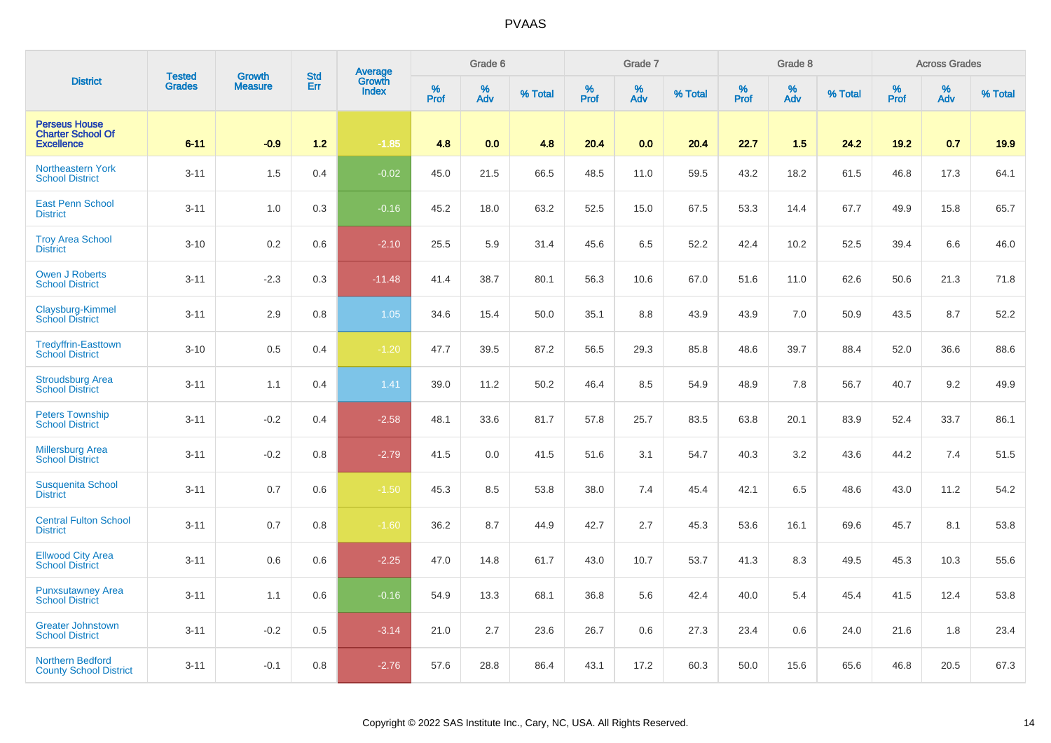| <b>District</b>                                                       | <b>Tested</b> | <b>Growth</b>  | <b>Std</b> |                                   |           | Grade 6  |         |           | Grade 7  |         |           | Grade 8  |         |           | <b>Across Grades</b> |         |
|-----------------------------------------------------------------------|---------------|----------------|------------|-----------------------------------|-----------|----------|---------|-----------|----------|---------|-----------|----------|---------|-----------|----------------------|---------|
|                                                                       | <b>Grades</b> | <b>Measure</b> | Err        | Average<br>Growth<br><b>Index</b> | %<br>Prof | %<br>Adv | % Total | %<br>Prof | %<br>Adv | % Total | %<br>Prof | %<br>Adv | % Total | %<br>Prof | %<br>Adv             | % Total |
| <b>Perseus House</b><br><b>Charter School Of</b><br><b>Excellence</b> | $6 - 11$      | $-0.9$         | $1.2$      | $-1.85$                           | 4.8       | 0.0      | 4.8     | 20.4      | 0.0      | 20.4    | 22.7      | 1.5      | 24.2    | 19.2      | 0.7                  | 19.9    |
| Northeastern York<br><b>School District</b>                           | $3 - 11$      | 1.5            | 0.4        | $-0.02$                           | 45.0      | 21.5     | 66.5    | 48.5      | 11.0     | 59.5    | 43.2      | 18.2     | 61.5    | 46.8      | 17.3                 | 64.1    |
| <b>East Penn School</b><br><b>District</b>                            | $3 - 11$      | 1.0            | 0.3        | $-0.16$                           | 45.2      | 18.0     | 63.2    | 52.5      | 15.0     | 67.5    | 53.3      | 14.4     | 67.7    | 49.9      | 15.8                 | 65.7    |
| <b>Troy Area School</b><br><b>District</b>                            | $3 - 10$      | 0.2            | 0.6        | $-2.10$                           | 25.5      | 5.9      | 31.4    | 45.6      | 6.5      | 52.2    | 42.4      | 10.2     | 52.5    | 39.4      | 6.6                  | 46.0    |
| <b>Owen J Roberts</b><br><b>School District</b>                       | $3 - 11$      | $-2.3$         | 0.3        | $-11.48$                          | 41.4      | 38.7     | 80.1    | 56.3      | 10.6     | 67.0    | 51.6      | 11.0     | 62.6    | 50.6      | 21.3                 | 71.8    |
| Claysburg-Kimmel<br><b>School District</b>                            | $3 - 11$      | 2.9            | 0.8        | 1.05                              | 34.6      | 15.4     | 50.0    | 35.1      | 8.8      | 43.9    | 43.9      | 7.0      | 50.9    | 43.5      | 8.7                  | 52.2    |
| <b>Tredyffrin-Easttown</b><br><b>School District</b>                  | $3 - 10$      | 0.5            | 0.4        | $-1.20$                           | 47.7      | 39.5     | 87.2    | 56.5      | 29.3     | 85.8    | 48.6      | 39.7     | 88.4    | 52.0      | 36.6                 | 88.6    |
| <b>Stroudsburg Area</b><br><b>School District</b>                     | $3 - 11$      | 1.1            | 0.4        | 1.41                              | 39.0      | 11.2     | 50.2    | 46.4      | 8.5      | 54.9    | 48.9      | 7.8      | 56.7    | 40.7      | 9.2                  | 49.9    |
| <b>Peters Township</b><br><b>School District</b>                      | $3 - 11$      | $-0.2$         | 0.4        | $-2.58$                           | 48.1      | 33.6     | 81.7    | 57.8      | 25.7     | 83.5    | 63.8      | 20.1     | 83.9    | 52.4      | 33.7                 | 86.1    |
| <b>Millersburg Area</b><br><b>School District</b>                     | $3 - 11$      | $-0.2$         | 0.8        | $-2.79$                           | 41.5      | 0.0      | 41.5    | 51.6      | 3.1      | 54.7    | 40.3      | 3.2      | 43.6    | 44.2      | 7.4                  | 51.5    |
| <b>Susquenita School</b><br><b>District</b>                           | $3 - 11$      | 0.7            | 0.6        | $-1.50$                           | 45.3      | 8.5      | 53.8    | 38.0      | 7.4      | 45.4    | 42.1      | 6.5      | 48.6    | 43.0      | 11.2                 | 54.2    |
| <b>Central Fulton School</b><br><b>District</b>                       | $3 - 11$      | 0.7            | 0.8        | $-1.60$                           | 36.2      | 8.7      | 44.9    | 42.7      | 2.7      | 45.3    | 53.6      | 16.1     | 69.6    | 45.7      | 8.1                  | 53.8    |
| <b>Ellwood City Area</b><br><b>School District</b>                    | $3 - 11$      | 0.6            | 0.6        | $-2.25$                           | 47.0      | 14.8     | 61.7    | 43.0      | 10.7     | 53.7    | 41.3      | 8.3      | 49.5    | 45.3      | 10.3                 | 55.6    |
| <b>Punxsutawney Area</b><br><b>School District</b>                    | $3 - 11$      | 1.1            | 0.6        | $-0.16$                           | 54.9      | 13.3     | 68.1    | 36.8      | 5.6      | 42.4    | 40.0      | 5.4      | 45.4    | 41.5      | 12.4                 | 53.8    |
| <b>Greater Johnstown</b><br><b>School District</b>                    | $3 - 11$      | $-0.2$         | 0.5        | $-3.14$                           | 21.0      | 2.7      | 23.6    | 26.7      | 0.6      | 27.3    | 23.4      | 0.6      | 24.0    | 21.6      | 1.8                  | 23.4    |
| <b>Northern Bedford</b><br><b>County School District</b>              | $3 - 11$      | $-0.1$         | 0.8        | $-2.76$                           | 57.6      | 28.8     | 86.4    | 43.1      | 17.2     | 60.3    | 50.0      | 15.6     | 65.6    | 46.8      | 20.5                 | 67.3    |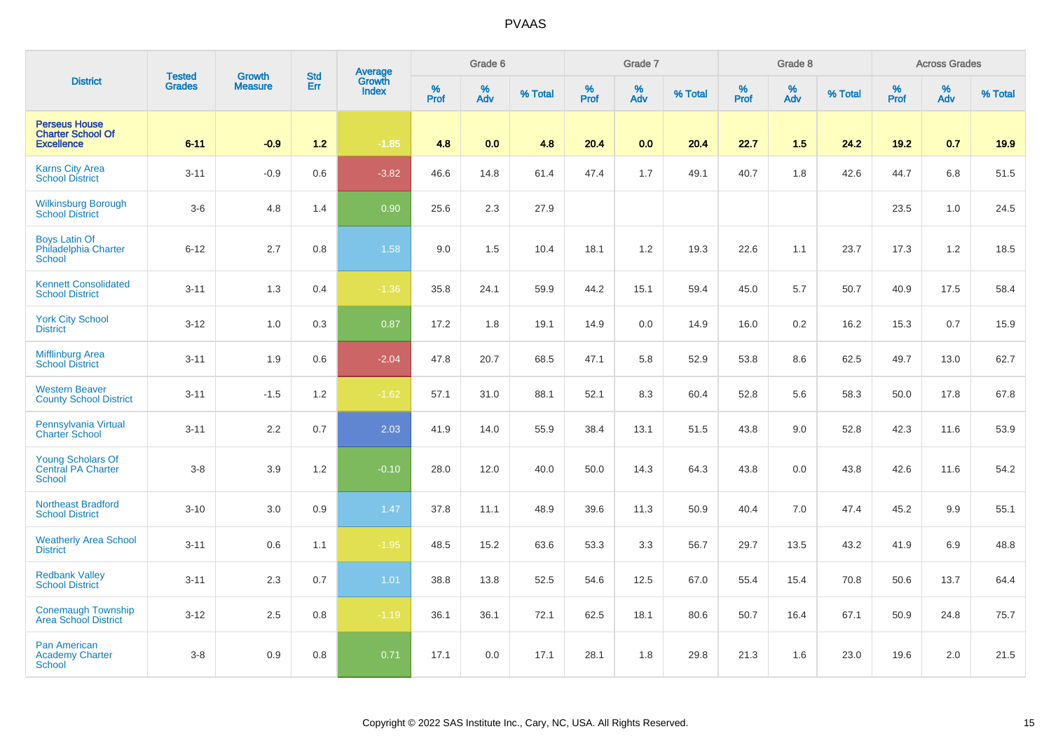|                                                                       |                                | <b>Growth</b>  | <b>Std</b> |                                   |           | Grade 6  |         |           | Grade 7  |         |                  | Grade 8  |         |           | <b>Across Grades</b> |         |
|-----------------------------------------------------------------------|--------------------------------|----------------|------------|-----------------------------------|-----------|----------|---------|-----------|----------|---------|------------------|----------|---------|-----------|----------------------|---------|
| <b>District</b>                                                       | <b>Tested</b><br><b>Grades</b> | <b>Measure</b> | Err        | Average<br>Growth<br><b>Index</b> | %<br>Prof | %<br>Adv | % Total | %<br>Prof | %<br>Adv | % Total | %<br><b>Prof</b> | %<br>Adv | % Total | %<br>Prof | %<br>Adv             | % Total |
| <b>Perseus House</b><br><b>Charter School Of</b><br><b>Excellence</b> | $6 - 11$                       | $-0.9$         | $1.2$      | $-1.85$                           | 4.8       | 0.0      | 4.8     | 20.4      | 0.0      | 20.4    | 22.7             | 1.5      | 24.2    | 19.2      | 0.7                  | 19.9    |
| <b>Karns City Area</b><br><b>School District</b>                      | $3 - 11$                       | $-0.9$         | 0.6        | $-3.82$                           | 46.6      | 14.8     | 61.4    | 47.4      | 1.7      | 49.1    | 40.7             | 1.8      | 42.6    | 44.7      | 6.8                  | 51.5    |
| <b>Wilkinsburg Borough</b><br><b>School District</b>                  | $3-6$                          | 4.8            | 1.4        | 0.90                              | 25.6      | 2.3      | 27.9    |           |          |         |                  |          |         | 23.5      | 1.0                  | 24.5    |
| <b>Boys Latin Of</b><br>Philadelphia Charter<br><b>School</b>         | $6 - 12$                       | 2.7            | $0.8\,$    | 1.58                              | 9.0       | 1.5      | 10.4    | 18.1      | 1.2      | 19.3    | 22.6             | 1.1      | 23.7    | 17.3      | 1.2                  | 18.5    |
| <b>Kennett Consolidated</b><br><b>School District</b>                 | $3 - 11$                       | 1.3            | 0.4        | $-1.36$                           | 35.8      | 24.1     | 59.9    | 44.2      | 15.1     | 59.4    | 45.0             | 5.7      | 50.7    | 40.9      | 17.5                 | 58.4    |
| <b>York City School</b><br><b>District</b>                            | $3 - 12$                       | 1.0            | 0.3        | 0.87                              | 17.2      | 1.8      | 19.1    | 14.9      | $0.0\,$  | 14.9    | 16.0             | 0.2      | 16.2    | 15.3      | 0.7                  | 15.9    |
| <b>Mifflinburg Area</b><br><b>School District</b>                     | $3 - 11$                       | 1.9            | 0.6        | $-2.04$                           | 47.8      | 20.7     | 68.5    | 47.1      | 5.8      | 52.9    | 53.8             | 8.6      | 62.5    | 49.7      | 13.0                 | 62.7    |
| <b>Western Beaver</b><br><b>County School District</b>                | $3 - 11$                       | $-1.5$         | 1.2        | $-1.62$                           | 57.1      | 31.0     | 88.1    | 52.1      | 8.3      | 60.4    | 52.8             | 5.6      | 58.3    | 50.0      | 17.8                 | 67.8    |
| Pennsylvania Virtual<br><b>Charter School</b>                         | $3 - 11$                       | 2.2            | 0.7        | 2.03                              | 41.9      | 14.0     | 55.9    | 38.4      | 13.1     | 51.5    | 43.8             | 9.0      | 52.8    | 42.3      | 11.6                 | 53.9    |
| <b>Young Scholars Of</b><br><b>Central PA Charter</b><br>School       | $3 - 8$                        | 3.9            | 1.2        | $-0.10$                           | 28.0      | 12.0     | 40.0    | 50.0      | 14.3     | 64.3    | 43.8             | 0.0      | 43.8    | 42.6      | 11.6                 | 54.2    |
| <b>Northeast Bradford</b><br><b>School District</b>                   | $3 - 10$                       | 3.0            | 0.9        | 1.47                              | 37.8      | 11.1     | 48.9    | 39.6      | 11.3     | 50.9    | 40.4             | 7.0      | 47.4    | 45.2      | 9.9                  | 55.1    |
| <b>Weatherly Area School</b><br><b>District</b>                       | $3 - 11$                       | 0.6            | 1.1        | $-1.95$                           | 48.5      | 15.2     | 63.6    | 53.3      | 3.3      | 56.7    | 29.7             | 13.5     | 43.2    | 41.9      | 6.9                  | 48.8    |
| <b>Redbank Valley</b><br><b>School District</b>                       | $3 - 11$                       | 2.3            | 0.7        | 1.01                              | 38.8      | 13.8     | 52.5    | 54.6      | 12.5     | 67.0    | 55.4             | 15.4     | 70.8    | 50.6      | 13.7                 | 64.4    |
| <b>Conemaugh Township</b><br><b>Area School District</b>              | $3 - 12$                       | 2.5            | 0.8        | $-1.19$                           | 36.1      | 36.1     | 72.1    | 62.5      | 18.1     | 80.6    | 50.7             | 16.4     | 67.1    | 50.9      | 24.8                 | 75.7    |
| <b>Pan American</b><br><b>Academy Charter</b><br><b>School</b>        | $3 - 8$                        | 0.9            | 0.8        | 0.71                              | 17.1      | 0.0      | 17.1    | 28.1      | 1.8      | 29.8    | 21.3             | 1.6      | 23.0    | 19.6      | 2.0                  | 21.5    |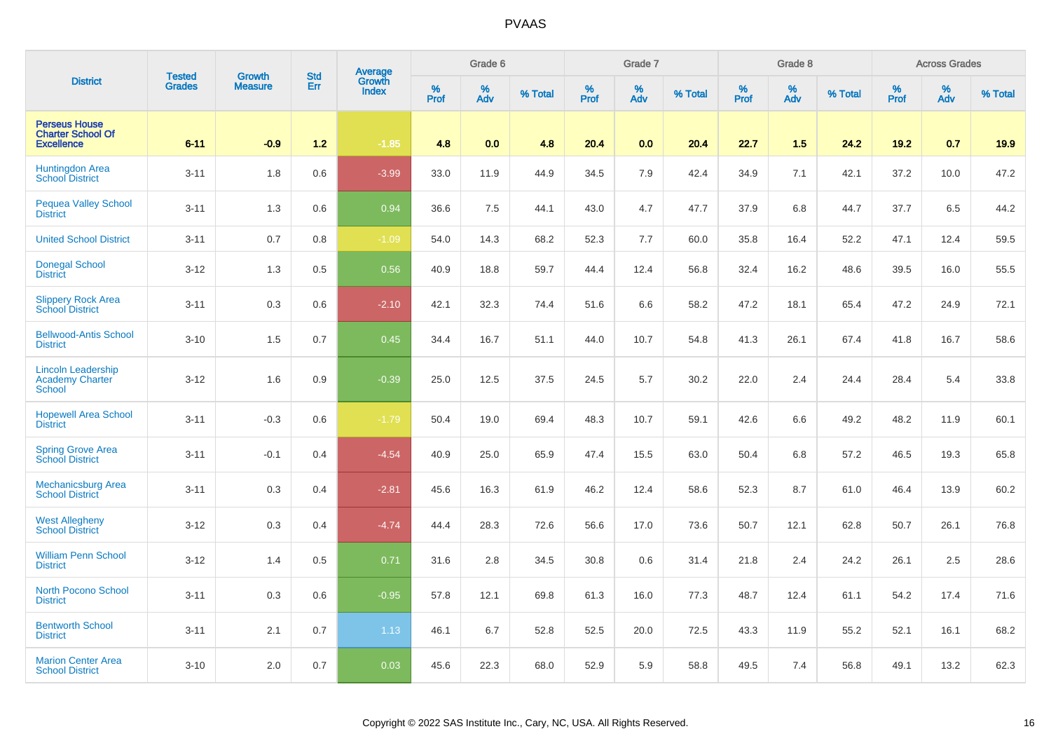| <b>District</b>                                                       | <b>Tested</b> | <b>Growth</b>  | <b>Std</b> | <b>Average</b><br>Growth |           | Grade 6  |         |           | Grade 7  |         |           | Grade 8  |         |           | <b>Across Grades</b> |         |
|-----------------------------------------------------------------------|---------------|----------------|------------|--------------------------|-----------|----------|---------|-----------|----------|---------|-----------|----------|---------|-----------|----------------------|---------|
|                                                                       | <b>Grades</b> | <b>Measure</b> | Err        | <b>Index</b>             | %<br>Prof | %<br>Adv | % Total | %<br>Prof | %<br>Adv | % Total | %<br>Prof | %<br>Adv | % Total | %<br>Prof | %<br>Adv             | % Total |
| <b>Perseus House</b><br><b>Charter School Of</b><br><b>Excellence</b> | $6 - 11$      | $-0.9$         | $1.2$      | $-1.85$                  | 4.8       | 0.0      | 4.8     | 20.4      | 0.0      | 20.4    | 22.7      | 1.5      | 24.2    | 19.2      | 0.7                  | 19.9    |
| Huntingdon Area<br><b>School District</b>                             | $3 - 11$      | 1.8            | 0.6        | $-3.99$                  | 33.0      | 11.9     | 44.9    | 34.5      | 7.9      | 42.4    | 34.9      | 7.1      | 42.1    | 37.2      | 10.0                 | 47.2    |
| <b>Pequea Valley School</b><br><b>District</b>                        | $3 - 11$      | 1.3            | 0.6        | 0.94                     | 36.6      | 7.5      | 44.1    | 43.0      | 4.7      | 47.7    | 37.9      | 6.8      | 44.7    | 37.7      | 6.5                  | 44.2    |
| <b>United School District</b>                                         | $3 - 11$      | 0.7            | 0.8        | $-1.09$                  | 54.0      | 14.3     | 68.2    | 52.3      | 7.7      | 60.0    | 35.8      | 16.4     | 52.2    | 47.1      | 12.4                 | 59.5    |
| <b>Donegal School</b><br><b>District</b>                              | $3 - 12$      | 1.3            | 0.5        | 0.56                     | 40.9      | 18.8     | 59.7    | 44.4      | 12.4     | 56.8    | 32.4      | 16.2     | 48.6    | 39.5      | 16.0                 | 55.5    |
| <b>Slippery Rock Area</b><br><b>School District</b>                   | $3 - 11$      | 0.3            | 0.6        | $-2.10$                  | 42.1      | 32.3     | 74.4    | 51.6      | 6.6      | 58.2    | 47.2      | 18.1     | 65.4    | 47.2      | 24.9                 | 72.1    |
| <b>Bellwood-Antis School</b><br><b>District</b>                       | $3 - 10$      | 1.5            | 0.7        | 0.45                     | 34.4      | 16.7     | 51.1    | 44.0      | 10.7     | 54.8    | 41.3      | 26.1     | 67.4    | 41.8      | 16.7                 | 58.6    |
| <b>Lincoln Leadership</b><br><b>Academy Charter</b><br>School         | $3 - 12$      | 1.6            | 0.9        | $-0.39$                  | 25.0      | 12.5     | 37.5    | 24.5      | 5.7      | 30.2    | 22.0      | 2.4      | 24.4    | 28.4      | 5.4                  | 33.8    |
| <b>Hopewell Area School</b><br><b>District</b>                        | $3 - 11$      | $-0.3$         | 0.6        | $-1.79$                  | 50.4      | 19.0     | 69.4    | 48.3      | 10.7     | 59.1    | 42.6      | 6.6      | 49.2    | 48.2      | 11.9                 | 60.1    |
| Spring Grove Area<br>School District                                  | $3 - 11$      | $-0.1$         | 0.4        | $-4.54$                  | 40.9      | 25.0     | 65.9    | 47.4      | 15.5     | 63.0    | 50.4      | 6.8      | 57.2    | 46.5      | 19.3                 | 65.8    |
| <b>Mechanicsburg Area</b><br><b>School District</b>                   | $3 - 11$      | 0.3            | 0.4        | $-2.81$                  | 45.6      | 16.3     | 61.9    | 46.2      | 12.4     | 58.6    | 52.3      | 8.7      | 61.0    | 46.4      | 13.9                 | 60.2    |
| <b>West Allegheny</b><br><b>School District</b>                       | $3 - 12$      | 0.3            | 0.4        | $-4.74$                  | 44.4      | 28.3     | 72.6    | 56.6      | 17.0     | 73.6    | 50.7      | 12.1     | 62.8    | 50.7      | 26.1                 | 76.8    |
| <b>William Penn School</b><br><b>District</b>                         | $3 - 12$      | 1.4            | 0.5        | 0.71                     | 31.6      | 2.8      | 34.5    | 30.8      | 0.6      | 31.4    | 21.8      | 2.4      | 24.2    | 26.1      | 2.5                  | 28.6    |
| <b>North Pocono School</b><br><b>District</b>                         | $3 - 11$      | 0.3            | 0.6        | $-0.95$                  | 57.8      | 12.1     | 69.8    | 61.3      | 16.0     | 77.3    | 48.7      | 12.4     | 61.1    | 54.2      | 17.4                 | 71.6    |
| <b>Bentworth School</b><br><b>District</b>                            | $3 - 11$      | 2.1            | 0.7        | 1.13                     | 46.1      | 6.7      | 52.8    | 52.5      | 20.0     | 72.5    | 43.3      | 11.9     | 55.2    | 52.1      | 16.1                 | 68.2    |
| <b>Marion Center Area</b><br><b>School District</b>                   | $3 - 10$      | 2.0            | 0.7        | 0.03                     | 45.6      | 22.3     | 68.0    | 52.9      | 5.9      | 58.8    | 49.5      | 7.4      | 56.8    | 49.1      | 13.2                 | 62.3    |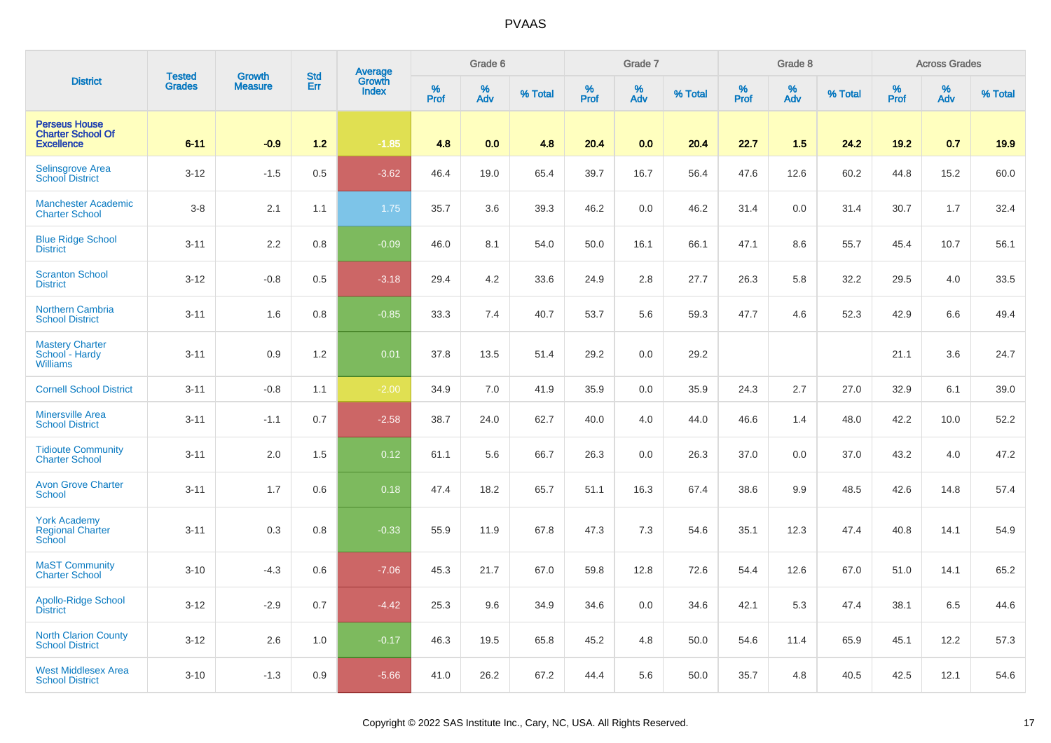| <b>District</b>                                                       | <b>Tested</b> | <b>Growth</b>  | <b>Std</b> | Average<br>Growth |          | Grade 6  |         |           | Grade 7  |         |           | Grade 8  |         |           | <b>Across Grades</b> |         |
|-----------------------------------------------------------------------|---------------|----------------|------------|-------------------|----------|----------|---------|-----------|----------|---------|-----------|----------|---------|-----------|----------------------|---------|
|                                                                       | <b>Grades</b> | <b>Measure</b> | Err        | <b>Index</b>      | $%$ Prof | %<br>Adv | % Total | %<br>Prof | %<br>Adv | % Total | %<br>Prof | %<br>Adv | % Total | %<br>Prof | %<br>Adv             | % Total |
| <b>Perseus House</b><br><b>Charter School Of</b><br><b>Excellence</b> | $6 - 11$      | $-0.9$         | $1.2$      | $-1.85$           | 4.8      | 0.0      | 4.8     | 20.4      | 0.0      | 20.4    | 22.7      | 1.5      | 24.2    | 19.2      | 0.7                  | 19.9    |
| Selinsgrove Area<br><b>School District</b>                            | $3 - 12$      | $-1.5$         | 0.5        | $-3.62$           | 46.4     | 19.0     | 65.4    | 39.7      | 16.7     | 56.4    | 47.6      | 12.6     | 60.2    | 44.8      | 15.2                 | 60.0    |
| <b>Manchester Academic</b><br><b>Charter School</b>                   | $3 - 8$       | 2.1            | 1.1        | 1.75              | 35.7     | 3.6      | 39.3    | 46.2      | 0.0      | 46.2    | 31.4      | 0.0      | 31.4    | 30.7      | 1.7                  | 32.4    |
| <b>Blue Ridge School</b><br><b>District</b>                           | $3 - 11$      | 2.2            | 0.8        | $-0.09$           | 46.0     | 8.1      | 54.0    | 50.0      | 16.1     | 66.1    | 47.1      | 8.6      | 55.7    | 45.4      | 10.7                 | 56.1    |
| <b>Scranton School</b><br><b>District</b>                             | $3 - 12$      | $-0.8$         | 0.5        | $-3.18$           | 29.4     | 4.2      | 33.6    | 24.9      | 2.8      | 27.7    | 26.3      | 5.8      | 32.2    | 29.5      | 4.0                  | 33.5    |
| <b>Northern Cambria</b><br><b>School District</b>                     | $3 - 11$      | 1.6            | 0.8        | $-0.85$           | 33.3     | 7.4      | 40.7    | 53.7      | 5.6      | 59.3    | 47.7      | 4.6      | 52.3    | 42.9      | 6.6                  | 49.4    |
| <b>Mastery Charter</b><br>School - Hardy<br><b>Williams</b>           | $3 - 11$      | 0.9            | 1.2        | 0.01              | 37.8     | 13.5     | 51.4    | 29.2      | 0.0      | 29.2    |           |          |         | 21.1      | 3.6                  | 24.7    |
| <b>Cornell School District</b>                                        | $3 - 11$      | $-0.8$         | 1.1        | $-2.00$           | 34.9     | 7.0      | 41.9    | 35.9      | 0.0      | 35.9    | 24.3      | 2.7      | 27.0    | 32.9      | 6.1                  | 39.0    |
| <b>Minersville Area</b><br><b>School District</b>                     | $3 - 11$      | $-1.1$         | 0.7        | $-2.58$           | 38.7     | 24.0     | 62.7    | 40.0      | 4.0      | 44.0    | 46.6      | 1.4      | 48.0    | 42.2      | 10.0                 | 52.2    |
| <b>Tidioute Community</b><br><b>Charter School</b>                    | $3 - 11$      | 2.0            | 1.5        | 0.12              | 61.1     | 5.6      | 66.7    | 26.3      | 0.0      | 26.3    | 37.0      | 0.0      | 37.0    | 43.2      | 4.0                  | 47.2    |
| <b>Avon Grove Charter</b><br><b>School</b>                            | $3 - 11$      | 1.7            | 0.6        | 0.18              | 47.4     | 18.2     | 65.7    | 51.1      | 16.3     | 67.4    | 38.6      | 9.9      | 48.5    | 42.6      | 14.8                 | 57.4    |
| <b>York Academy</b><br><b>Regional Charter</b><br>School              | $3 - 11$      | 0.3            | 0.8        | $-0.33$           | 55.9     | 11.9     | 67.8    | 47.3      | 7.3      | 54.6    | 35.1      | 12.3     | 47.4    | 40.8      | 14.1                 | 54.9    |
| <b>MaST Community</b><br><b>Charter School</b>                        | $3 - 10$      | $-4.3$         | 0.6        | $-7.06$           | 45.3     | 21.7     | 67.0    | 59.8      | 12.8     | 72.6    | 54.4      | 12.6     | 67.0    | 51.0      | 14.1                 | 65.2    |
| Apollo-Ridge School<br><b>District</b>                                | $3 - 12$      | $-2.9$         | 0.7        | $-4.42$           | 25.3     | 9.6      | 34.9    | 34.6      | 0.0      | 34.6    | 42.1      | 5.3      | 47.4    | 38.1      | 6.5                  | 44.6    |
| <b>North Clarion County</b><br><b>School District</b>                 | $3 - 12$      | 2.6            | 1.0        | $-0.17$           | 46.3     | 19.5     | 65.8    | 45.2      | 4.8      | 50.0    | 54.6      | 11.4     | 65.9    | 45.1      | 12.2                 | 57.3    |
| <b>West Middlesex Area</b><br><b>School District</b>                  | $3 - 10$      | $-1.3$         | 0.9        | $-5.66$           | 41.0     | 26.2     | 67.2    | 44.4      | 5.6      | 50.0    | 35.7      | 4.8      | 40.5    | 42.5      | 12.1                 | 54.6    |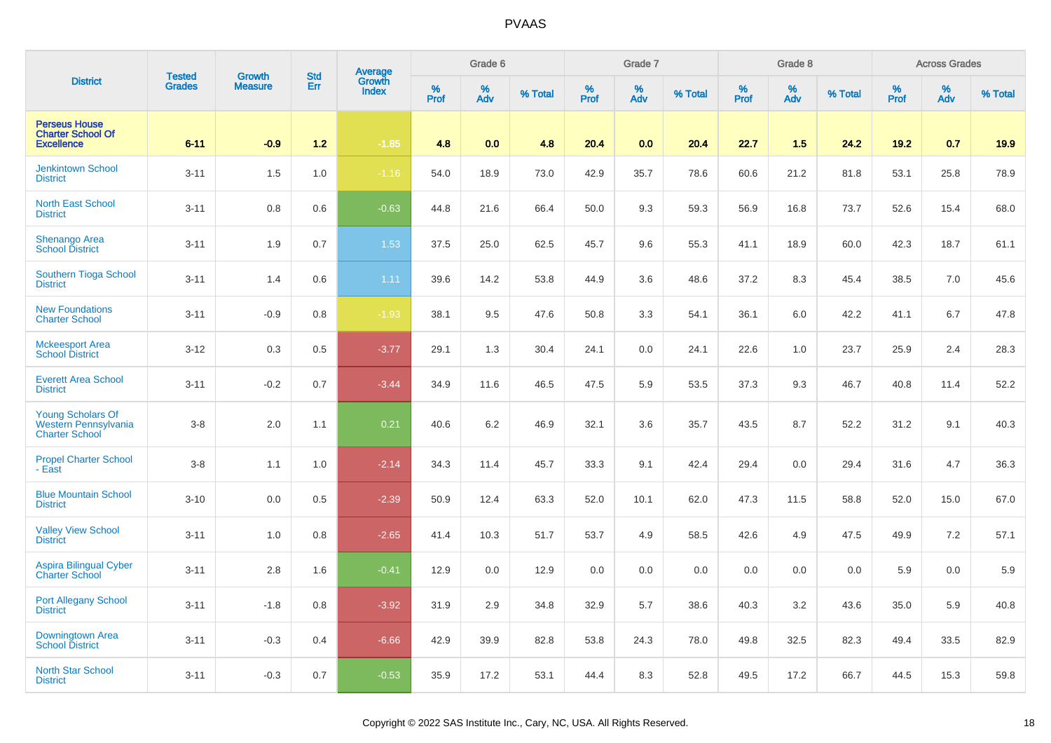| <b>District</b>                                                           | <b>Tested</b> | <b>Growth</b>  | <b>Std</b> | Average<br>Growth |          | Grade 6  |         |          | Grade 7  |         |           | Grade 8  |         |           | <b>Across Grades</b> |         |
|---------------------------------------------------------------------------|---------------|----------------|------------|-------------------|----------|----------|---------|----------|----------|---------|-----------|----------|---------|-----------|----------------------|---------|
|                                                                           | <b>Grades</b> | <b>Measure</b> | Err        | <b>Index</b>      | $%$ Prof | %<br>Adv | % Total | $%$ Prof | %<br>Adv | % Total | %<br>Prof | %<br>Adv | % Total | %<br>Prof | %<br>Adv             | % Total |
| <b>Perseus House</b><br><b>Charter School Of</b><br><b>Excellence</b>     | $6 - 11$      | $-0.9$         | $1.2$      | $-1.85$           | 4.8      | 0.0      | 4.8     | 20.4     | 0.0      | 20.4    | 22.7      | 1.5      | 24.2    | 19.2      | 0.7                  | 19.9    |
| <b>Jenkintown School</b><br><b>District</b>                               | $3 - 11$      | 1.5            | 1.0        | $-1.16$           | 54.0     | 18.9     | 73.0    | 42.9     | 35.7     | 78.6    | 60.6      | 21.2     | 81.8    | 53.1      | 25.8                 | 78.9    |
| <b>North East School</b><br><b>District</b>                               | $3 - 11$      | 0.8            | 0.6        | $-0.63$           | 44.8     | 21.6     | 66.4    | 50.0     | 9.3      | 59.3    | 56.9      | 16.8     | 73.7    | 52.6      | 15.4                 | 68.0    |
| Shenango Area<br><b>School District</b>                                   | $3 - 11$      | 1.9            | 0.7        | 1.53              | 37.5     | 25.0     | 62.5    | 45.7     | 9.6      | 55.3    | 41.1      | 18.9     | 60.0    | 42.3      | 18.7                 | 61.1    |
| Southern Tioga School<br><b>District</b>                                  | $3 - 11$      | 1.4            | 0.6        | 1.11              | 39.6     | 14.2     | 53.8    | 44.9     | 3.6      | 48.6    | 37.2      | 8.3      | 45.4    | 38.5      | 7.0                  | 45.6    |
| <b>New Foundations</b><br><b>Charter School</b>                           | $3 - 11$      | $-0.9$         | 0.8        | $-1.93$           | 38.1     | 9.5      | 47.6    | 50.8     | 3.3      | 54.1    | 36.1      | 6.0      | 42.2    | 41.1      | 6.7                  | 47.8    |
| <b>Mckeesport Area</b><br><b>School District</b>                          | $3 - 12$      | 0.3            | 0.5        | $-3.77$           | 29.1     | 1.3      | 30.4    | 24.1     | 0.0      | 24.1    | 22.6      | 1.0      | 23.7    | 25.9      | 2.4                  | 28.3    |
| <b>Everett Area School</b><br><b>District</b>                             | $3 - 11$      | $-0.2$         | 0.7        | $-3.44$           | 34.9     | 11.6     | 46.5    | 47.5     | 5.9      | 53.5    | 37.3      | 9.3      | 46.7    | 40.8      | 11.4                 | 52.2    |
| <b>Young Scholars Of</b><br>Western Pennsylvania<br><b>Charter School</b> | $3 - 8$       | 2.0            | 1.1        | 0.21              | 40.6     | 6.2      | 46.9    | 32.1     | 3.6      | 35.7    | 43.5      | 8.7      | 52.2    | 31.2      | 9.1                  | 40.3    |
| <b>Propel Charter School</b><br>- East                                    | $3 - 8$       | 1.1            | 1.0        | $-2.14$           | 34.3     | 11.4     | 45.7    | 33.3     | 9.1      | 42.4    | 29.4      | 0.0      | 29.4    | 31.6      | 4.7                  | 36.3    |
| <b>Blue Mountain School</b><br><b>District</b>                            | $3 - 10$      | 0.0            | 0.5        | $-2.39$           | 50.9     | 12.4     | 63.3    | 52.0     | 10.1     | 62.0    | 47.3      | 11.5     | 58.8    | 52.0      | 15.0                 | 67.0    |
| <b>Valley View School</b><br><b>District</b>                              | $3 - 11$      | 1.0            | 0.8        | $-2.65$           | 41.4     | 10.3     | 51.7    | 53.7     | 4.9      | 58.5    | 42.6      | 4.9      | 47.5    | 49.9      | 7.2                  | 57.1    |
| <b>Aspira Bilingual Cyber</b><br><b>Charter School</b>                    | $3 - 11$      | 2.8            | 1.6        | $-0.41$           | 12.9     | 0.0      | 12.9    | 0.0      | $0.0\,$  | 0.0     | 0.0       | 0.0      | 0.0     | 5.9       | 0.0                  | 5.9     |
| Port Allegany School<br><b>District</b>                                   | $3 - 11$      | $-1.8$         | 0.8        | $-3.92$           | 31.9     | 2.9      | 34.8    | 32.9     | 5.7      | 38.6    | 40.3      | 3.2      | 43.6    | 35.0      | 5.9                  | 40.8    |
| Downingtown Area<br><b>School District</b>                                | $3 - 11$      | $-0.3$         | 0.4        | $-6.66$           | 42.9     | 39.9     | 82.8    | 53.8     | 24.3     | 78.0    | 49.8      | 32.5     | 82.3    | 49.4      | 33.5                 | 82.9    |
| <b>North Star School</b><br><b>District</b>                               | $3 - 11$      | $-0.3$         | 0.7        | $-0.53$           | 35.9     | 17.2     | 53.1    | 44.4     | 8.3      | 52.8    | 49.5      | 17.2     | 66.7    | 44.5      | 15.3                 | 59.8    |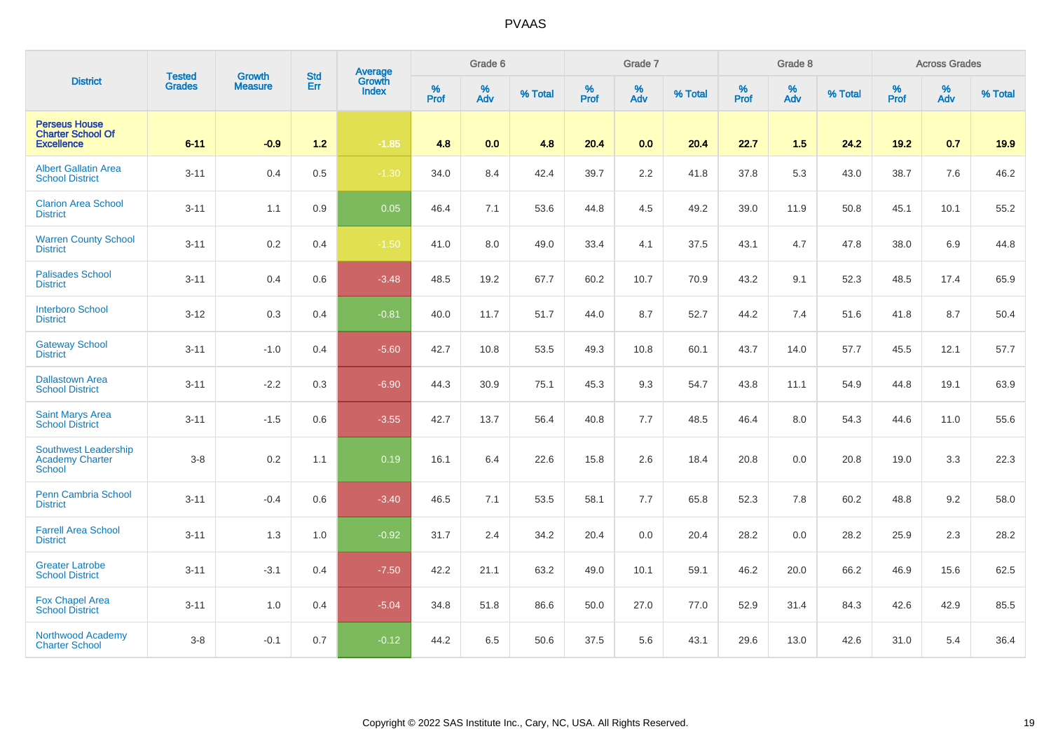| <b>District</b>                                                       | <b>Tested</b> | <b>Growth</b>  | <b>Std</b> | Average<br>Growth |           | Grade 6  |         |           | Grade 7  |         |                  | Grade 8  |         |           | <b>Across Grades</b> |         |
|-----------------------------------------------------------------------|---------------|----------------|------------|-------------------|-----------|----------|---------|-----------|----------|---------|------------------|----------|---------|-----------|----------------------|---------|
|                                                                       | Grades        | <b>Measure</b> | Err        | <b>Index</b>      | %<br>Prof | %<br>Adv | % Total | %<br>Prof | %<br>Adv | % Total | %<br><b>Prof</b> | %<br>Adv | % Total | %<br>Prof | %<br>Adv             | % Total |
| <b>Perseus House</b><br><b>Charter School Of</b><br><b>Excellence</b> | $6 - 11$      | $-0.9$         | $1.2$      | $-1.85$           | 4.8       | 0.0      | 4.8     | 20.4      | 0.0      | 20.4    | 22.7             | 1.5      | 24.2    | 19.2      | 0.7                  | 19.9    |
| <b>Albert Gallatin Area</b><br><b>School District</b>                 | $3 - 11$      | 0.4            | 0.5        | $-1.30$           | 34.0      | 8.4      | 42.4    | 39.7      | 2.2      | 41.8    | 37.8             | 5.3      | 43.0    | 38.7      | 7.6                  | 46.2    |
| <b>Clarion Area School</b><br><b>District</b>                         | $3 - 11$      | 1.1            | 0.9        | 0.05              | 46.4      | 7.1      | 53.6    | 44.8      | 4.5      | 49.2    | 39.0             | 11.9     | 50.8    | 45.1      | 10.1                 | 55.2    |
| <b>Warren County School</b><br><b>District</b>                        | $3 - 11$      | 0.2            | 0.4        | $-1.50$           | 41.0      | 8.0      | 49.0    | 33.4      | 4.1      | 37.5    | 43.1             | 4.7      | 47.8    | 38.0      | 6.9                  | 44.8    |
| <b>Palisades School</b><br><b>District</b>                            | $3 - 11$      | 0.4            | 0.6        | $-3.48$           | 48.5      | 19.2     | 67.7    | 60.2      | 10.7     | 70.9    | 43.2             | 9.1      | 52.3    | 48.5      | 17.4                 | 65.9    |
| <b>Interboro School</b><br><b>District</b>                            | $3 - 12$      | 0.3            | 0.4        | $-0.81$           | 40.0      | 11.7     | 51.7    | 44.0      | 8.7      | 52.7    | 44.2             | 7.4      | 51.6    | 41.8      | 8.7                  | 50.4    |
| <b>Gateway School</b><br><b>District</b>                              | $3 - 11$      | $-1.0$         | 0.4        | $-5.60$           | 42.7      | 10.8     | 53.5    | 49.3      | 10.8     | 60.1    | 43.7             | 14.0     | 57.7    | 45.5      | 12.1                 | 57.7    |
| <b>Dallastown Area</b><br><b>School District</b>                      | $3 - 11$      | $-2.2$         | 0.3        | $-6.90$           | 44.3      | 30.9     | 75.1    | 45.3      | 9.3      | 54.7    | 43.8             | 11.1     | 54.9    | 44.8      | 19.1                 | 63.9    |
| <b>Saint Marys Area</b><br><b>School District</b>                     | $3 - 11$      | $-1.5$         | 0.6        | $-3.55$           | 42.7      | 13.7     | 56.4    | 40.8      | 7.7      | 48.5    | 46.4             | 8.0      | 54.3    | 44.6      | 11.0                 | 55.6    |
| Southwest Leadership<br><b>Academy Charter</b><br><b>School</b>       | $3 - 8$       | 0.2            | 1.1        | 0.19              | 16.1      | 6.4      | 22.6    | 15.8      | 2.6      | 18.4    | 20.8             | 0.0      | 20.8    | 19.0      | 3.3                  | 22.3    |
| <b>Penn Cambria School</b><br><b>District</b>                         | $3 - 11$      | $-0.4$         | 0.6        | $-3.40$           | 46.5      | 7.1      | 53.5    | 58.1      | 7.7      | 65.8    | 52.3             | 7.8      | 60.2    | 48.8      | 9.2                  | 58.0    |
| <b>Farrell Area School</b><br><b>District</b>                         | $3 - 11$      | 1.3            | 1.0        | $-0.92$           | 31.7      | 2.4      | 34.2    | 20.4      | 0.0      | 20.4    | 28.2             | 0.0      | 28.2    | 25.9      | 2.3                  | 28.2    |
| <b>Greater Latrobe</b><br><b>School District</b>                      | $3 - 11$      | $-3.1$         | 0.4        | $-7.50$           | 42.2      | 21.1     | 63.2    | 49.0      | 10.1     | 59.1    | 46.2             | 20.0     | 66.2    | 46.9      | 15.6                 | 62.5    |
| Fox Chapel Area<br><b>School District</b>                             | $3 - 11$      | 1.0            | 0.4        | $-5.04$           | 34.8      | 51.8     | 86.6    | 50.0      | 27.0     | 77.0    | 52.9             | 31.4     | 84.3    | 42.6      | 42.9                 | 85.5    |
| Northwood Academy<br><b>Charter School</b>                            | $3 - 8$       | $-0.1$         | 0.7        | $-0.12$           | 44.2      | 6.5      | 50.6    | 37.5      | 5.6      | 43.1    | 29.6             | 13.0     | 42.6    | 31.0      | 5.4                  | 36.4    |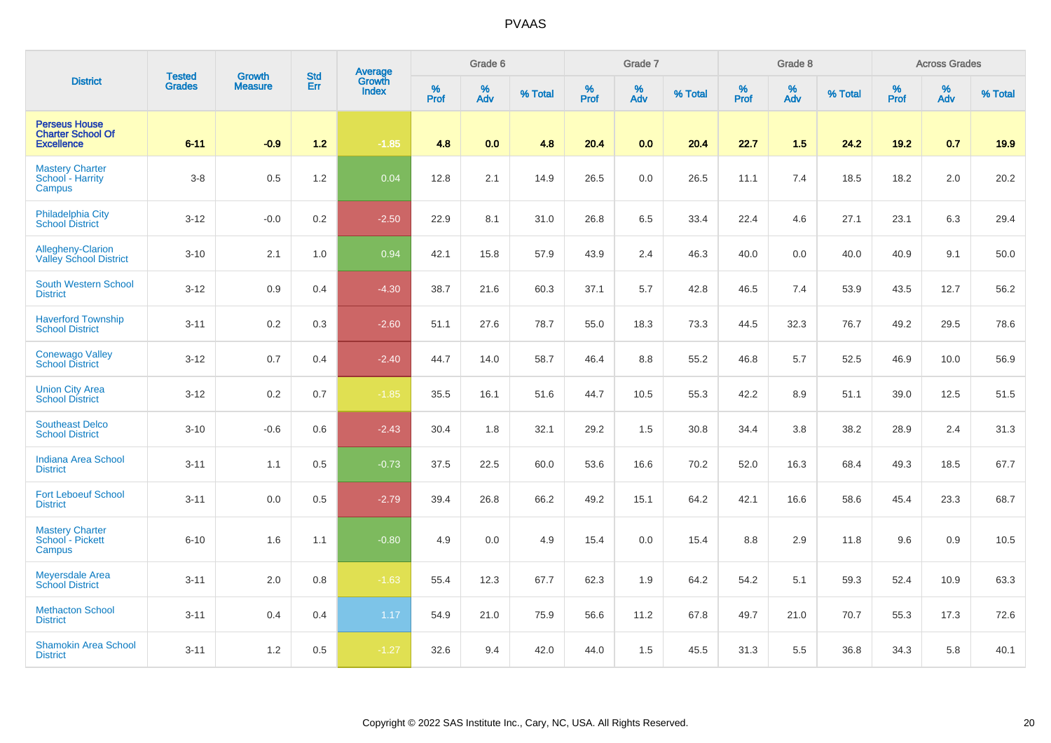| <b>District</b>                                                       | <b>Tested</b> | <b>Growth</b>  | <b>Std</b> | Average                |              | Grade 6  |         |           | Grade 7  |         |           | Grade 8  |         |           | <b>Across Grades</b> |         |
|-----------------------------------------------------------------------|---------------|----------------|------------|------------------------|--------------|----------|---------|-----------|----------|---------|-----------|----------|---------|-----------|----------------------|---------|
|                                                                       | <b>Grades</b> | <b>Measure</b> | Err        | Growth<br><b>Index</b> | $\%$<br>Prof | %<br>Adv | % Total | %<br>Prof | %<br>Adv | % Total | %<br>Prof | %<br>Adv | % Total | %<br>Prof | %<br>Adv             | % Total |
| <b>Perseus House</b><br><b>Charter School Of</b><br><b>Excellence</b> | $6 - 11$      | $-0.9$         | $1.2$      | $-1.85$                | 4.8          | 0.0      | 4.8     | 20.4      | 0.0      | 20.4    | 22.7      | 1.5      | 24.2    | $19.2$    | 0.7                  | 19.9    |
| <b>Mastery Charter</b><br>School - Harrity<br>Campus                  | $3 - 8$       | 0.5            | 1.2        | 0.04                   | 12.8         | 2.1      | 14.9    | 26.5      | $0.0\,$  | 26.5    | 11.1      | 7.4      | 18.5    | 18.2      | $2.0\,$              | 20.2    |
| <b>Philadelphia City</b><br><b>School District</b>                    | $3 - 12$      | $-0.0$         | 0.2        | $-2.50$                | 22.9         | 8.1      | 31.0    | 26.8      | 6.5      | 33.4    | 22.4      | 4.6      | 27.1    | 23.1      | 6.3                  | 29.4    |
| Allegheny-Clarion<br><b>Valley School District</b>                    | $3 - 10$      | 2.1            | 1.0        | 0.94                   | 42.1         | 15.8     | 57.9    | 43.9      | 2.4      | 46.3    | 40.0      | 0.0      | 40.0    | 40.9      | 9.1                  | 50.0    |
| <b>South Western School</b><br><b>District</b>                        | $3 - 12$      | 0.9            | 0.4        | $-4.30$                | 38.7         | 21.6     | 60.3    | 37.1      | 5.7      | 42.8    | 46.5      | 7.4      | 53.9    | 43.5      | 12.7                 | 56.2    |
| <b>Haverford Township</b><br><b>School District</b>                   | $3 - 11$      | 0.2            | 0.3        | $-2.60$                | 51.1         | 27.6     | 78.7    | 55.0      | 18.3     | 73.3    | 44.5      | 32.3     | 76.7    | 49.2      | 29.5                 | 78.6    |
| <b>Conewago Valley</b><br><b>School District</b>                      | $3 - 12$      | 0.7            | 0.4        | $-2.40$                | 44.7         | 14.0     | 58.7    | 46.4      | 8.8      | 55.2    | 46.8      | 5.7      | 52.5    | 46.9      | 10.0                 | 56.9    |
| <b>Union City Area</b><br><b>School District</b>                      | $3 - 12$      | 0.2            | 0.7        | $-1.85$                | 35.5         | 16.1     | 51.6    | 44.7      | 10.5     | 55.3    | 42.2      | 8.9      | 51.1    | 39.0      | 12.5                 | 51.5    |
| <b>Southeast Delco</b><br><b>School District</b>                      | $3 - 10$      | $-0.6$         | 0.6        | $-2.43$                | 30.4         | 1.8      | 32.1    | 29.2      | 1.5      | 30.8    | 34.4      | 3.8      | 38.2    | 28.9      | 2.4                  | 31.3    |
| <b>Indiana Area School</b><br><b>District</b>                         | $3 - 11$      | 1.1            | 0.5        | $-0.73$                | 37.5         | 22.5     | 60.0    | 53.6      | 16.6     | 70.2    | 52.0      | 16.3     | 68.4    | 49.3      | 18.5                 | 67.7    |
| <b>Fort Leboeuf School</b><br><b>District</b>                         | $3 - 11$      | 0.0            | 0.5        | $-2.79$                | 39.4         | 26.8     | 66.2    | 49.2      | 15.1     | 64.2    | 42.1      | 16.6     | 58.6    | 45.4      | 23.3                 | 68.7    |
| <b>Mastery Charter</b><br>School - Pickett<br>Campus                  | $6 - 10$      | 1.6            | 1.1        | $-0.80$                | 4.9          | 0.0      | 4.9     | 15.4      | $0.0\,$  | 15.4    | $8.8\,$   | 2.9      | 11.8    | 9.6       | 0.9                  | 10.5    |
| <b>Meyersdale Area</b><br><b>School District</b>                      | $3 - 11$      | 2.0            | 0.8        | $-1.63$                | 55.4         | 12.3     | 67.7    | 62.3      | 1.9      | 64.2    | 54.2      | 5.1      | 59.3    | 52.4      | 10.9                 | 63.3    |
| <b>Methacton School</b><br><b>District</b>                            | $3 - 11$      | 0.4            | 0.4        | 1.17                   | 54.9         | 21.0     | 75.9    | 56.6      | 11.2     | 67.8    | 49.7      | 21.0     | 70.7    | 55.3      | 17.3                 | 72.6    |
| <b>Shamokin Area School</b><br><b>District</b>                        | $3 - 11$      | 1.2            | 0.5        | $-1.27$                | 32.6         | 9.4      | 42.0    | 44.0      | 1.5      | 45.5    | 31.3      | 5.5      | 36.8    | 34.3      | 5.8                  | 40.1    |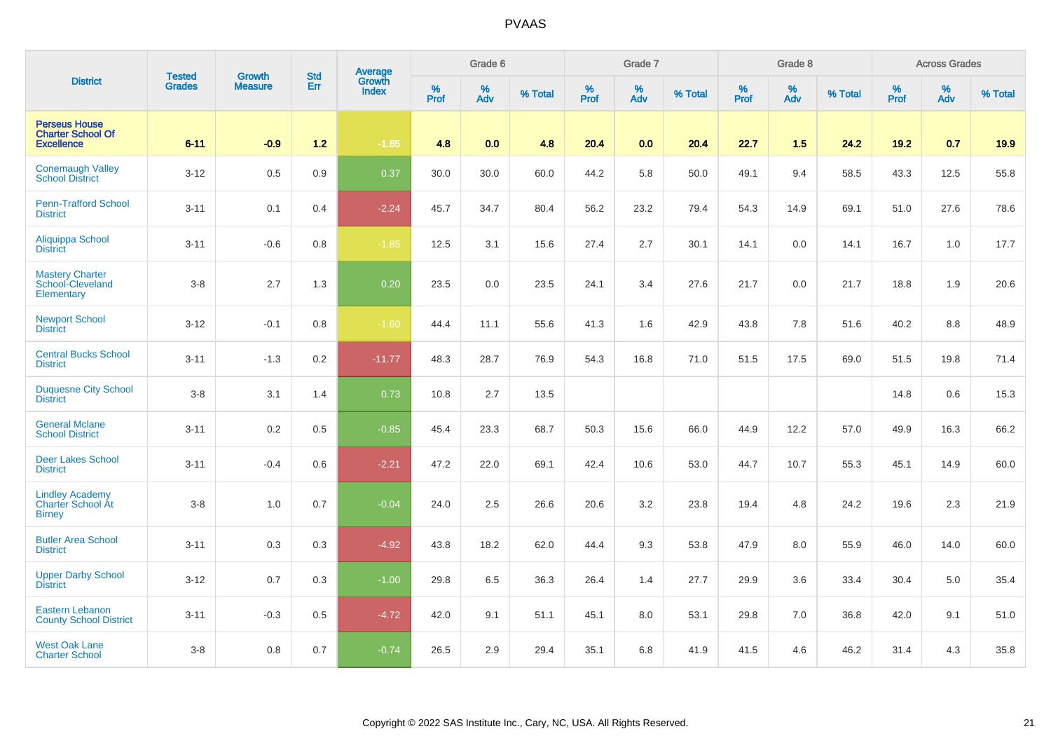| <b>District</b>                                                       | <b>Tested</b> | <b>Growth</b>  | <b>Std</b> |                                   |              | Grade 6     |         |           | Grade 7     |         |                  | Grade 8  |         |           | <b>Across Grades</b> |         |
|-----------------------------------------------------------------------|---------------|----------------|------------|-----------------------------------|--------------|-------------|---------|-----------|-------------|---------|------------------|----------|---------|-----------|----------------------|---------|
|                                                                       | <b>Grades</b> | <b>Measure</b> | Err        | Average<br>Growth<br><b>Index</b> | $\%$<br>Prof | $\%$<br>Adv | % Total | %<br>Prof | $\%$<br>Adv | % Total | %<br><b>Prof</b> | %<br>Adv | % Total | %<br>Prof | $\%$<br>Adv          | % Total |
| <b>Perseus House</b><br><b>Charter School Of</b><br><b>Excellence</b> | $6 - 11$      | $-0.9$         | $1.2$      | $-1.85$                           | 4.8          | 0.0         | 4.8     | 20.4      | 0.0         | 20.4    | 22.7             | 1.5      | 24.2    | 19.2      | 0.7                  | 19.9    |
| <b>Conemaugh Valley</b><br><b>School District</b>                     | $3 - 12$      | 0.5            | 0.9        | 0.37                              | 30.0         | 30.0        | 60.0    | 44.2      | 5.8         | 50.0    | 49.1             | 9.4      | 58.5    | 43.3      | 12.5                 | 55.8    |
| <b>Penn-Trafford School</b><br><b>District</b>                        | $3 - 11$      | 0.1            | 0.4        | $-2.24$                           | 45.7         | 34.7        | 80.4    | 56.2      | 23.2        | 79.4    | 54.3             | 14.9     | 69.1    | 51.0      | 27.6                 | 78.6    |
| Aliquippa School<br><b>District</b>                                   | $3 - 11$      | $-0.6$         | 0.8        | $-1.85$                           | 12.5         | 3.1         | 15.6    | 27.4      | 2.7         | 30.1    | 14.1             | 0.0      | 14.1    | 16.7      | 1.0                  | 17.7    |
| <b>Mastery Charter</b><br>School-Cleveland<br>Elementary              | $3 - 8$       | 2.7            | 1.3        | 0.20                              | 23.5         | 0.0         | 23.5    | 24.1      | 3.4         | 27.6    | 21.7             | 0.0      | 21.7    | 18.8      | 1.9                  | 20.6    |
| <b>Newport School</b><br><b>District</b>                              | $3 - 12$      | $-0.1$         | 0.8        | $-1.60$                           | 44.4         | 11.1        | 55.6    | 41.3      | 1.6         | 42.9    | 43.8             | 7.8      | 51.6    | 40.2      | 8.8                  | 48.9    |
| <b>Central Bucks School</b><br><b>District</b>                        | $3 - 11$      | $-1.3$         | 0.2        | $-11.77$                          | 48.3         | 28.7        | 76.9    | 54.3      | 16.8        | 71.0    | 51.5             | 17.5     | 69.0    | 51.5      | 19.8                 | 71.4    |
| <b>Duquesne City School</b><br><b>District</b>                        | $3 - 8$       | 3.1            | 1.4        | 0.73                              | 10.8         | 2.7         | 13.5    |           |             |         |                  |          |         | 14.8      | $0.6\,$              | 15.3    |
| <b>General Mclane</b><br><b>School District</b>                       | $3 - 11$      | 0.2            | 0.5        | $-0.85$                           | 45.4         | 23.3        | 68.7    | 50.3      | 15.6        | 66.0    | 44.9             | 12.2     | 57.0    | 49.9      | 16.3                 | 66.2    |
| <b>Deer Lakes School</b><br><b>District</b>                           | $3 - 11$      | $-0.4$         | 0.6        | $-2.21$                           | 47.2         | 22.0        | 69.1    | 42.4      | 10.6        | 53.0    | 44.7             | 10.7     | 55.3    | 45.1      | 14.9                 | 60.0    |
| <b>Lindley Academy</b><br><b>Charter School At</b><br><b>Birney</b>   | $3 - 8$       | 1.0            | 0.7        | $-0.04$                           | 24.0         | 2.5         | 26.6    | 20.6      | 3.2         | 23.8    | 19.4             | 4.8      | 24.2    | 19.6      | 2.3                  | 21.9    |
| <b>Butler Area School</b><br><b>District</b>                          | $3 - 11$      | 0.3            | 0.3        | $-4.92$                           | 43.8         | 18.2        | 62.0    | 44.4      | 9.3         | 53.8    | 47.9             | 8.0      | 55.9    | 46.0      | 14.0                 | 60.0    |
| <b>Upper Darby School</b><br><b>District</b>                          | $3 - 12$      | 0.7            | 0.3        | $-1.00$                           | 29.8         | 6.5         | 36.3    | 26.4      | 1.4         | 27.7    | 29.9             | 3.6      | 33.4    | 30.4      | 5.0                  | 35.4    |
| <b>Eastern Lebanon</b><br><b>County School District</b>               | $3 - 11$      | $-0.3$         | 0.5        | $-4.72$                           | 42.0         | 9.1         | 51.1    | 45.1      | 8.0         | 53.1    | 29.8             | 7.0      | 36.8    | 42.0      | 9.1                  | 51.0    |
| <b>West Oak Lane</b><br><b>Charter School</b>                         | $3 - 8$       | 0.8            | 0.7        | $-0.74$                           | 26.5         | 2.9         | 29.4    | 35.1      | 6.8         | 41.9    | 41.5             | 4.6      | 46.2    | 31.4      | 4.3                  | 35.8    |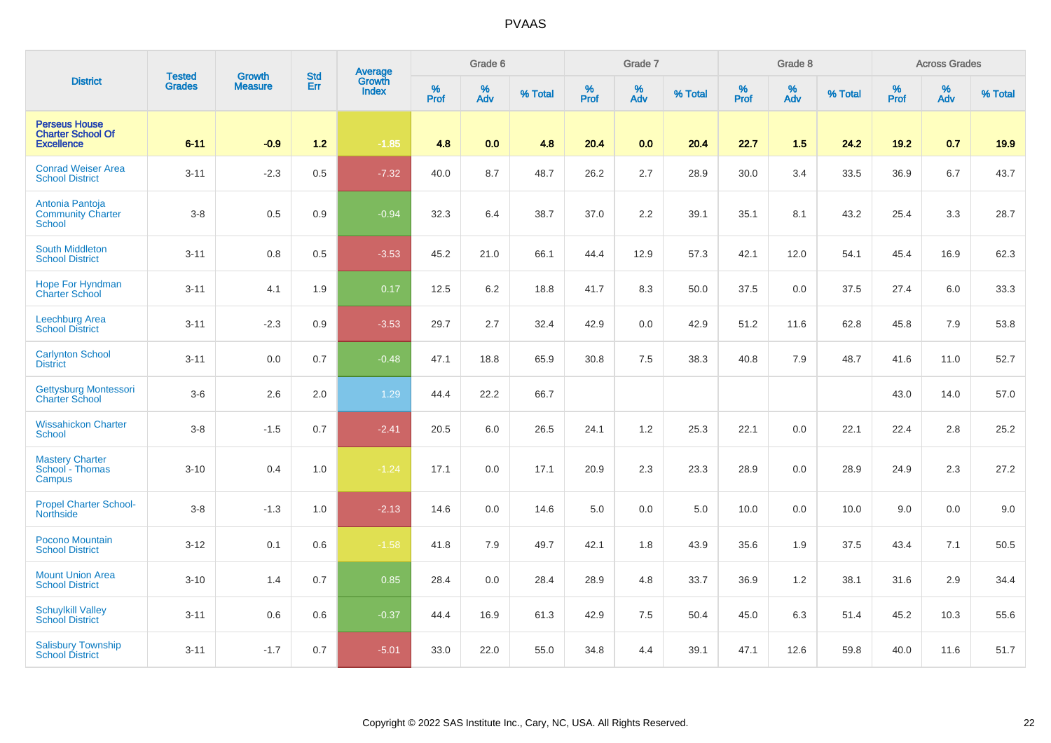|                                                                       | <b>Tested</b> | <b>Growth</b>  | <b>Std</b> | Average<br>Growth |           | Grade 6     |         |                  | Grade 7     |         |           | Grade 8  |         |           | <b>Across Grades</b> |         |
|-----------------------------------------------------------------------|---------------|----------------|------------|-------------------|-----------|-------------|---------|------------------|-------------|---------|-----------|----------|---------|-----------|----------------------|---------|
| <b>District</b>                                                       | <b>Grades</b> | <b>Measure</b> | Err        | <b>Index</b>      | %<br>Prof | $\%$<br>Adv | % Total | %<br><b>Prof</b> | $\%$<br>Adv | % Total | %<br>Prof | %<br>Adv | % Total | %<br>Prof | $\%$<br><b>Adv</b>   | % Total |
| <b>Perseus House</b><br><b>Charter School Of</b><br><b>Excellence</b> | $6 - 11$      | $-0.9$         | $1.2$      | $-1.85$           | 4.8       | 0.0         | 4.8     | 20.4             | 0.0         | 20.4    | 22.7      | 1.5      | 24.2    | 19.2      | 0.7                  | 19.9    |
| <b>Conrad Weiser Area</b><br><b>School District</b>                   | $3 - 11$      | $-2.3$         | 0.5        | $-7.32$           | 40.0      | 8.7         | 48.7    | 26.2             | 2.7         | 28.9    | 30.0      | 3.4      | 33.5    | 36.9      | 6.7                  | 43.7    |
| Antonia Pantoja<br><b>Community Charter</b><br><b>School</b>          | $3 - 8$       | 0.5            | 0.9        | $-0.94$           | 32.3      | 6.4         | 38.7    | 37.0             | 2.2         | 39.1    | 35.1      | 8.1      | 43.2    | 25.4      | 3.3                  | 28.7    |
| <b>South Middleton</b><br><b>School District</b>                      | $3 - 11$      | 0.8            | 0.5        | $-3.53$           | 45.2      | 21.0        | 66.1    | 44.4             | 12.9        | 57.3    | 42.1      | 12.0     | 54.1    | 45.4      | 16.9                 | 62.3    |
| <b>Hope For Hyndman</b><br><b>Charter School</b>                      | $3 - 11$      | 4.1            | 1.9        | 0.17              | 12.5      | $6.2\,$     | 18.8    | 41.7             | 8.3         | 50.0    | 37.5      | 0.0      | 37.5    | 27.4      | 6.0                  | 33.3    |
| Leechburg Area<br><b>School District</b>                              | $3 - 11$      | $-2.3$         | 0.9        | $-3.53$           | 29.7      | 2.7         | 32.4    | 42.9             | $0.0\,$     | 42.9    | 51.2      | 11.6     | 62.8    | 45.8      | 7.9                  | 53.8    |
| <b>Carlynton School</b><br><b>District</b>                            | $3 - 11$      | 0.0            | 0.7        | $-0.48$           | 47.1      | 18.8        | 65.9    | 30.8             | 7.5         | 38.3    | 40.8      | 7.9      | 48.7    | 41.6      | 11.0                 | 52.7    |
| Gettysburg Montessori<br><b>Charter School</b>                        | $3-6$         | 2.6            | 2.0        | 1.29              | 44.4      | 22.2        | 66.7    |                  |             |         |           |          |         | 43.0      | 14.0                 | 57.0    |
| <b>Wissahickon Charter</b><br><b>School</b>                           | $3-8$         | $-1.5$         | 0.7        | $-2.41$           | 20.5      | 6.0         | 26.5    | 24.1             | 1.2         | 25.3    | 22.1      | 0.0      | 22.1    | 22.4      | 2.8                  | 25.2    |
| <b>Mastery Charter</b><br>School - Thomas<br>Campus                   | $3 - 10$      | 0.4            | 1.0        | $-1.24$           | 17.1      | 0.0         | 17.1    | 20.9             | 2.3         | 23.3    | 28.9      | 0.0      | 28.9    | 24.9      | 2.3                  | 27.2    |
| <b>Propel Charter School-</b><br><b>Northside</b>                     | $3 - 8$       | $-1.3$         | 1.0        | $-2.13$           | 14.6      | 0.0         | 14.6    | 5.0              | $0.0\,$     | $5.0\,$ | 10.0      | 0.0      | 10.0    | 9.0       | 0.0                  | 9.0     |
| Pocono Mountain<br><b>School District</b>                             | $3 - 12$      | 0.1            | 0.6        | $-1.58$           | 41.8      | 7.9         | 49.7    | 42.1             | 1.8         | 43.9    | 35.6      | 1.9      | 37.5    | 43.4      | 7.1                  | 50.5    |
| <b>Mount Union Area</b><br><b>School District</b>                     | $3 - 10$      | 1.4            | 0.7        | 0.85              | 28.4      | 0.0         | 28.4    | 28.9             | 4.8         | 33.7    | 36.9      | 1.2      | 38.1    | 31.6      | 2.9                  | 34.4    |
| <b>Schuylkill Valley</b><br><b>School District</b>                    | $3 - 11$      | 0.6            | 0.6        | $-0.37$           | 44.4      | 16.9        | 61.3    | 42.9             | 7.5         | 50.4    | 45.0      | 6.3      | 51.4    | 45.2      | 10.3                 | 55.6    |
| <b>Salisbury Township</b><br><b>School District</b>                   | $3 - 11$      | $-1.7$         | 0.7        | $-5.01$           | 33.0      | 22.0        | 55.0    | 34.8             | 4.4         | 39.1    | 47.1      | 12.6     | 59.8    | 40.0      | 11.6                 | 51.7    |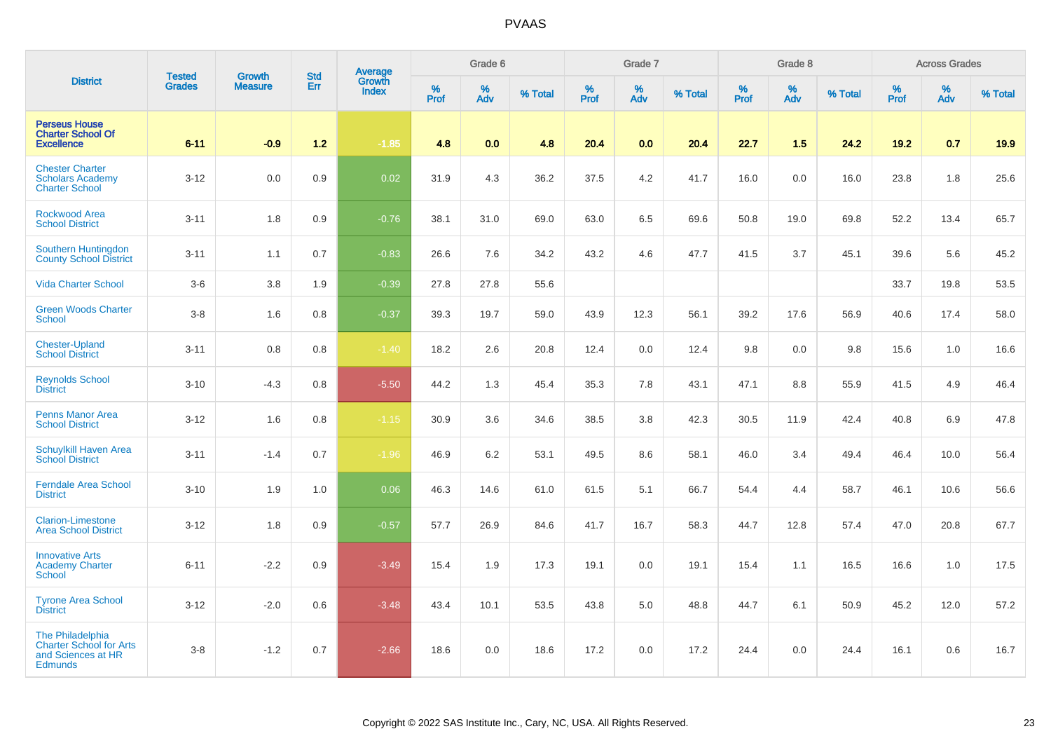| <b>District</b>                                                                            |                                |                                 | <b>Std</b> |                                   |           | Grade 6  |         |           | Grade 7  |         |                  | Grade 8  |         |           | <b>Across Grades</b> |         |
|--------------------------------------------------------------------------------------------|--------------------------------|---------------------------------|------------|-----------------------------------|-----------|----------|---------|-----------|----------|---------|------------------|----------|---------|-----------|----------------------|---------|
|                                                                                            | <b>Tested</b><br><b>Grades</b> | <b>Growth</b><br><b>Measure</b> | Err        | Average<br>Growth<br><b>Index</b> | %<br>Prof | %<br>Adv | % Total | %<br>Prof | %<br>Adv | % Total | %<br><b>Prof</b> | %<br>Adv | % Total | %<br>Prof | %<br>Adv             | % Total |
| <b>Perseus House</b><br><b>Charter School Of</b><br><b>Excellence</b>                      | $6 - 11$                       | $-0.9$                          | $1.2$      | $-1.85$                           | 4.8       | 0.0      | 4.8     | 20.4      | 0.0      | 20.4    | 22.7             | 1.5      | 24.2    | 19.2      | 0.7                  | 19.9    |
| <b>Chester Charter</b><br><b>Scholars Academy</b><br><b>Charter School</b>                 | $3 - 12$                       | 0.0                             | 0.9        | 0.02                              | 31.9      | 4.3      | 36.2    | 37.5      | 4.2      | 41.7    | 16.0             | 0.0      | 16.0    | 23.8      | 1.8                  | 25.6    |
| <b>Rockwood Area</b><br><b>School District</b>                                             | $3 - 11$                       | 1.8                             | 0.9        | $-0.76$                           | 38.1      | 31.0     | 69.0    | 63.0      | 6.5      | 69.6    | 50.8             | 19.0     | 69.8    | 52.2      | 13.4                 | 65.7    |
| Southern Huntingdon<br><b>County School District</b>                                       | $3 - 11$                       | 1.1                             | 0.7        | $-0.83$                           | 26.6      | 7.6      | 34.2    | 43.2      | 4.6      | 47.7    | 41.5             | 3.7      | 45.1    | 39.6      | 5.6                  | 45.2    |
| <b>Vida Charter School</b>                                                                 | $3-6$                          | 3.8                             | 1.9        | $-0.39$                           | 27.8      | 27.8     | 55.6    |           |          |         |                  |          |         | 33.7      | 19.8                 | 53.5    |
| <b>Green Woods Charter</b><br><b>School</b>                                                | $3 - 8$                        | 1.6                             | 0.8        | $-0.37$                           | 39.3      | 19.7     | 59.0    | 43.9      | 12.3     | 56.1    | 39.2             | 17.6     | 56.9    | 40.6      | 17.4                 | 58.0    |
| <b>Chester-Upland</b><br><b>School District</b>                                            | $3 - 11$                       | 0.8                             | 0.8        | $-1.40$                           | 18.2      | 2.6      | 20.8    | 12.4      | 0.0      | 12.4    | 9.8              | 0.0      | 9.8     | 15.6      | 1.0                  | 16.6    |
| <b>Reynolds School</b><br><b>District</b>                                                  | $3 - 10$                       | $-4.3$                          | 0.8        | $-5.50$                           | 44.2      | 1.3      | 45.4    | 35.3      | 7.8      | 43.1    | 47.1             | 8.8      | 55.9    | 41.5      | 4.9                  | 46.4    |
| <b>Penns Manor Area</b><br><b>School District</b>                                          | $3 - 12$                       | 1.6                             | 0.8        | $-1.15$                           | 30.9      | 3.6      | 34.6    | 38.5      | $3.8\,$  | 42.3    | 30.5             | 11.9     | 42.4    | 40.8      | 6.9                  | 47.8    |
| <b>Schuylkill Haven Area</b><br><b>School District</b>                                     | $3 - 11$                       | $-1.4$                          | 0.7        | $-1.96$                           | 46.9      | 6.2      | 53.1    | 49.5      | 8.6      | 58.1    | 46.0             | 3.4      | 49.4    | 46.4      | 10.0                 | 56.4    |
| <b>Ferndale Area School</b><br><b>District</b>                                             | $3 - 10$                       | 1.9                             | 1.0        | 0.06                              | 46.3      | 14.6     | 61.0    | 61.5      | 5.1      | 66.7    | 54.4             | 4.4      | 58.7    | 46.1      | 10.6                 | 56.6    |
| <b>Clarion-Limestone</b><br><b>Area School District</b>                                    | $3 - 12$                       | 1.8                             | 0.9        | $-0.57$                           | 57.7      | 26.9     | 84.6    | 41.7      | 16.7     | 58.3    | 44.7             | 12.8     | 57.4    | 47.0      | 20.8                 | 67.7    |
| <b>Innovative Arts</b><br><b>Academy Charter</b><br>School                                 | $6 - 11$                       | $-2.2$                          | 0.9        | $-3.49$                           | 15.4      | 1.9      | 17.3    | 19.1      | 0.0      | 19.1    | 15.4             | 1.1      | 16.5    | 16.6      | 1.0                  | 17.5    |
| <b>Tyrone Area School</b><br><b>District</b>                                               | $3 - 12$                       | $-2.0$                          | 0.6        | $-3.48$                           | 43.4      | 10.1     | 53.5    | 43.8      | 5.0      | 48.8    | 44.7             | 6.1      | 50.9    | 45.2      | 12.0                 | 57.2    |
| The Philadelphia<br><b>Charter School for Arts</b><br>and Sciences at HR<br><b>Edmunds</b> | $3 - 8$                        | $-1.2$                          | 0.7        | $-2.66$                           | 18.6      | 0.0      | 18.6    | 17.2      | 0.0      | 17.2    | 24.4             | 0.0      | 24.4    | 16.1      | 0.6                  | 16.7    |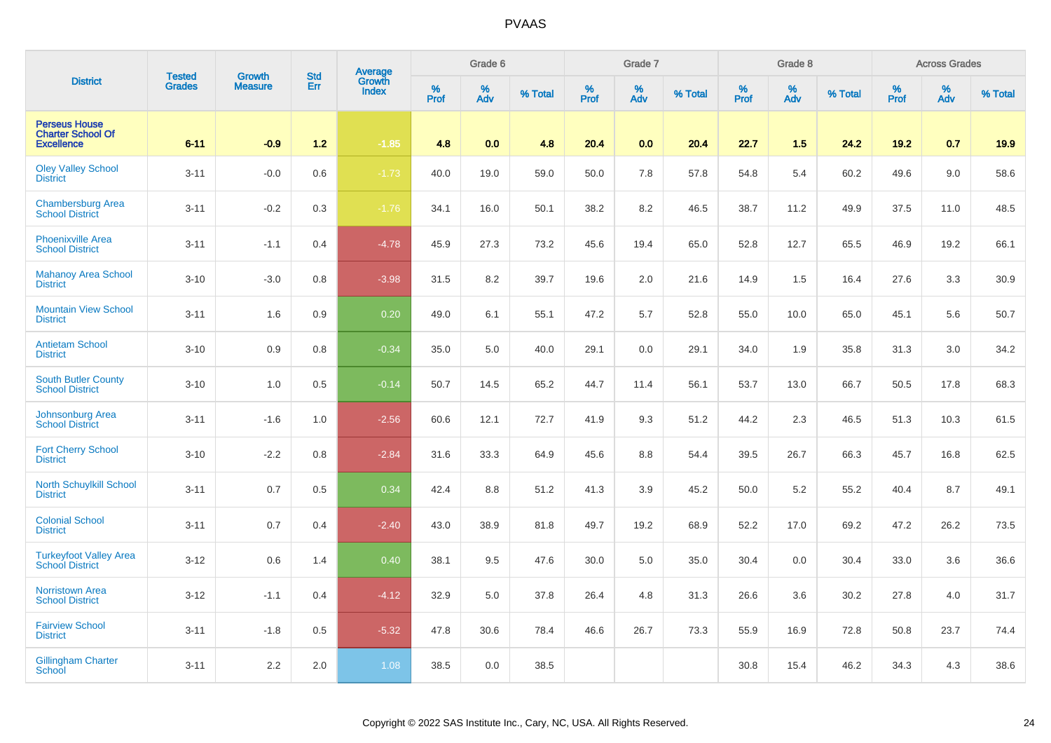|                                                                       | <b>Tested</b> | <b>Growth</b>  | <b>Std</b> | Average<br>Growth |           | Grade 6  |         |           | Grade 7  |         |              | Grade 8  |         |           | <b>Across Grades</b> |         |
|-----------------------------------------------------------------------|---------------|----------------|------------|-------------------|-----------|----------|---------|-----------|----------|---------|--------------|----------|---------|-----------|----------------------|---------|
| <b>District</b>                                                       | <b>Grades</b> | <b>Measure</b> | Err        | <b>Index</b>      | %<br>Prof | %<br>Adv | % Total | %<br>Prof | %<br>Adv | % Total | $\%$<br>Prof | %<br>Adv | % Total | %<br>Prof | %<br>Adv             | % Total |
| <b>Perseus House</b><br><b>Charter School Of</b><br><b>Excellence</b> | $6 - 11$      | $-0.9$         | $1.2$      | $-1.85$           | 4.8       | 0.0      | 4.8     | 20.4      | 0.0      | 20.4    | 22.7         | 1.5      | 24.2    | 19.2      | 0.7                  | 19.9    |
| <b>Oley Valley School</b><br><b>District</b>                          | $3 - 11$      | $-0.0$         | 0.6        | $-1.73$           | 40.0      | 19.0     | 59.0    | 50.0      | 7.8      | 57.8    | 54.8         | 5.4      | 60.2    | 49.6      | 9.0                  | 58.6    |
| <b>Chambersburg Area</b><br><b>School District</b>                    | $3 - 11$      | $-0.2$         | 0.3        | $-1.76$           | 34.1      | 16.0     | 50.1    | 38.2      | 8.2      | 46.5    | 38.7         | 11.2     | 49.9    | 37.5      | 11.0                 | 48.5    |
| <b>Phoenixville Area</b><br><b>School District</b>                    | $3 - 11$      | $-1.1$         | 0.4        | $-4.78$           | 45.9      | 27.3     | 73.2    | 45.6      | 19.4     | 65.0    | 52.8         | 12.7     | 65.5    | 46.9      | 19.2                 | 66.1    |
| <b>Mahanoy Area School</b><br><b>District</b>                         | $3 - 10$      | $-3.0$         | 0.8        | $-3.98$           | 31.5      | 8.2      | 39.7    | 19.6      | 2.0      | 21.6    | 14.9         | 1.5      | 16.4    | 27.6      | 3.3                  | 30.9    |
| <b>Mountain View School</b><br><b>District</b>                        | $3 - 11$      | 1.6            | 0.9        | 0.20              | 49.0      | 6.1      | 55.1    | 47.2      | 5.7      | 52.8    | 55.0         | 10.0     | 65.0    | 45.1      | 5.6                  | 50.7    |
| <b>Antietam School</b><br><b>District</b>                             | $3 - 10$      | 0.9            | 0.8        | $-0.34$           | 35.0      | 5.0      | 40.0    | 29.1      | 0.0      | 29.1    | 34.0         | 1.9      | 35.8    | 31.3      | 3.0                  | 34.2    |
| <b>South Butler County</b><br><b>School District</b>                  | $3 - 10$      | 1.0            | 0.5        | $-0.14$           | 50.7      | 14.5     | 65.2    | 44.7      | 11.4     | 56.1    | 53.7         | 13.0     | 66.7    | 50.5      | 17.8                 | 68.3    |
| Johnsonburg Area<br><b>School District</b>                            | $3 - 11$      | $-1.6$         | 1.0        | $-2.56$           | 60.6      | 12.1     | 72.7    | 41.9      | 9.3      | 51.2    | 44.2         | 2.3      | 46.5    | 51.3      | 10.3                 | 61.5    |
| <b>Fort Cherry School</b><br><b>District</b>                          | $3 - 10$      | $-2.2$         | 0.8        | $-2.84$           | 31.6      | 33.3     | 64.9    | 45.6      | 8.8      | 54.4    | 39.5         | 26.7     | 66.3    | 45.7      | 16.8                 | 62.5    |
| North Schuylkill School<br><b>District</b>                            | $3 - 11$      | 0.7            | 0.5        | 0.34              | 42.4      | 8.8      | 51.2    | 41.3      | 3.9      | 45.2    | 50.0         | 5.2      | 55.2    | 40.4      | 8.7                  | 49.1    |
| <b>Colonial School</b><br><b>District</b>                             | $3 - 11$      | 0.7            | 0.4        | $-2.40$           | 43.0      | 38.9     | 81.8    | 49.7      | 19.2     | 68.9    | 52.2         | 17.0     | 69.2    | 47.2      | 26.2                 | 73.5    |
| <b>Turkeyfoot Valley Area</b><br><b>School District</b>               | $3 - 12$      | 0.6            | 1.4        | 0.40              | 38.1      | 9.5      | 47.6    | 30.0      | $5.0\,$  | 35.0    | 30.4         | 0.0      | 30.4    | 33.0      | 3.6                  | 36.6    |
| <b>Norristown Area</b><br><b>School District</b>                      | $3 - 12$      | $-1.1$         | 0.4        | $-4.12$           | 32.9      | 5.0      | 37.8    | 26.4      | 4.8      | 31.3    | 26.6         | 3.6      | 30.2    | 27.8      | 4.0                  | 31.7    |
| <b>Fairview School</b><br><b>District</b>                             | $3 - 11$      | $-1.8$         | 0.5        | $-5.32$           | 47.8      | 30.6     | 78.4    | 46.6      | 26.7     | 73.3    | 55.9         | 16.9     | 72.8    | 50.8      | 23.7                 | 74.4    |
| <b>Gillingham Charter</b><br>School                                   | $3 - 11$      | 2.2            | 2.0        | 1.08              | 38.5      | 0.0      | 38.5    |           |          |         | 30.8         | 15.4     | 46.2    | 34.3      | 4.3                  | 38.6    |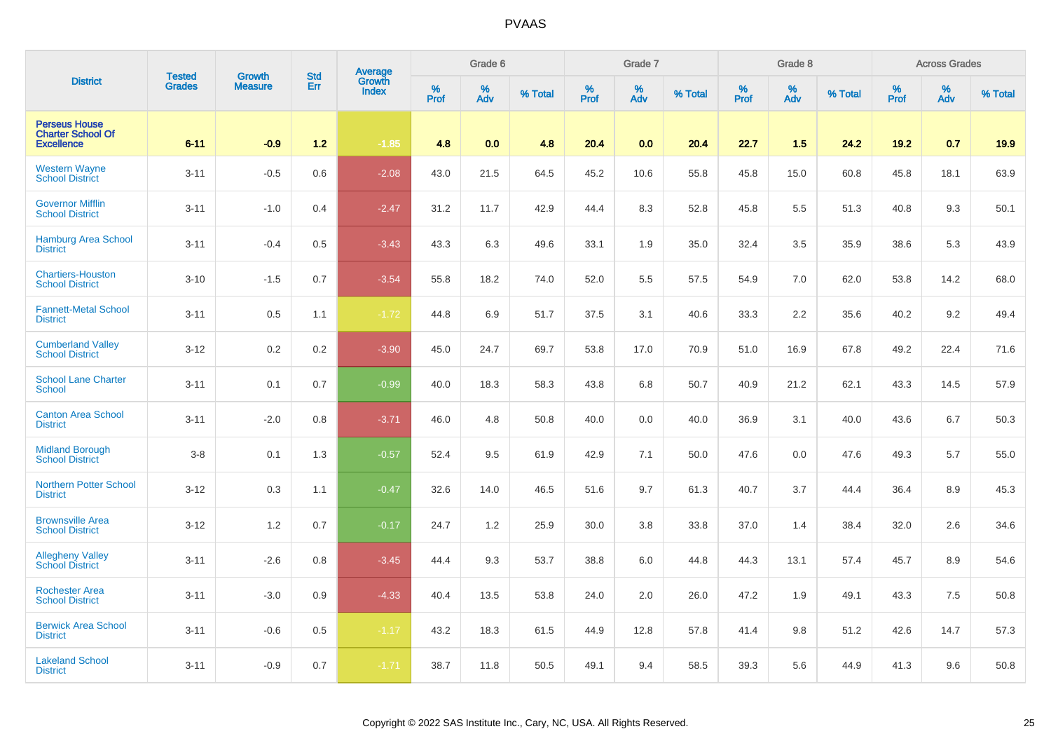|                                                                       | <b>Tested</b> | <b>Growth</b>  | <b>Std</b> | <b>Average</b><br>Growth |           | Grade 6  |         |           | Grade 7  |         |              | Grade 8  |         |           | <b>Across Grades</b> |         |
|-----------------------------------------------------------------------|---------------|----------------|------------|--------------------------|-----------|----------|---------|-----------|----------|---------|--------------|----------|---------|-----------|----------------------|---------|
| <b>District</b>                                                       | <b>Grades</b> | <b>Measure</b> | Err        | <b>Index</b>             | %<br>Prof | %<br>Adv | % Total | %<br>Prof | %<br>Adv | % Total | $\%$<br>Prof | %<br>Adv | % Total | %<br>Prof | %<br>Adv             | % Total |
| <b>Perseus House</b><br><b>Charter School Of</b><br><b>Excellence</b> | $6 - 11$      | $-0.9$         | 1.2        | $-1.85$                  | 4.8       | 0.0      | 4.8     | 20.4      | 0.0      | 20.4    | 22.7         | 1.5      | 24.2    | 19.2      | 0.7                  | 19.9    |
| <b>Western Wayne</b><br><b>School District</b>                        | $3 - 11$      | $-0.5$         | 0.6        | $-2.08$                  | 43.0      | 21.5     | 64.5    | 45.2      | 10.6     | 55.8    | 45.8         | 15.0     | 60.8    | 45.8      | 18.1                 | 63.9    |
| <b>Governor Mifflin</b><br><b>School District</b>                     | $3 - 11$      | $-1.0$         | 0.4        | $-2.47$                  | 31.2      | 11.7     | 42.9    | 44.4      | 8.3      | 52.8    | 45.8         | 5.5      | 51.3    | 40.8      | 9.3                  | 50.1    |
| <b>Hamburg Area School</b><br><b>District</b>                         | $3 - 11$      | $-0.4$         | 0.5        | $-3.43$                  | 43.3      | 6.3      | 49.6    | 33.1      | 1.9      | 35.0    | 32.4         | 3.5      | 35.9    | 38.6      | 5.3                  | 43.9    |
| <b>Chartiers-Houston</b><br><b>School District</b>                    | $3 - 10$      | $-1.5$         | 0.7        | $-3.54$                  | 55.8      | 18.2     | 74.0    | 52.0      | 5.5      | 57.5    | 54.9         | 7.0      | 62.0    | 53.8      | 14.2                 | 68.0    |
| <b>Fannett-Metal School</b><br><b>District</b>                        | $3 - 11$      | 0.5            | 1.1        | $-1.72$                  | 44.8      | 6.9      | 51.7    | 37.5      | 3.1      | 40.6    | 33.3         | 2.2      | 35.6    | 40.2      | 9.2                  | 49.4    |
| <b>Cumberland Valley</b><br><b>School District</b>                    | $3 - 12$      | 0.2            | 0.2        | $-3.90$                  | 45.0      | 24.7     | 69.7    | 53.8      | 17.0     | 70.9    | 51.0         | 16.9     | 67.8    | 49.2      | 22.4                 | 71.6    |
| <b>School Lane Charter</b><br><b>School</b>                           | $3 - 11$      | 0.1            | 0.7        | $-0.99$                  | 40.0      | 18.3     | 58.3    | 43.8      | 6.8      | 50.7    | 40.9         | 21.2     | 62.1    | 43.3      | 14.5                 | 57.9    |
| <b>Canton Area School</b><br><b>District</b>                          | $3 - 11$      | $-2.0$         | 0.8        | $-3.71$                  | 46.0      | 4.8      | 50.8    | 40.0      | 0.0      | 40.0    | 36.9         | 3.1      | 40.0    | 43.6      | 6.7                  | 50.3    |
| <b>Midland Borough</b><br><b>School District</b>                      | $3 - 8$       | 0.1            | 1.3        | $-0.57$                  | 52.4      | 9.5      | 61.9    | 42.9      | 7.1      | 50.0    | 47.6         | 0.0      | 47.6    | 49.3      | 5.7                  | 55.0    |
| <b>Northern Potter School</b><br><b>District</b>                      | $3 - 12$      | 0.3            | 1.1        | $-0.47$                  | 32.6      | 14.0     | 46.5    | 51.6      | 9.7      | 61.3    | 40.7         | 3.7      | 44.4    | 36.4      | 8.9                  | 45.3    |
| <b>Brownsville Area</b><br><b>School District</b>                     | $3 - 12$      | 1.2            | 0.7        | $-0.17$                  | 24.7      | 1.2      | 25.9    | 30.0      | 3.8      | 33.8    | 37.0         | 1.4      | 38.4    | 32.0      | 2.6                  | 34.6    |
| <b>Allegheny Valley</b><br><b>School District</b>                     | $3 - 11$      | $-2.6$         | 0.8        | $-3.45$                  | 44.4      | 9.3      | 53.7    | 38.8      | 6.0      | 44.8    | 44.3         | 13.1     | 57.4    | 45.7      | 8.9                  | 54.6    |
| <b>Rochester Area</b><br><b>School District</b>                       | $3 - 11$      | $-3.0$         | 0.9        | $-4.33$                  | 40.4      | 13.5     | 53.8    | 24.0      | 2.0      | 26.0    | 47.2         | 1.9      | 49.1    | 43.3      | 7.5                  | 50.8    |
| <b>Berwick Area School</b><br><b>District</b>                         | $3 - 11$      | $-0.6$         | 0.5        | $-1.17$                  | 43.2      | 18.3     | 61.5    | 44.9      | 12.8     | 57.8    | 41.4         | 9.8      | 51.2    | 42.6      | 14.7                 | 57.3    |
| <b>Lakeland School</b><br><b>District</b>                             | $3 - 11$      | $-0.9$         | 0.7        | $-1.71$                  | 38.7      | 11.8     | 50.5    | 49.1      | 9.4      | 58.5    | 39.3         | 5.6      | 44.9    | 41.3      | 9.6                  | 50.8    |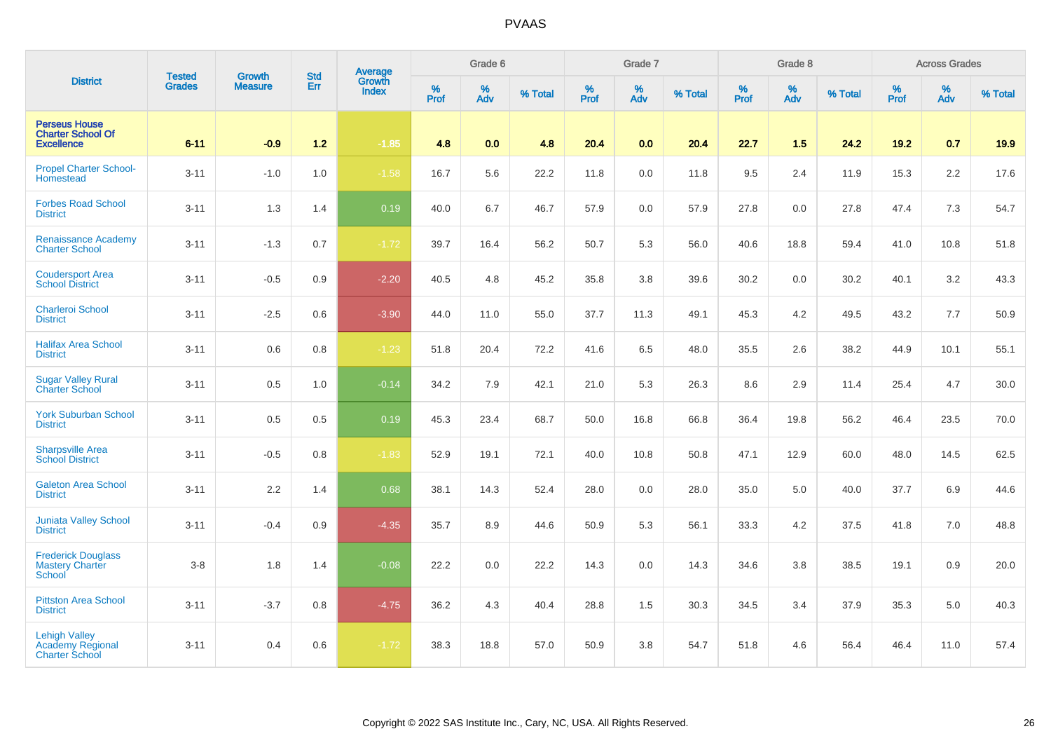|                                                                          | <b>Tested</b> | <b>Growth</b>  | <b>Std</b> | <b>Average</b><br>Growth |           | Grade 6  |         |           | Grade 7  |         |                  | Grade 8  |         |           | <b>Across Grades</b> |         |
|--------------------------------------------------------------------------|---------------|----------------|------------|--------------------------|-----------|----------|---------|-----------|----------|---------|------------------|----------|---------|-----------|----------------------|---------|
| <b>District</b>                                                          | <b>Grades</b> | <b>Measure</b> | Err        | <b>Index</b>             | %<br>Prof | %<br>Adv | % Total | %<br>Prof | %<br>Adv | % Total | %<br><b>Prof</b> | %<br>Adv | % Total | %<br>Prof | %<br>Adv             | % Total |
| <b>Perseus House</b><br><b>Charter School Of</b><br><b>Excellence</b>    | $6 - 11$      | $-0.9$         | $1.2$      | $-1.85$                  | 4.8       | 0.0      | 4.8     | 20.4      | 0.0      | 20.4    | 22.7             | 1.5      | 24.2    | 19.2      | 0.7                  | 19.9    |
| <b>Propel Charter School-</b><br>Homestead                               | $3 - 11$      | $-1.0$         | 1.0        | $-1.58$                  | 16.7      | 5.6      | 22.2    | 11.8      | 0.0      | 11.8    | 9.5              | 2.4      | 11.9    | 15.3      | 2.2                  | 17.6    |
| <b>Forbes Road School</b><br><b>District</b>                             | $3 - 11$      | 1.3            | 1.4        | 0.19                     | 40.0      | 6.7      | 46.7    | 57.9      | 0.0      | 57.9    | 27.8             | 0.0      | 27.8    | 47.4      | 7.3                  | 54.7    |
| <b>Renaissance Academy</b><br><b>Charter School</b>                      | $3 - 11$      | $-1.3$         | 0.7        | $-1.72$                  | 39.7      | 16.4     | 56.2    | 50.7      | 5.3      | 56.0    | 40.6             | 18.8     | 59.4    | 41.0      | 10.8                 | 51.8    |
| <b>Coudersport Area</b><br><b>School District</b>                        | $3 - 11$      | $-0.5$         | 0.9        | $-2.20$                  | 40.5      | 4.8      | 45.2    | 35.8      | $3.8\,$  | 39.6    | 30.2             | 0.0      | 30.2    | 40.1      | 3.2                  | 43.3    |
| <b>Charleroi School</b><br><b>District</b>                               | $3 - 11$      | $-2.5$         | 0.6        | $-3.90$                  | 44.0      | 11.0     | 55.0    | 37.7      | 11.3     | 49.1    | 45.3             | 4.2      | 49.5    | 43.2      | 7.7                  | 50.9    |
| <b>Halifax Area School</b><br><b>District</b>                            | $3 - 11$      | 0.6            | 0.8        | $-1.23$                  | 51.8      | 20.4     | 72.2    | 41.6      | 6.5      | 48.0    | 35.5             | 2.6      | 38.2    | 44.9      | 10.1                 | 55.1    |
| <b>Sugar Valley Rural</b><br><b>Charter School</b>                       | $3 - 11$      | 0.5            | 1.0        | $-0.14$                  | 34.2      | 7.9      | 42.1    | 21.0      | 5.3      | 26.3    | $8.6\,$          | 2.9      | 11.4    | 25.4      | 4.7                  | 30.0    |
| <b>York Suburban School</b><br><b>District</b>                           | $3 - 11$      | 0.5            | 0.5        | 0.19                     | 45.3      | 23.4     | 68.7    | 50.0      | 16.8     | 66.8    | 36.4             | 19.8     | 56.2    | 46.4      | 23.5                 | 70.0    |
| <b>Sharpsville Area</b><br><b>School District</b>                        | $3 - 11$      | $-0.5$         | 0.8        | $-1.83$                  | 52.9      | 19.1     | 72.1    | 40.0      | 10.8     | 50.8    | 47.1             | 12.9     | 60.0    | 48.0      | 14.5                 | 62.5    |
| <b>Galeton Area School</b><br><b>District</b>                            | $3 - 11$      | 2.2            | 1.4        | 0.68                     | 38.1      | 14.3     | 52.4    | 28.0      | 0.0      | 28.0    | 35.0             | 5.0      | 40.0    | 37.7      | 6.9                  | 44.6    |
| <b>Juniata Valley School</b><br><b>District</b>                          | $3 - 11$      | $-0.4$         | 0.9        | $-4.35$                  | 35.7      | 8.9      | 44.6    | 50.9      | 5.3      | 56.1    | 33.3             | 4.2      | 37.5    | 41.8      | 7.0                  | 48.8    |
| <b>Frederick Douglass</b><br><b>Mastery Charter</b><br><b>School</b>     | $3 - 8$       | 1.8            | 1.4        | $-0.08$                  | 22.2      | 0.0      | 22.2    | 14.3      | $0.0\,$  | 14.3    | 34.6             | 3.8      | 38.5    | 19.1      | 0.9                  | 20.0    |
| <b>Pittston Area School</b><br><b>District</b>                           | $3 - 11$      | $-3.7$         | 0.8        | $-4.75$                  | 36.2      | 4.3      | 40.4    | 28.8      | 1.5      | 30.3    | 34.5             | 3.4      | 37.9    | 35.3      | 5.0                  | 40.3    |
| <b>Lehigh Valley</b><br><b>Academy Regional</b><br><b>Charter School</b> | $3 - 11$      | 0.4            | 0.6        | $-1.72$                  | 38.3      | 18.8     | 57.0    | 50.9      | $3.8\,$  | 54.7    | 51.8             | 4.6      | 56.4    | 46.4      | 11.0                 | 57.4    |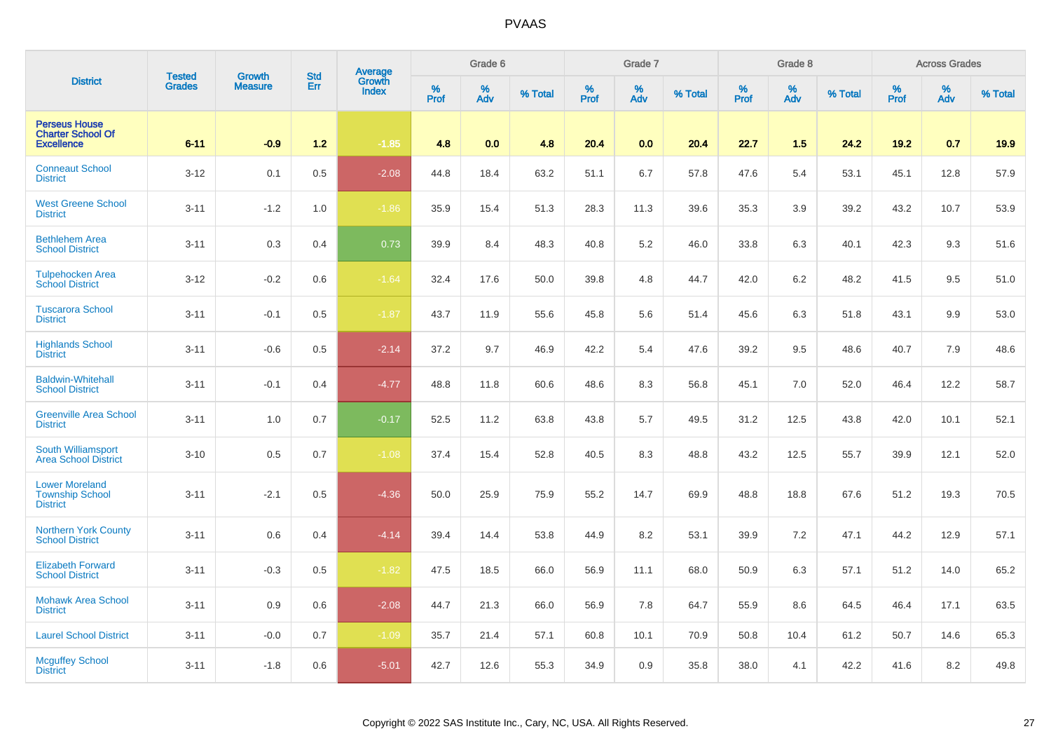|                                                                       | <b>Tested</b> | <b>Growth</b>  | <b>Std</b> |                                          |                     | Grade 6  |         |           | Grade 7  |         |                  | Grade 8  |         |           | <b>Across Grades</b> |         |
|-----------------------------------------------------------------------|---------------|----------------|------------|------------------------------------------|---------------------|----------|---------|-----------|----------|---------|------------------|----------|---------|-----------|----------------------|---------|
| <b>District</b>                                                       | <b>Grades</b> | <b>Measure</b> | Err        | <b>Average</b><br>Growth<br><b>Index</b> | $\%$<br><b>Prof</b> | %<br>Adv | % Total | %<br>Prof | %<br>Adv | % Total | %<br><b>Prof</b> | %<br>Adv | % Total | %<br>Prof | $\%$<br>Adv          | % Total |
| <b>Perseus House</b><br><b>Charter School Of</b><br><b>Excellence</b> | $6 - 11$      | $-0.9$         | $1.2$      | $-1.85$                                  | 4.8                 | 0.0      | 4.8     | 20.4      | 0.0      | 20.4    | 22.7             | 1.5      | 24.2    | 19.2      | 0.7                  | 19.9    |
| <b>Conneaut School</b><br><b>District</b>                             | $3 - 12$      | 0.1            | 0.5        | $-2.08$                                  | 44.8                | 18.4     | 63.2    | 51.1      | 6.7      | 57.8    | 47.6             | 5.4      | 53.1    | 45.1      | 12.8                 | 57.9    |
| <b>West Greene School</b><br><b>District</b>                          | $3 - 11$      | $-1.2$         | 1.0        | $-1.86$                                  | 35.9                | 15.4     | 51.3    | 28.3      | 11.3     | 39.6    | 35.3             | 3.9      | 39.2    | 43.2      | 10.7                 | 53.9    |
| <b>Bethlehem Area</b><br><b>School District</b>                       | $3 - 11$      | 0.3            | 0.4        | 0.73                                     | 39.9                | 8.4      | 48.3    | 40.8      | $5.2\,$  | 46.0    | 33.8             | 6.3      | 40.1    | 42.3      | 9.3                  | 51.6    |
| <b>Tulpehocken Area</b><br><b>School District</b>                     | $3 - 12$      | $-0.2$         | 0.6        | $-1.64$                                  | 32.4                | 17.6     | 50.0    | 39.8      | 4.8      | 44.7    | 42.0             | 6.2      | 48.2    | 41.5      | 9.5                  | 51.0    |
| <b>Tuscarora School</b><br><b>District</b>                            | $3 - 11$      | $-0.1$         | 0.5        | $-1.87$                                  | 43.7                | 11.9     | 55.6    | 45.8      | 5.6      | 51.4    | 45.6             | 6.3      | 51.8    | 43.1      | 9.9                  | 53.0    |
| <b>Highlands School</b><br><b>District</b>                            | $3 - 11$      | $-0.6$         | 0.5        | $-2.14$                                  | 37.2                | 9.7      | 46.9    | 42.2      | 5.4      | 47.6    | 39.2             | 9.5      | 48.6    | 40.7      | 7.9                  | 48.6    |
| <b>Baldwin-Whitehall</b><br><b>School District</b>                    | $3 - 11$      | $-0.1$         | 0.4        | $-4.77$                                  | 48.8                | 11.8     | 60.6    | 48.6      | 8.3      | 56.8    | 45.1             | 7.0      | 52.0    | 46.4      | 12.2                 | 58.7    |
| <b>Greenville Area School</b><br><b>District</b>                      | $3 - 11$      | 1.0            | 0.7        | $-0.17$                                  | 52.5                | 11.2     | 63.8    | 43.8      | 5.7      | 49.5    | 31.2             | 12.5     | 43.8    | 42.0      | 10.1                 | 52.1    |
| South Williamsport<br><b>Area School District</b>                     | $3 - 10$      | 0.5            | 0.7        | $-1.08$                                  | 37.4                | 15.4     | 52.8    | 40.5      | 8.3      | 48.8    | 43.2             | 12.5     | 55.7    | 39.9      | 12.1                 | 52.0    |
| <b>Lower Moreland</b><br><b>Township School</b><br><b>District</b>    | $3 - 11$      | $-2.1$         | 0.5        | $-4.36$                                  | 50.0                | 25.9     | 75.9    | 55.2      | 14.7     | 69.9    | 48.8             | 18.8     | 67.6    | 51.2      | 19.3                 | 70.5    |
| <b>Northern York County</b><br><b>School District</b>                 | $3 - 11$      | 0.6            | 0.4        | $-4.14$                                  | 39.4                | 14.4     | 53.8    | 44.9      | 8.2      | 53.1    | 39.9             | 7.2      | 47.1    | 44.2      | 12.9                 | 57.1    |
| <b>Elizabeth Forward</b><br><b>School District</b>                    | $3 - 11$      | $-0.3$         | 0.5        | $-1.82$                                  | 47.5                | 18.5     | 66.0    | 56.9      | 11.1     | 68.0    | 50.9             | 6.3      | 57.1    | 51.2      | 14.0                 | 65.2    |
| <b>Mohawk Area School</b><br><b>District</b>                          | $3 - 11$      | 0.9            | 0.6        | $-2.08$                                  | 44.7                | 21.3     | 66.0    | 56.9      | 7.8      | 64.7    | 55.9             | 8.6      | 64.5    | 46.4      | 17.1                 | 63.5    |
| <b>Laurel School District</b>                                         | $3 - 11$      | $-0.0$         | 0.7        | $-1.09$                                  | 35.7                | 21.4     | 57.1    | 60.8      | 10.1     | 70.9    | 50.8             | 10.4     | 61.2    | 50.7      | 14.6                 | 65.3    |
| <b>Mcguffey School</b><br><b>District</b>                             | $3 - 11$      | $-1.8$         | 0.6        | $-5.01$                                  | 42.7                | 12.6     | 55.3    | 34.9      | 0.9      | 35.8    | 38.0             | 4.1      | 42.2    | 41.6      | 8.2                  | 49.8    |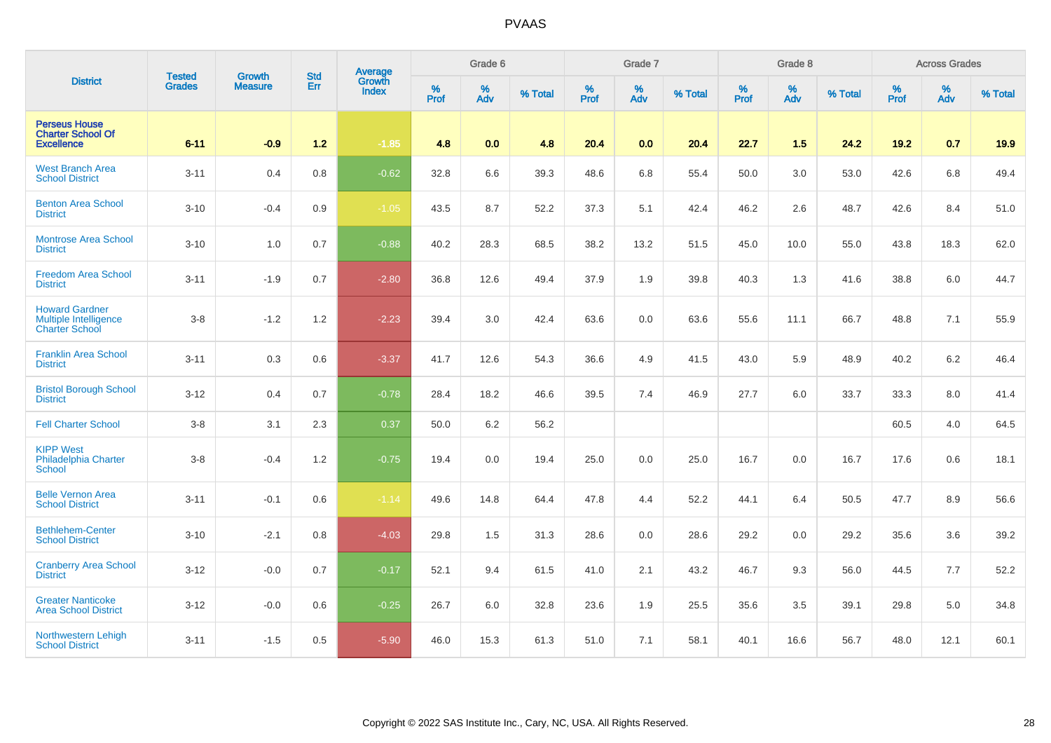|                                                                                | <b>Tested</b> | <b>Growth</b>  | <b>Std</b> | Average                |                  | Grade 6  |         |           | Grade 7  |         |           | Grade 8  |         |                  | <b>Across Grades</b> |         |
|--------------------------------------------------------------------------------|---------------|----------------|------------|------------------------|------------------|----------|---------|-----------|----------|---------|-----------|----------|---------|------------------|----------------------|---------|
| <b>District</b>                                                                | <b>Grades</b> | <b>Measure</b> | Err        | Growth<br><b>Index</b> | %<br><b>Prof</b> | %<br>Adv | % Total | %<br>Prof | %<br>Adv | % Total | %<br>Prof | %<br>Adv | % Total | %<br><b>Prof</b> | %<br>Adv             | % Total |
| <b>Perseus House</b><br><b>Charter School Of</b><br><b>Excellence</b>          | $6 - 11$      | $-0.9$         | $1.2$      | $-1.85$                | 4.8              | 0.0      | 4.8     | 20.4      | 0.0      | 20.4    | 22.7      | 1.5      | 24.2    | 19.2             | 0.7                  | 19.9    |
| <b>West Branch Area</b><br><b>School District</b>                              | $3 - 11$      | 0.4            | 0.8        | $-0.62$                | 32.8             | 6.6      | 39.3    | 48.6      | 6.8      | 55.4    | 50.0      | 3.0      | 53.0    | 42.6             | 6.8                  | 49.4    |
| <b>Benton Area School</b><br><b>District</b>                                   | $3 - 10$      | $-0.4$         | 0.9        | $-1.05$                | 43.5             | 8.7      | 52.2    | 37.3      | 5.1      | 42.4    | 46.2      | 2.6      | 48.7    | 42.6             | 8.4                  | 51.0    |
| <b>Montrose Area School</b><br><b>District</b>                                 | $3 - 10$      | 1.0            | 0.7        | $-0.88$                | 40.2             | 28.3     | 68.5    | 38.2      | 13.2     | 51.5    | 45.0      | 10.0     | 55.0    | 43.8             | 18.3                 | 62.0    |
| <b>Freedom Area School</b><br><b>District</b>                                  | $3 - 11$      | $-1.9$         | 0.7        | $-2.80$                | 36.8             | 12.6     | 49.4    | 37.9      | 1.9      | 39.8    | 40.3      | 1.3      | 41.6    | 38.8             | 6.0                  | 44.7    |
| <b>Howard Gardner</b><br><b>Multiple Intelligence</b><br><b>Charter School</b> | $3 - 8$       | $-1.2$         | 1.2        | $-2.23$                | 39.4             | 3.0      | 42.4    | 63.6      | 0.0      | 63.6    | 55.6      | 11.1     | 66.7    | 48.8             | 7.1                  | 55.9    |
| <b>Franklin Area School</b><br><b>District</b>                                 | $3 - 11$      | 0.3            | 0.6        | $-3.37$                | 41.7             | 12.6     | 54.3    | 36.6      | 4.9      | 41.5    | 43.0      | 5.9      | 48.9    | 40.2             | $6.2\,$              | 46.4    |
| <b>Bristol Borough School</b><br><b>District</b>                               | $3 - 12$      | 0.4            | 0.7        | $-0.78$                | 28.4             | 18.2     | 46.6    | 39.5      | 7.4      | 46.9    | 27.7      | 6.0      | 33.7    | 33.3             | 8.0                  | 41.4    |
| <b>Fell Charter School</b>                                                     | $3 - 8$       | 3.1            | 2.3        | 0.37                   | 50.0             | 6.2      | 56.2    |           |          |         |           |          |         | 60.5             | 4.0                  | 64.5    |
| <b>KIPP West</b><br><b>Philadelphia Charter</b><br><b>School</b>               | $3 - 8$       | $-0.4$         | 1.2        | $-0.75$                | 19.4             | 0.0      | 19.4    | 25.0      | 0.0      | 25.0    | 16.7      | 0.0      | 16.7    | 17.6             | 0.6                  | 18.1    |
| <b>Belle Vernon Area</b><br><b>School District</b>                             | $3 - 11$      | $-0.1$         | 0.6        | $-1.14$                | 49.6             | 14.8     | 64.4    | 47.8      | 4.4      | 52.2    | 44.1      | 6.4      | 50.5    | 47.7             | 8.9                  | 56.6    |
| <b>Bethlehem-Center</b><br><b>School District</b>                              | $3 - 10$      | $-2.1$         | 0.8        | $-4.03$                | 29.8             | 1.5      | 31.3    | 28.6      | $0.0\,$  | 28.6    | 29.2      | 0.0      | 29.2    | 35.6             | 3.6                  | 39.2    |
| <b>Cranberry Area School</b><br><b>District</b>                                | $3 - 12$      | $-0.0$         | 0.7        | $-0.17$                | 52.1             | 9.4      | 61.5    | 41.0      | 2.1      | 43.2    | 46.7      | 9.3      | 56.0    | 44.5             | $7.7\,$              | 52.2    |
| <b>Greater Nanticoke</b><br><b>Area School District</b>                        | $3 - 12$      | $-0.0$         | 0.6        | $-0.25$                | 26.7             | 6.0      | 32.8    | 23.6      | 1.9      | 25.5    | 35.6      | 3.5      | 39.1    | 29.8             | 5.0                  | 34.8    |
| Northwestern Lehigh<br><b>School District</b>                                  | $3 - 11$      | $-1.5$         | 0.5        | $-5.90$                | 46.0             | 15.3     | 61.3    | 51.0      | 7.1      | 58.1    | 40.1      | 16.6     | 56.7    | 48.0             | 12.1                 | 60.1    |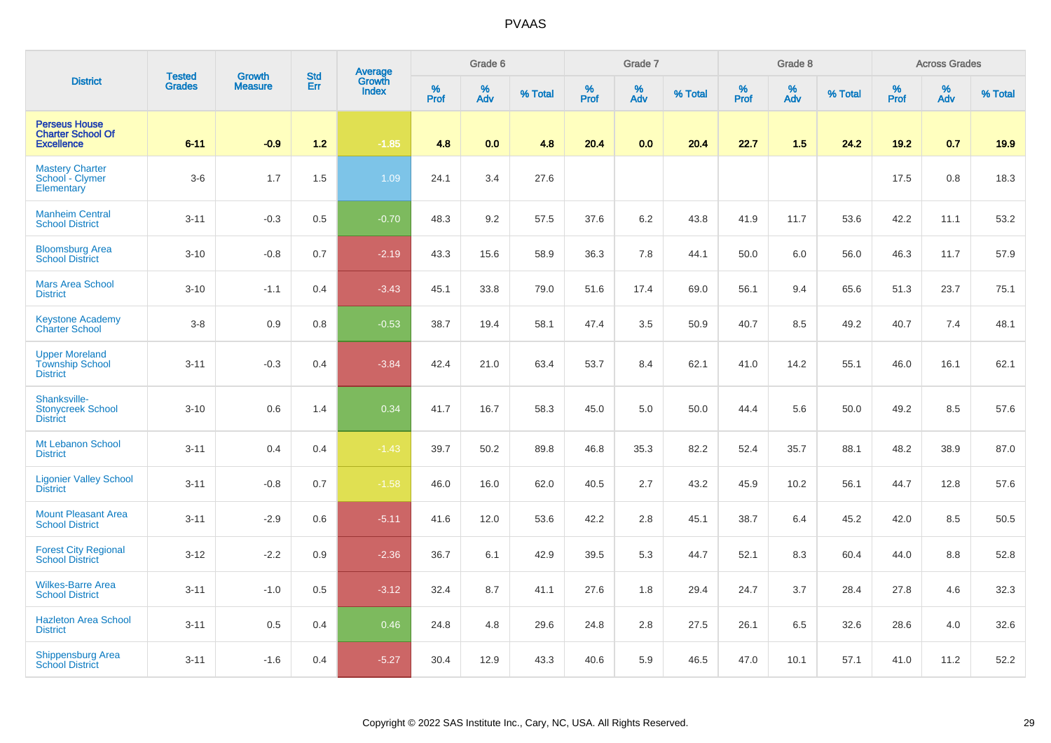|                                                                       | <b>Tested</b> | <b>Growth</b>  | <b>Std</b> | Average                |           | Grade 6  |         |           | Grade 7  |         |                  | Grade 8  |         |           | <b>Across Grades</b> |         |
|-----------------------------------------------------------------------|---------------|----------------|------------|------------------------|-----------|----------|---------|-----------|----------|---------|------------------|----------|---------|-----------|----------------------|---------|
| <b>District</b>                                                       | <b>Grades</b> | <b>Measure</b> | Err        | Growth<br><b>Index</b> | %<br>Prof | %<br>Adv | % Total | %<br>Prof | %<br>Adv | % Total | %<br><b>Prof</b> | %<br>Adv | % Total | %<br>Prof | %<br>Adv             | % Total |
| <b>Perseus House</b><br><b>Charter School Of</b><br><b>Excellence</b> | $6 - 11$      | $-0.9$         | $1.2$      | $-1.85$                | 4.8       | 0.0      | 4.8     | 20.4      | 0.0      | 20.4    | 22.7             | 1.5      | 24.2    | 19.2      | 0.7                  | 19.9    |
| <b>Mastery Charter</b><br>School - Clymer<br>Elementary               | $3-6$         | 1.7            | 1.5        | 1.09                   | 24.1      | 3.4      | 27.6    |           |          |         |                  |          |         | 17.5      | 0.8                  | 18.3    |
| <b>Manheim Central</b><br><b>School District</b>                      | $3 - 11$      | $-0.3$         | 0.5        | $-0.70$                | 48.3      | 9.2      | 57.5    | 37.6      | 6.2      | 43.8    | 41.9             | 11.7     | 53.6    | 42.2      | 11.1                 | 53.2    |
| <b>Bloomsburg Area</b><br><b>School District</b>                      | $3 - 10$      | $-0.8$         | 0.7        | $-2.19$                | 43.3      | 15.6     | 58.9    | 36.3      | 7.8      | 44.1    | 50.0             | 6.0      | 56.0    | 46.3      | 11.7                 | 57.9    |
| <b>Mars Area School</b><br><b>District</b>                            | $3 - 10$      | $-1.1$         | 0.4        | $-3.43$                | 45.1      | 33.8     | 79.0    | 51.6      | 17.4     | 69.0    | 56.1             | 9.4      | 65.6    | 51.3      | 23.7                 | 75.1    |
| <b>Keystone Academy</b><br><b>Charter School</b>                      | $3 - 8$       | 0.9            | 0.8        | $-0.53$                | 38.7      | 19.4     | 58.1    | 47.4      | 3.5      | 50.9    | 40.7             | 8.5      | 49.2    | 40.7      | $7.4$                | 48.1    |
| <b>Upper Moreland</b><br><b>Township School</b><br><b>District</b>    | $3 - 11$      | $-0.3$         | 0.4        | $-3.84$                | 42.4      | 21.0     | 63.4    | 53.7      | 8.4      | 62.1    | 41.0             | 14.2     | 55.1    | 46.0      | 16.1                 | 62.1    |
| Shanksville-<br><b>Stonycreek School</b><br><b>District</b>           | $3 - 10$      | 0.6            | 1.4        | 0.34                   | 41.7      | 16.7     | 58.3    | 45.0      | 5.0      | 50.0    | 44.4             | 5.6      | 50.0    | 49.2      | 8.5                  | 57.6    |
| Mt Lebanon School<br><b>District</b>                                  | $3 - 11$      | 0.4            | 0.4        | $-1.43$                | 39.7      | 50.2     | 89.8    | 46.8      | 35.3     | 82.2    | 52.4             | 35.7     | 88.1    | 48.2      | 38.9                 | 87.0    |
| <b>Ligonier Valley School</b><br><b>District</b>                      | $3 - 11$      | $-0.8$         | 0.7        | $-1.58$                | 46.0      | 16.0     | 62.0    | 40.5      | 2.7      | 43.2    | 45.9             | 10.2     | 56.1    | 44.7      | 12.8                 | 57.6    |
| <b>Mount Pleasant Area</b><br><b>School District</b>                  | $3 - 11$      | $-2.9$         | 0.6        | $-5.11$                | 41.6      | 12.0     | 53.6    | 42.2      | 2.8      | 45.1    | 38.7             | 6.4      | 45.2    | 42.0      | 8.5                  | 50.5    |
| <b>Forest City Regional</b><br><b>School District</b>                 | $3 - 12$      | $-2.2$         | 0.9        | $-2.36$                | 36.7      | 6.1      | 42.9    | 39.5      | 5.3      | 44.7    | 52.1             | 8.3      | 60.4    | 44.0      | 8.8                  | 52.8    |
| <b>Wilkes-Barre Area</b><br><b>School District</b>                    | $3 - 11$      | $-1.0$         | 0.5        | $-3.12$                | 32.4      | 8.7      | 41.1    | 27.6      | 1.8      | 29.4    | 24.7             | 3.7      | 28.4    | 27.8      | 4.6                  | 32.3    |
| <b>Hazleton Area School</b><br><b>District</b>                        | $3 - 11$      | 0.5            | 0.4        | 0.46                   | 24.8      | 4.8      | 29.6    | 24.8      | 2.8      | 27.5    | 26.1             | 6.5      | 32.6    | 28.6      | 4.0                  | 32.6    |
| <b>Shippensburg Area</b><br><b>School District</b>                    | $3 - 11$      | $-1.6$         | 0.4        | $-5.27$                | 30.4      | 12.9     | 43.3    | 40.6      | 5.9      | 46.5    | 47.0             | 10.1     | 57.1    | 41.0      | 11.2                 | 52.2    |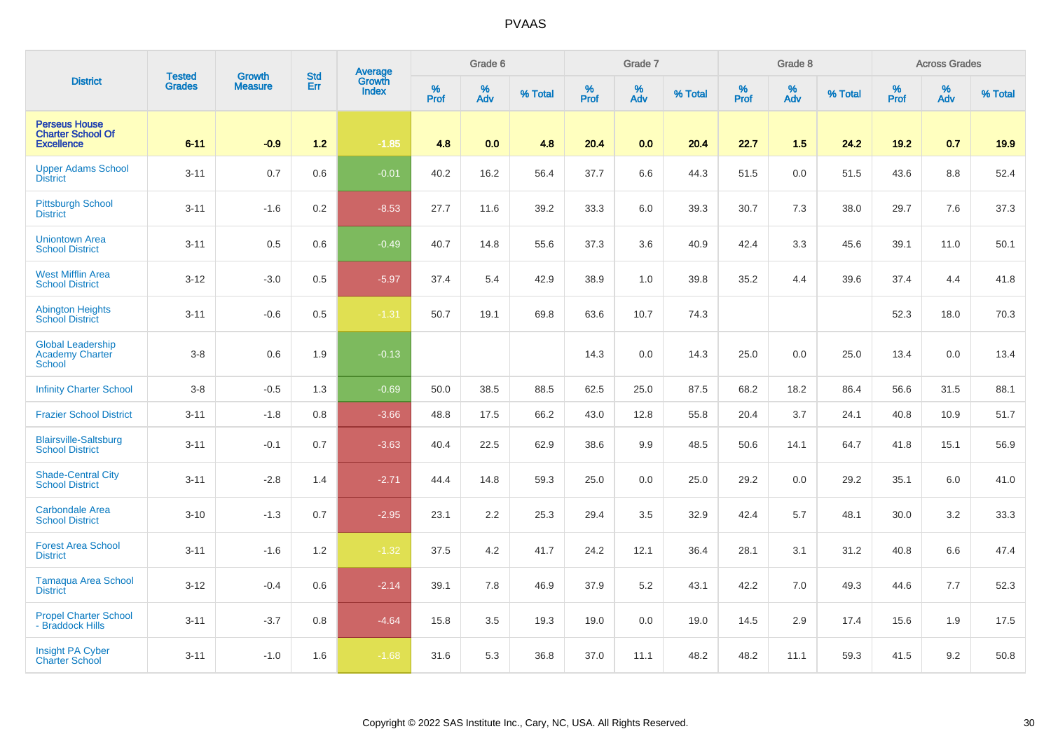|                                                                       | <b>Tested</b> | <b>Growth</b>  | <b>Std</b> |                                          |                     | Grade 6  |         |                     | Grade 7  |         |                     | Grade 8  |         |                     | <b>Across Grades</b> |         |
|-----------------------------------------------------------------------|---------------|----------------|------------|------------------------------------------|---------------------|----------|---------|---------------------|----------|---------|---------------------|----------|---------|---------------------|----------------------|---------|
| <b>District</b>                                                       | <b>Grades</b> | <b>Measure</b> | Err        | <b>Average</b><br>Growth<br><b>Index</b> | $\%$<br><b>Prof</b> | %<br>Adv | % Total | $\%$<br><b>Prof</b> | %<br>Adv | % Total | $\%$<br><b>Prof</b> | %<br>Adv | % Total | $\%$<br><b>Prof</b> | $\%$<br>Adv          | % Total |
| <b>Perseus House</b><br><b>Charter School Of</b><br><b>Excellence</b> | $6 - 11$      | $-0.9$         | $1.2$      | $-1.85$                                  | 4.8                 | 0.0      | 4.8     | 20.4                | 0.0      | 20.4    | 22.7                | 1.5      | 24.2    | 19.2                | 0.7                  | 19.9    |
| <b>Upper Adams School</b><br><b>District</b>                          | $3 - 11$      | 0.7            | 0.6        | $-0.01$                                  | 40.2                | 16.2     | 56.4    | 37.7                | 6.6      | 44.3    | 51.5                | 0.0      | 51.5    | 43.6                | 8.8                  | 52.4    |
| <b>Pittsburgh School</b><br><b>District</b>                           | $3 - 11$      | $-1.6$         | 0.2        | $-8.53$                                  | 27.7                | 11.6     | 39.2    | 33.3                | 6.0      | 39.3    | 30.7                | 7.3      | 38.0    | 29.7                | 7.6                  | 37.3    |
| <b>Uniontown Area</b><br><b>School District</b>                       | $3 - 11$      | 0.5            | 0.6        | $-0.49$                                  | 40.7                | 14.8     | 55.6    | 37.3                | 3.6      | 40.9    | 42.4                | 3.3      | 45.6    | 39.1                | 11.0                 | 50.1    |
| <b>West Mifflin Area</b><br><b>School District</b>                    | $3 - 12$      | $-3.0$         | 0.5        | $-5.97$                                  | 37.4                | 5.4      | 42.9    | 38.9                | 1.0      | 39.8    | 35.2                | 4.4      | 39.6    | 37.4                | 4.4                  | 41.8    |
| <b>Abington Heights</b><br><b>School District</b>                     | $3 - 11$      | $-0.6$         | 0.5        | $-1.31$                                  | 50.7                | 19.1     | 69.8    | 63.6                | 10.7     | 74.3    |                     |          |         | 52.3                | 18.0                 | 70.3    |
| <b>Global Leadership</b><br><b>Academy Charter</b><br><b>School</b>   | $3-8$         | 0.6            | 1.9        | $-0.13$                                  |                     |          |         | 14.3                | 0.0      | 14.3    | 25.0                | 0.0      | 25.0    | 13.4                | 0.0                  | 13.4    |
| <b>Infinity Charter School</b>                                        | $3-8$         | $-0.5$         | 1.3        | $-0.69$                                  | 50.0                | 38.5     | 88.5    | 62.5                | 25.0     | 87.5    | 68.2                | 18.2     | 86.4    | 56.6                | 31.5                 | 88.1    |
| <b>Frazier School District</b>                                        | $3 - 11$      | $-1.8$         | 0.8        | $-3.66$                                  | 48.8                | 17.5     | 66.2    | 43.0                | 12.8     | 55.8    | 20.4                | 3.7      | 24.1    | 40.8                | 10.9                 | 51.7    |
| <b>Blairsville-Saltsburg</b><br><b>School District</b>                | $3 - 11$      | $-0.1$         | 0.7        | $-3.63$                                  | 40.4                | 22.5     | 62.9    | 38.6                | 9.9      | 48.5    | 50.6                | 14.1     | 64.7    | 41.8                | 15.1                 | 56.9    |
| <b>Shade-Central City</b><br><b>School District</b>                   | $3 - 11$      | $-2.8$         | 1.4        | $-2.71$                                  | 44.4                | 14.8     | 59.3    | 25.0                | 0.0      | 25.0    | 29.2                | 0.0      | 29.2    | 35.1                | 6.0                  | 41.0    |
| <b>Carbondale Area</b><br><b>School District</b>                      | $3 - 10$      | $-1.3$         | 0.7        | $-2.95$                                  | 23.1                | 2.2      | 25.3    | 29.4                | 3.5      | 32.9    | 42.4                | 5.7      | 48.1    | 30.0                | 3.2                  | 33.3    |
| <b>Forest Area School</b><br><b>District</b>                          | $3 - 11$      | $-1.6$         | 1.2        | $-1.32$                                  | 37.5                | 4.2      | 41.7    | 24.2                | 12.1     | 36.4    | 28.1                | 3.1      | 31.2    | 40.8                | 6.6                  | 47.4    |
| <b>Tamaqua Area School</b><br><b>District</b>                         | $3 - 12$      | $-0.4$         | 0.6        | $-2.14$                                  | 39.1                | 7.8      | 46.9    | 37.9                | 5.2      | 43.1    | 42.2                | 7.0      | 49.3    | 44.6                | 7.7                  | 52.3    |
| <b>Propel Charter School</b><br>- Braddock Hills                      | $3 - 11$      | $-3.7$         | 0.8        | $-4.64$                                  | 15.8                | 3.5      | 19.3    | 19.0                | 0.0      | 19.0    | 14.5                | 2.9      | 17.4    | 15.6                | 1.9                  | 17.5    |
| <b>Insight PA Cyber</b><br><b>Charter School</b>                      | $3 - 11$      | $-1.0$         | 1.6        | $-1.68$                                  | 31.6                | 5.3      | 36.8    | 37.0                | 11.1     | 48.2    | 48.2                | 11.1     | 59.3    | 41.5                | 9.2                  | 50.8    |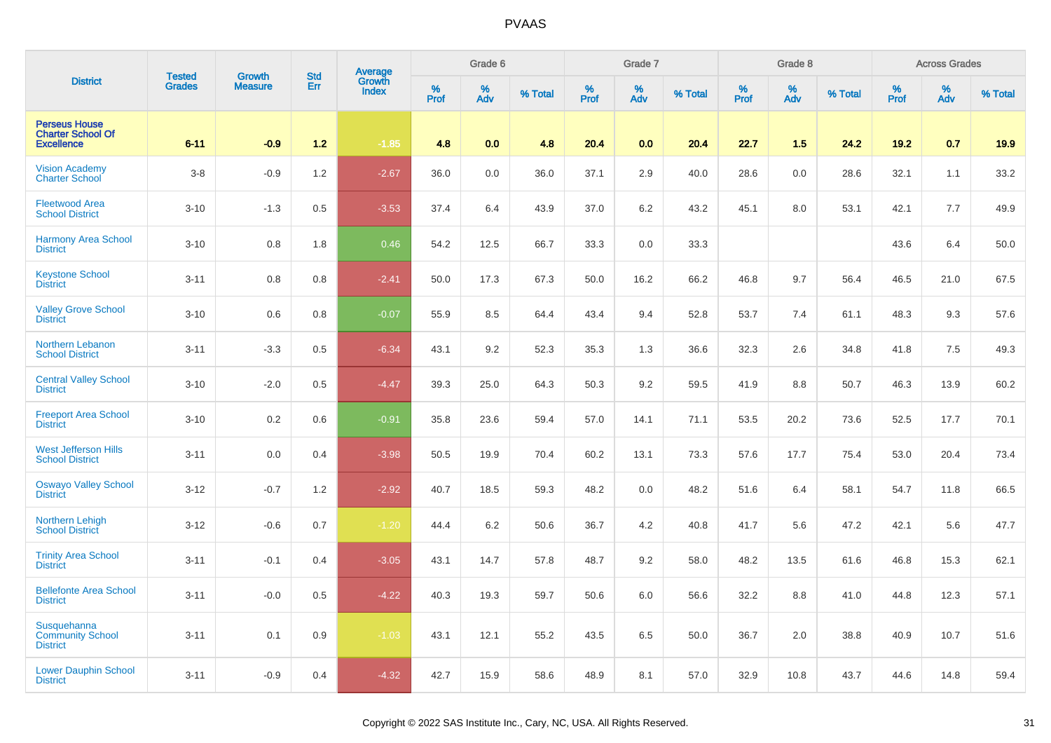| <b>District</b>                                                       | <b>Tested</b> | <b>Growth</b>  | <b>Std</b> | Average<br>Growth |          | Grade 6  |         |          | Grade 7  |         |           | Grade 8  |         |           | <b>Across Grades</b> |         |
|-----------------------------------------------------------------------|---------------|----------------|------------|-------------------|----------|----------|---------|----------|----------|---------|-----------|----------|---------|-----------|----------------------|---------|
|                                                                       | <b>Grades</b> | <b>Measure</b> | Err        | <b>Index</b>      | $%$ Prof | %<br>Adv | % Total | $%$ Prof | %<br>Adv | % Total | %<br>Prof | %<br>Adv | % Total | %<br>Prof | %<br>Adv             | % Total |
| <b>Perseus House</b><br><b>Charter School Of</b><br><b>Excellence</b> | $6 - 11$      | $-0.9$         | $1.2$      | $-1.85$           | 4.8      | 0.0      | 4.8     | 20.4     | 0.0      | 20.4    | 22.7      | 1.5      | 24.2    | 19.2      | 0.7                  | 19.9    |
| <b>Vision Academy</b><br><b>Charter School</b>                        | $3 - 8$       | $-0.9$         | 1.2        | $-2.67$           | 36.0     | 0.0      | 36.0    | 37.1     | 2.9      | 40.0    | 28.6      | 0.0      | 28.6    | 32.1      | 1.1                  | 33.2    |
| <b>Fleetwood Area</b><br><b>School District</b>                       | $3 - 10$      | $-1.3$         | 0.5        | $-3.53$           | 37.4     | 6.4      | 43.9    | 37.0     | $6.2\,$  | 43.2    | 45.1      | 8.0      | 53.1    | 42.1      | 7.7                  | 49.9    |
| <b>Harmony Area School</b><br><b>District</b>                         | $3 - 10$      | 0.8            | 1.8        | 0.46              | 54.2     | 12.5     | 66.7    | 33.3     | $0.0\,$  | 33.3    |           |          |         | 43.6      | 6.4                  | 50.0    |
| <b>Keystone School</b><br><b>District</b>                             | $3 - 11$      | 0.8            | 0.8        | $-2.41$           | 50.0     | 17.3     | 67.3    | 50.0     | 16.2     | 66.2    | 46.8      | 9.7      | 56.4    | 46.5      | 21.0                 | 67.5    |
| <b>Valley Grove School</b><br><b>District</b>                         | $3 - 10$      | 0.6            | 0.8        | $-0.07$           | 55.9     | 8.5      | 64.4    | 43.4     | 9.4      | 52.8    | 53.7      | 7.4      | 61.1    | 48.3      | 9.3                  | 57.6    |
| Northern Lebanon<br><b>School District</b>                            | $3 - 11$      | $-3.3$         | 0.5        | $-6.34$           | 43.1     | 9.2      | 52.3    | 35.3     | 1.3      | 36.6    | 32.3      | 2.6      | 34.8    | 41.8      | 7.5                  | 49.3    |
| <b>Central Valley School</b><br><b>District</b>                       | $3 - 10$      | $-2.0$         | 0.5        | $-4.47$           | 39.3     | 25.0     | 64.3    | 50.3     | 9.2      | 59.5    | 41.9      | 8.8      | 50.7    | 46.3      | 13.9                 | 60.2    |
| <b>Freeport Area School</b><br><b>District</b>                        | $3 - 10$      | 0.2            | 0.6        | $-0.91$           | 35.8     | 23.6     | 59.4    | 57.0     | 14.1     | 71.1    | 53.5      | 20.2     | 73.6    | 52.5      | 17.7                 | 70.1    |
| <b>West Jefferson Hills</b><br><b>School District</b>                 | $3 - 11$      | 0.0            | 0.4        | $-3.98$           | 50.5     | 19.9     | 70.4    | 60.2     | 13.1     | 73.3    | 57.6      | 17.7     | 75.4    | 53.0      | 20.4                 | 73.4    |
| <b>Oswayo Valley School</b><br><b>District</b>                        | $3 - 12$      | $-0.7$         | 1.2        | $-2.92$           | 40.7     | 18.5     | 59.3    | 48.2     | 0.0      | 48.2    | 51.6      | 6.4      | 58.1    | 54.7      | 11.8                 | 66.5    |
| <b>Northern Lehigh</b><br><b>School District</b>                      | $3 - 12$      | $-0.6$         | 0.7        | $-1.20$           | 44.4     | 6.2      | 50.6    | 36.7     | 4.2      | 40.8    | 41.7      | 5.6      | 47.2    | 42.1      | 5.6                  | 47.7    |
| <b>Trinity Area School</b><br><b>District</b>                         | $3 - 11$      | $-0.1$         | 0.4        | $-3.05$           | 43.1     | 14.7     | 57.8    | 48.7     | 9.2      | 58.0    | 48.2      | 13.5     | 61.6    | 46.8      | 15.3                 | 62.1    |
| <b>Bellefonte Area School</b><br><b>District</b>                      | $3 - 11$      | $-0.0$         | 0.5        | $-4.22$           | 40.3     | 19.3     | 59.7    | 50.6     | 6.0      | 56.6    | 32.2      | 8.8      | 41.0    | 44.8      | 12.3                 | 57.1    |
| Susquehanna<br><b>Community School</b><br><b>District</b>             | $3 - 11$      | 0.1            | 0.9        | $-1.03$           | 43.1     | 12.1     | 55.2    | 43.5     | 6.5      | 50.0    | 36.7      | 2.0      | 38.8    | 40.9      | 10.7                 | 51.6    |
| <b>Lower Dauphin School</b><br><b>District</b>                        | $3 - 11$      | $-0.9$         | 0.4        | $-4.32$           | 42.7     | 15.9     | 58.6    | 48.9     | 8.1      | 57.0    | 32.9      | 10.8     | 43.7    | 44.6      | 14.8                 | 59.4    |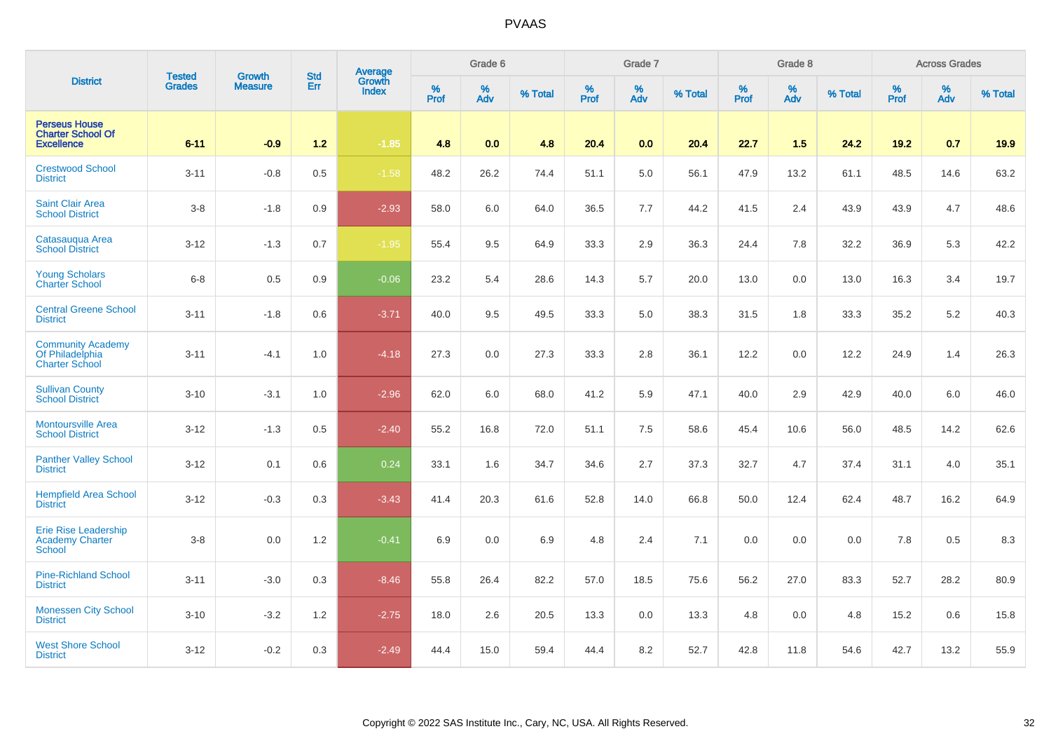|                                                                        | <b>Tested</b> | <b>Growth</b>  | <b>Std</b> | <b>Average</b><br>Growth |              | Grade 6     |         |           | Grade 7     |         |                  | Grade 8  |         |           | <b>Across Grades</b> |         |
|------------------------------------------------------------------------|---------------|----------------|------------|--------------------------|--------------|-------------|---------|-----------|-------------|---------|------------------|----------|---------|-----------|----------------------|---------|
| <b>District</b>                                                        | <b>Grades</b> | <b>Measure</b> | Err        | <b>Index</b>             | $\%$<br>Prof | $\%$<br>Adv | % Total | %<br>Prof | $\%$<br>Adv | % Total | %<br><b>Prof</b> | %<br>Adv | % Total | %<br>Prof | $\%$<br>Adv          | % Total |
| <b>Perseus House</b><br><b>Charter School Of</b><br><b>Excellence</b>  | $6 - 11$      | $-0.9$         | $1.2$      | $-1.85$                  | 4.8          | 0.0         | 4.8     | 20.4      | 0.0         | 20.4    | 22.7             | 1.5      | 24.2    | 19.2      | 0.7                  | 19.9    |
| <b>Crestwood School</b><br><b>District</b>                             | $3 - 11$      | $-0.8$         | 0.5        | $-1.58$                  | 48.2         | 26.2        | 74.4    | 51.1      | 5.0         | 56.1    | 47.9             | 13.2     | 61.1    | 48.5      | 14.6                 | 63.2    |
| Saint Clair Area<br><b>School District</b>                             | $3 - 8$       | $-1.8$         | 0.9        | $-2.93$                  | 58.0         | 6.0         | 64.0    | 36.5      | 7.7         | 44.2    | 41.5             | 2.4      | 43.9    | 43.9      | 4.7                  | 48.6    |
| Catasauqua Area<br><b>School District</b>                              | $3 - 12$      | $-1.3$         | 0.7        | $-1.95$                  | 55.4         | 9.5         | 64.9    | 33.3      | 2.9         | 36.3    | 24.4             | 7.8      | 32.2    | 36.9      | 5.3                  | 42.2    |
| <b>Young Scholars</b><br><b>Charter School</b>                         | $6 - 8$       | 0.5            | 0.9        | $-0.06$                  | 23.2         | 5.4         | 28.6    | 14.3      | 5.7         | 20.0    | 13.0             | 0.0      | 13.0    | 16.3      | 3.4                  | 19.7    |
| <b>Central Greene School</b><br><b>District</b>                        | $3 - 11$      | $-1.8$         | 0.6        | $-3.71$                  | 40.0         | 9.5         | 49.5    | 33.3      | 5.0         | 38.3    | 31.5             | 1.8      | 33.3    | 35.2      | 5.2                  | 40.3    |
| <b>Community Academy</b><br>Of Philadelphia<br><b>Charter School</b>   | $3 - 11$      | $-4.1$         | 1.0        | $-4.18$                  | 27.3         | 0.0         | 27.3    | 33.3      | 2.8         | 36.1    | 12.2             | 0.0      | 12.2    | 24.9      | 1.4                  | 26.3    |
| <b>Sullivan County</b><br><b>School District</b>                       | $3 - 10$      | $-3.1$         | 1.0        | $-2.96$                  | 62.0         | 6.0         | 68.0    | 41.2      | 5.9         | 47.1    | 40.0             | 2.9      | 42.9    | 40.0      | 6.0                  | 46.0    |
| <b>Montoursville Area</b><br><b>School District</b>                    | $3 - 12$      | $-1.3$         | 0.5        | $-2.40$                  | 55.2         | 16.8        | 72.0    | 51.1      | $7.5\,$     | 58.6    | 45.4             | 10.6     | 56.0    | 48.5      | 14.2                 | 62.6    |
| <b>Panther Valley School</b><br><b>District</b>                        | $3 - 12$      | 0.1            | 0.6        | 0.24                     | 33.1         | 1.6         | 34.7    | 34.6      | 2.7         | 37.3    | 32.7             | 4.7      | 37.4    | 31.1      | 4.0                  | 35.1    |
| <b>Hempfield Area School</b><br><b>District</b>                        | $3 - 12$      | $-0.3$         | 0.3        | $-3.43$                  | 41.4         | 20.3        | 61.6    | 52.8      | 14.0        | 66.8    | 50.0             | 12.4     | 62.4    | 48.7      | 16.2                 | 64.9    |
| <b>Erie Rise Leadership</b><br><b>Academy Charter</b><br><b>School</b> | $3 - 8$       | 0.0            | 1.2        | $-0.41$                  | 6.9          | 0.0         | 6.9     | 4.8       | 2.4         | 7.1     | 0.0              | 0.0      | 0.0     | 7.8       | 0.5                  | 8.3     |
| <b>Pine-Richland School</b><br><b>District</b>                         | $3 - 11$      | $-3.0$         | 0.3        | $-8.46$                  | 55.8         | 26.4        | 82.2    | 57.0      | 18.5        | 75.6    | 56.2             | 27.0     | 83.3    | 52.7      | 28.2                 | 80.9    |
| <b>Monessen City School</b><br><b>District</b>                         | $3 - 10$      | $-3.2$         | 1.2        | $-2.75$                  | 18.0         | 2.6         | 20.5    | 13.3      | 0.0         | 13.3    | 4.8              | 0.0      | 4.8     | 15.2      | 0.6                  | 15.8    |
| <b>West Shore School</b><br><b>District</b>                            | $3 - 12$      | $-0.2$         | 0.3        | $-2.49$                  | 44.4         | 15.0        | 59.4    | 44.4      | 8.2         | 52.7    | 42.8             | 11.8     | 54.6    | 42.7      | 13.2                 | 55.9    |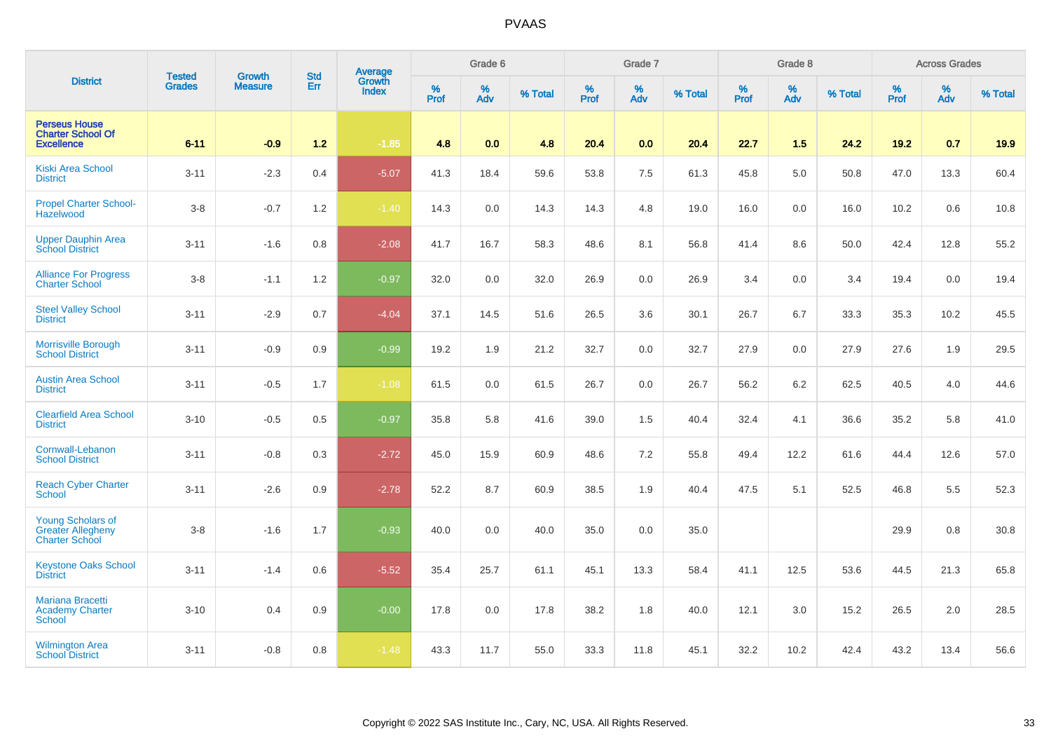|                                                                               | <b>Tested</b> | <b>Growth</b>  | <b>Std</b> |                                   |           | Grade 6     |         |           | Grade 7     |         |           | Grade 8  |         |           | <b>Across Grades</b> |         |
|-------------------------------------------------------------------------------|---------------|----------------|------------|-----------------------------------|-----------|-------------|---------|-----------|-------------|---------|-----------|----------|---------|-----------|----------------------|---------|
| <b>District</b>                                                               | <b>Grades</b> | <b>Measure</b> | Err        | Average<br>Growth<br><b>Index</b> | %<br>Prof | $\%$<br>Adv | % Total | %<br>Prof | $\%$<br>Adv | % Total | %<br>Prof | %<br>Adv | % Total | %<br>Prof | %<br>Adv             | % Total |
| <b>Perseus House</b><br><b>Charter School Of</b><br><b>Excellence</b>         | $6 - 11$      | $-0.9$         | $1.2$      | $-1.85$                           | 4.8       | 0.0         | 4.8     | 20.4      | 0.0         | 20.4    | 22.7      | 1.5      | 24.2    | 19.2      | 0.7                  | 19.9    |
| <b>Kiski Area School</b><br><b>District</b>                                   | $3 - 11$      | $-2.3$         | 0.4        | $-5.07$                           | 41.3      | 18.4        | 59.6    | 53.8      | 7.5         | 61.3    | 45.8      | 5.0      | 50.8    | 47.0      | 13.3                 | 60.4    |
| <b>Propel Charter School-</b><br>Hazelwood                                    | $3 - 8$       | $-0.7$         | 1.2        | $-1.40$                           | 14.3      | 0.0         | 14.3    | 14.3      | 4.8         | 19.0    | 16.0      | 0.0      | 16.0    | 10.2      | 0.6                  | 10.8    |
| <b>Upper Dauphin Area</b><br><b>School District</b>                           | $3 - 11$      | $-1.6$         | 0.8        | $-2.08$                           | 41.7      | 16.7        | 58.3    | 48.6      | 8.1         | 56.8    | 41.4      | 8.6      | 50.0    | 42.4      | 12.8                 | 55.2    |
| <b>Alliance For Progress</b><br><b>Charter School</b>                         | $3 - 8$       | $-1.1$         | 1.2        | $-0.97$                           | 32.0      | 0.0         | 32.0    | 26.9      | 0.0         | 26.9    | 3.4       | 0.0      | 3.4     | 19.4      | 0.0                  | 19.4    |
| <b>Steel Valley School</b><br><b>District</b>                                 | $3 - 11$      | $-2.9$         | 0.7        | $-4.04$                           | 37.1      | 14.5        | 51.6    | 26.5      | 3.6         | 30.1    | 26.7      | 6.7      | 33.3    | 35.3      | 10.2                 | 45.5    |
| <b>Morrisville Borough</b><br><b>School District</b>                          | $3 - 11$      | $-0.9$         | 0.9        | $-0.99$                           | 19.2      | 1.9         | 21.2    | 32.7      | 0.0         | 32.7    | 27.9      | 0.0      | 27.9    | 27.6      | 1.9                  | 29.5    |
| <b>Austin Area School</b><br><b>District</b>                                  | $3 - 11$      | $-0.5$         | 1.7        | $-1.08$                           | 61.5      | 0.0         | 61.5    | 26.7      | 0.0         | 26.7    | 56.2      | 6.2      | 62.5    | 40.5      | 4.0                  | 44.6    |
| <b>Clearfield Area School</b><br><b>District</b>                              | $3 - 10$      | $-0.5$         | 0.5        | $-0.97$                           | 35.8      | 5.8         | 41.6    | 39.0      | 1.5         | 40.4    | 32.4      | 4.1      | 36.6    | 35.2      | 5.8                  | 41.0    |
| Cornwall-Lebanon<br><b>School District</b>                                    | $3 - 11$      | $-0.8$         | 0.3        | $-2.72$                           | 45.0      | 15.9        | 60.9    | 48.6      | $7.2\,$     | 55.8    | 49.4      | 12.2     | 61.6    | 44.4      | 12.6                 | 57.0    |
| <b>Reach Cyber Charter</b><br><b>School</b>                                   | $3 - 11$      | $-2.6$         | 0.9        | $-2.78$                           | 52.2      | 8.7         | 60.9    | 38.5      | 1.9         | 40.4    | 47.5      | 5.1      | 52.5    | 46.8      | 5.5                  | 52.3    |
| <b>Young Scholars of</b><br><b>Greater Allegheny</b><br><b>Charter School</b> | $3 - 8$       | $-1.6$         | 1.7        | $-0.93$                           | 40.0      | 0.0         | 40.0    | 35.0      | 0.0         | 35.0    |           |          |         | 29.9      | 0.8                  | 30.8    |
| <b>Keystone Oaks School</b><br><b>District</b>                                | $3 - 11$      | $-1.4$         | 0.6        | $-5.52$                           | 35.4      | 25.7        | 61.1    | 45.1      | 13.3        | 58.4    | 41.1      | 12.5     | 53.6    | 44.5      | 21.3                 | 65.8    |
| Mariana Bracetti<br><b>Academy Charter</b><br><b>School</b>                   | $3 - 10$      | 0.4            | 0.9        | $-0.00$                           | 17.8      | $0.0\,$     | 17.8    | 38.2      | 1.8         | 40.0    | 12.1      | 3.0      | 15.2    | 26.5      | $2.0\,$              | 28.5    |
| <b>Wilmington Area</b><br><b>School District</b>                              | $3 - 11$      | $-0.8$         | 0.8        | $-1.48$                           | 43.3      | 11.7        | 55.0    | 33.3      | 11.8        | 45.1    | 32.2      | 10.2     | 42.4    | 43.2      | 13.4                 | 56.6    |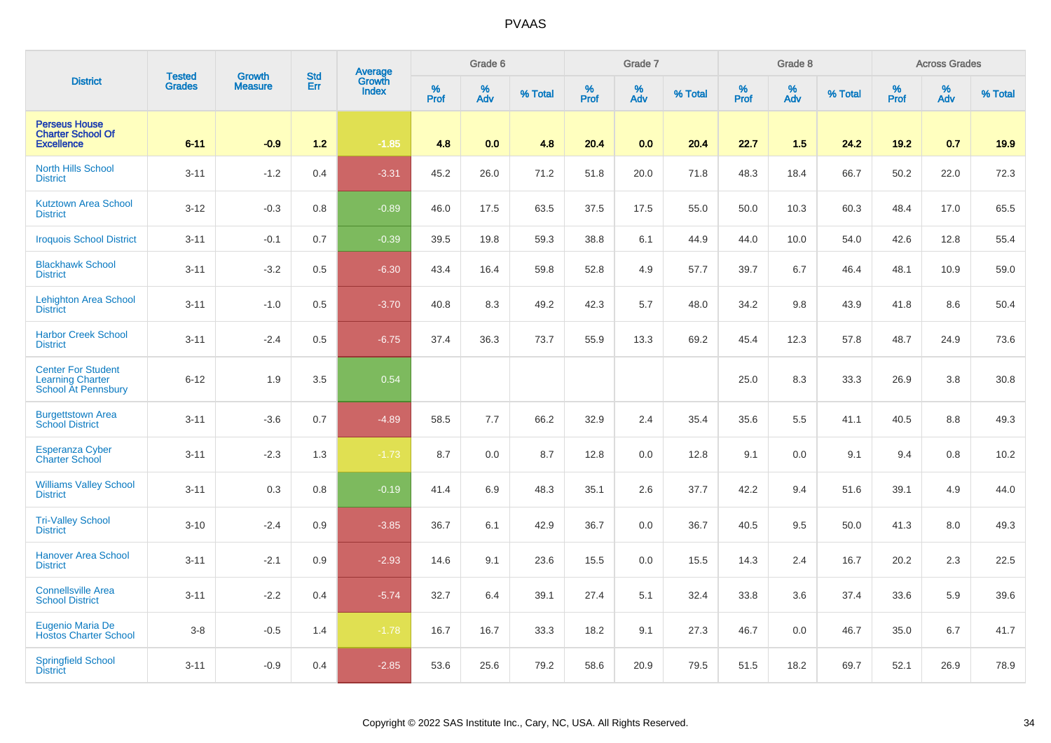|                                                                                    | <b>Tested</b> | <b>Growth</b>  | <b>Std</b> | <b>Average</b><br>Growth |           | Grade 6  |         |           | Grade 7  |         |           | Grade 8  |         |           | <b>Across Grades</b> |         |
|------------------------------------------------------------------------------------|---------------|----------------|------------|--------------------------|-----------|----------|---------|-----------|----------|---------|-----------|----------|---------|-----------|----------------------|---------|
| <b>District</b>                                                                    | <b>Grades</b> | <b>Measure</b> | Err        | <b>Index</b>             | %<br>Prof | %<br>Adv | % Total | %<br>Prof | %<br>Adv | % Total | %<br>Prof | %<br>Adv | % Total | %<br>Prof | %<br>Adv             | % Total |
| <b>Perseus House</b><br><b>Charter School Of</b><br><b>Excellence</b>              | $6 - 11$      | $-0.9$         | $1.2$      | $-1.85$                  | 4.8       | 0.0      | 4.8     | 20.4      | 0.0      | 20.4    | 22.7      | 1.5      | 24.2    | 19.2      | 0.7                  | 19.9    |
| <b>North Hills School</b><br><b>District</b>                                       | $3 - 11$      | $-1.2$         | 0.4        | $-3.31$                  | 45.2      | 26.0     | 71.2    | 51.8      | 20.0     | 71.8    | 48.3      | 18.4     | 66.7    | 50.2      | 22.0                 | 72.3    |
| <b>Kutztown Area School</b><br><b>District</b>                                     | $3 - 12$      | $-0.3$         | 0.8        | $-0.89$                  | 46.0      | 17.5     | 63.5    | 37.5      | 17.5     | 55.0    | 50.0      | 10.3     | 60.3    | 48.4      | 17.0                 | 65.5    |
| <b>Iroquois School District</b>                                                    | $3 - 11$      | $-0.1$         | 0.7        | $-0.39$                  | 39.5      | 19.8     | 59.3    | 38.8      | 6.1      | 44.9    | 44.0      | 10.0     | 54.0    | 42.6      | 12.8                 | 55.4    |
| <b>Blackhawk School</b><br><b>District</b>                                         | $3 - 11$      | $-3.2$         | 0.5        | $-6.30$                  | 43.4      | 16.4     | 59.8    | 52.8      | 4.9      | 57.7    | 39.7      | 6.7      | 46.4    | 48.1      | 10.9                 | 59.0    |
| Lehighton Area School<br><b>District</b>                                           | $3 - 11$      | $-1.0$         | 0.5        | $-3.70$                  | 40.8      | 8.3      | 49.2    | 42.3      | 5.7      | 48.0    | 34.2      | 9.8      | 43.9    | 41.8      | 8.6                  | 50.4    |
| <b>Harbor Creek School</b><br><b>District</b>                                      | $3 - 11$      | $-2.4$         | 0.5        | $-6.75$                  | 37.4      | 36.3     | 73.7    | 55.9      | 13.3     | 69.2    | 45.4      | 12.3     | 57.8    | 48.7      | 24.9                 | 73.6    |
| <b>Center For Student</b><br><b>Learning Charter</b><br><b>School At Pennsbury</b> | $6 - 12$      | 1.9            | 3.5        | 0.54                     |           |          |         |           |          |         | 25.0      | 8.3      | 33.3    | 26.9      | $3.8\,$              | 30.8    |
| <b>Burgettstown Area</b><br><b>School District</b>                                 | $3 - 11$      | $-3.6$         | 0.7        | $-4.89$                  | 58.5      | 7.7      | 66.2    | 32.9      | 2.4      | 35.4    | 35.6      | 5.5      | 41.1    | 40.5      | 8.8                  | 49.3    |
| <b>Esperanza Cyber</b><br><b>Charter School</b>                                    | $3 - 11$      | $-2.3$         | 1.3        | $-1.73$                  | 8.7       | 0.0      | 8.7     | 12.8      | 0.0      | 12.8    | 9.1       | 0.0      | 9.1     | 9.4       | 0.8                  | 10.2    |
| <b>Williams Valley School</b><br><b>District</b>                                   | $3 - 11$      | 0.3            | 0.8        | $-0.19$                  | 41.4      | 6.9      | 48.3    | 35.1      | 2.6      | 37.7    | 42.2      | 9.4      | 51.6    | 39.1      | 4.9                  | 44.0    |
| <b>Tri-Valley School</b><br><b>District</b>                                        | $3 - 10$      | $-2.4$         | 0.9        | $-3.85$                  | 36.7      | 6.1      | 42.9    | 36.7      | 0.0      | 36.7    | 40.5      | 9.5      | 50.0    | 41.3      | 8.0                  | 49.3    |
| <b>Hanover Area School</b><br><b>District</b>                                      | $3 - 11$      | $-2.1$         | 0.9        | $-2.93$                  | 14.6      | 9.1      | 23.6    | 15.5      | 0.0      | 15.5    | 14.3      | 2.4      | 16.7    | 20.2      | 2.3                  | 22.5    |
| <b>Connellsville Area</b><br><b>School District</b>                                | $3 - 11$      | $-2.2$         | 0.4        | $-5.74$                  | 32.7      | 6.4      | 39.1    | 27.4      | 5.1      | 32.4    | 33.8      | 3.6      | 37.4    | 33.6      | 5.9                  | 39.6    |
| Eugenio Maria De<br><b>Hostos Charter School</b>                                   | $3 - 8$       | $-0.5$         | 1.4        | $-1.78$                  | 16.7      | 16.7     | 33.3    | 18.2      | 9.1      | 27.3    | 46.7      | 0.0      | 46.7    | 35.0      | 6.7                  | 41.7    |
| <b>Springfield School</b><br><b>District</b>                                       | $3 - 11$      | $-0.9$         | 0.4        | $-2.85$                  | 53.6      | 25.6     | 79.2    | 58.6      | 20.9     | 79.5    | 51.5      | 18.2     | 69.7    | 52.1      | 26.9                 | 78.9    |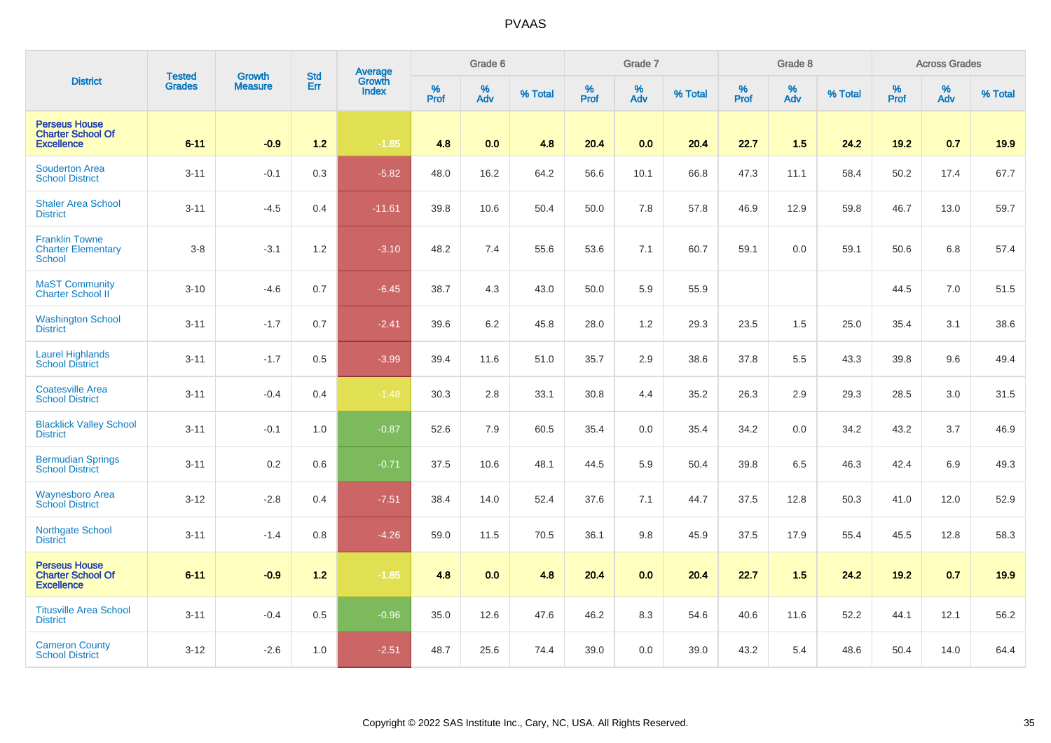|                                                                       | <b>Tested</b> | <b>Growth</b>  | <b>Std</b> |                                          |              | Grade 6     |         |                  | Grade 7  |         |           | Grade 8  |         |           | <b>Across Grades</b> |         |
|-----------------------------------------------------------------------|---------------|----------------|------------|------------------------------------------|--------------|-------------|---------|------------------|----------|---------|-----------|----------|---------|-----------|----------------------|---------|
| <b>District</b>                                                       | <b>Grades</b> | <b>Measure</b> | Err        | <b>Average</b><br>Growth<br><b>Index</b> | $\%$<br>Prof | $\%$<br>Adv | % Total | %<br><b>Prof</b> | %<br>Adv | % Total | %<br>Prof | %<br>Adv | % Total | %<br>Prof | %<br>Adv             | % Total |
| <b>Perseus House</b><br><b>Charter School Of</b><br><b>Excellence</b> | $6 - 11$      | $-0.9$         | $1.2$      | $-1.85$                                  | 4.8          | 0.0         | 4.8     | 20.4             | 0.0      | 20.4    | 22.7      | 1.5      | 24.2    | 19.2      | 0.7                  | 19.9    |
| <b>Souderton Area</b><br><b>School District</b>                       | $3 - 11$      | $-0.1$         | 0.3        | $-5.82$                                  | 48.0         | 16.2        | 64.2    | 56.6             | 10.1     | 66.8    | 47.3      | 11.1     | 58.4    | 50.2      | 17.4                 | 67.7    |
| <b>Shaler Area School</b><br><b>District</b>                          | $3 - 11$      | $-4.5$         | 0.4        | $-11.61$                                 | 39.8         | 10.6        | 50.4    | 50.0             | 7.8      | 57.8    | 46.9      | 12.9     | 59.8    | 46.7      | 13.0                 | 59.7    |
| <b>Franklin Towne</b><br><b>Charter Elementary</b><br>School          | $3-8$         | $-3.1$         | 1.2        | $-3.10$                                  | 48.2         | 7.4         | 55.6    | 53.6             | 7.1      | 60.7    | 59.1      | 0.0      | 59.1    | 50.6      | 6.8                  | 57.4    |
| <b>MaST Community</b><br>Charter School II                            | $3 - 10$      | $-4.6$         | 0.7        | $-6.45$                                  | 38.7         | 4.3         | 43.0    | 50.0             | 5.9      | 55.9    |           |          |         | 44.5      | 7.0                  | 51.5    |
| <b>Washington School</b><br><b>District</b>                           | $3 - 11$      | $-1.7$         | 0.7        | $-2.41$                                  | 39.6         | $6.2\,$     | 45.8    | 28.0             | 1.2      | 29.3    | 23.5      | 1.5      | 25.0    | 35.4      | 3.1                  | 38.6    |
| <b>Laurel Highlands</b><br><b>School District</b>                     | $3 - 11$      | $-1.7$         | 0.5        | $-3.99$                                  | 39.4         | 11.6        | 51.0    | 35.7             | 2.9      | 38.6    | 37.8      | 5.5      | 43.3    | 39.8      | 9.6                  | 49.4    |
| <b>Coatesville Area</b><br><b>School District</b>                     | $3 - 11$      | $-0.4$         | 0.4        | $-1.48$                                  | 30.3         | 2.8         | 33.1    | 30.8             | 4.4      | 35.2    | 26.3      | 2.9      | 29.3    | 28.5      | 3.0                  | 31.5    |
| <b>Blacklick Valley School</b><br><b>District</b>                     | $3 - 11$      | $-0.1$         | 1.0        | $-0.87$                                  | 52.6         | 7.9         | 60.5    | 35.4             | 0.0      | 35.4    | 34.2      | 0.0      | 34.2    | 43.2      | 3.7                  | 46.9    |
| <b>Bermudian Springs</b><br><b>School District</b>                    | $3 - 11$      | 0.2            | 0.6        | $-0.71$                                  | 37.5         | 10.6        | 48.1    | 44.5             | 5.9      | 50.4    | 39.8      | 6.5      | 46.3    | 42.4      | 6.9                  | 49.3    |
| <b>Waynesboro Area</b><br><b>School District</b>                      | $3 - 12$      | $-2.8$         | 0.4        | $-7.51$                                  | 38.4         | 14.0        | 52.4    | 37.6             | 7.1      | 44.7    | 37.5      | 12.8     | 50.3    | 41.0      | 12.0                 | 52.9    |
| Northgate School<br><b>District</b>                                   | $3 - 11$      | $-1.4$         | 0.8        | $-4.26$                                  | 59.0         | 11.5        | 70.5    | 36.1             | 9.8      | 45.9    | 37.5      | 17.9     | 55.4    | 45.5      | 12.8                 | 58.3    |
| <b>Perseus House</b><br><b>Charter School Of</b><br><b>Excellence</b> | $6 - 11$      | $-0.9$         | $1.2$      | $-1.85$                                  | 4.8          | 0.0         | 4.8     | 20.4             | 0.0      | 20.4    | 22.7      | 1.5      | 24.2    | 19.2      | 0.7                  | 19.9    |
| <b>Titusville Area School</b><br><b>District</b>                      | $3 - 11$      | $-0.4$         | 0.5        | $-0.96$                                  | 35.0         | 12.6        | 47.6    | 46.2             | 8.3      | 54.6    | 40.6      | 11.6     | 52.2    | 44.1      | 12.1                 | 56.2    |
| <b>Cameron County</b><br><b>School District</b>                       | $3 - 12$      | $-2.6$         | 1.0        | $-2.51$                                  | 48.7         | 25.6        | 74.4    | 39.0             | 0.0      | 39.0    | 43.2      | 5.4      | 48.6    | 50.4      | 14.0                 | 64.4    |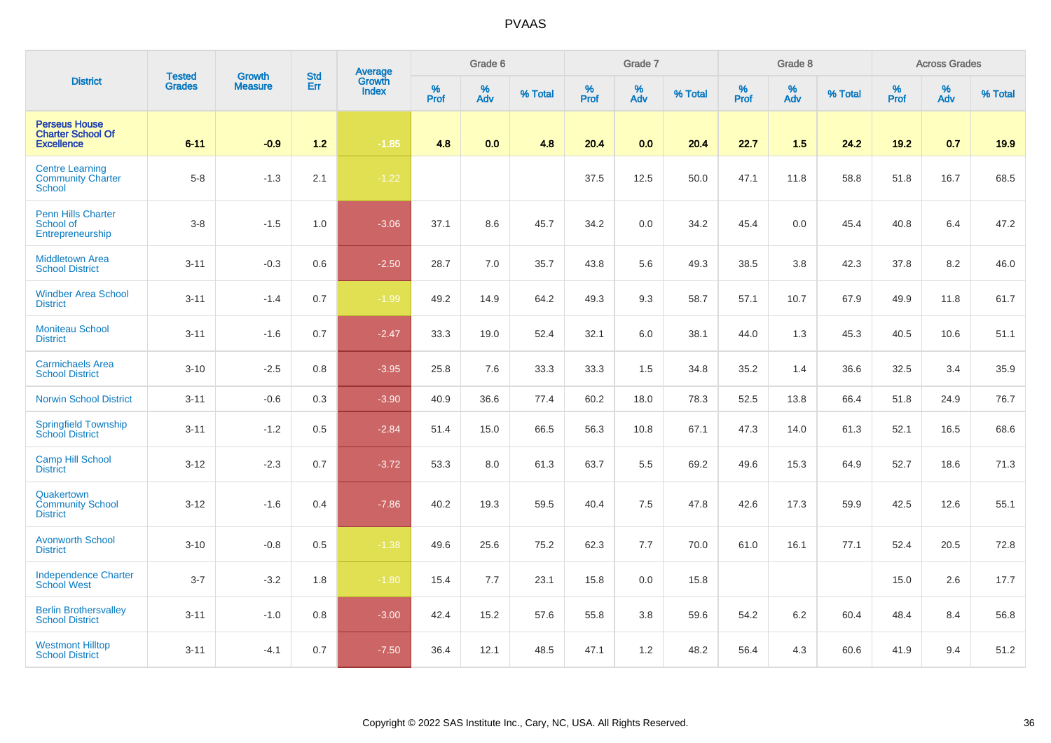|                                                                       | <b>Tested</b><br><b>Growth</b><br><b>Std</b> |                | Average |                        | Grade 6      |          |         | Grade 7   |          |         | Grade 8          |             |         | <b>Across Grades</b> |             |         |
|-----------------------------------------------------------------------|----------------------------------------------|----------------|---------|------------------------|--------------|----------|---------|-----------|----------|---------|------------------|-------------|---------|----------------------|-------------|---------|
| <b>District</b>                                                       | <b>Grades</b>                                | <b>Measure</b> | Err     | Growth<br><b>Index</b> | $\%$<br>Prof | %<br>Adv | % Total | %<br>Prof | %<br>Adv | % Total | %<br><b>Prof</b> | $\%$<br>Adv | % Total | %<br><b>Prof</b>     | $\%$<br>Adv | % Total |
| <b>Perseus House</b><br><b>Charter School Of</b><br><b>Excellence</b> | $6 - 11$                                     | $-0.9$         | $1.2$   | $-1.85$                | 4.8          | 0.0      | 4.8     | 20.4      | 0.0      | 20.4    | 22.7             | 1.5         | 24.2    | 19.2                 | 0.7         | 19.9    |
| <b>Centre Learning</b><br><b>Community Charter</b><br><b>School</b>   | $5 - 8$                                      | $-1.3$         | 2.1     | $-1.22$                |              |          |         | 37.5      | 12.5     | 50.0    | 47.1             | 11.8        | 58.8    | 51.8                 | 16.7        | 68.5    |
| <b>Penn Hills Charter</b><br>School of<br>Entrepreneurship            | $3 - 8$                                      | $-1.5$         | 1.0     | $-3.06$                | 37.1         | 8.6      | 45.7    | 34.2      | 0.0      | 34.2    | 45.4             | 0.0         | 45.4    | 40.8                 | 6.4         | 47.2    |
| <b>Middletown Area</b><br><b>School District</b>                      | $3 - 11$                                     | $-0.3$         | 0.6     | $-2.50$                | 28.7         | 7.0      | 35.7    | 43.8      | 5.6      | 49.3    | 38.5             | 3.8         | 42.3    | 37.8                 | 8.2         | 46.0    |
| <b>Windber Area School</b><br><b>District</b>                         | $3 - 11$                                     | $-1.4$         | 0.7     | $-1.99$                | 49.2         | 14.9     | 64.2    | 49.3      | 9.3      | 58.7    | 57.1             | 10.7        | 67.9    | 49.9                 | 11.8        | 61.7    |
| <b>Moniteau School</b><br><b>District</b>                             | $3 - 11$                                     | $-1.6$         | 0.7     | $-2.47$                | 33.3         | 19.0     | 52.4    | 32.1      | 6.0      | 38.1    | 44.0             | 1.3         | 45.3    | 40.5                 | 10.6        | 51.1    |
| <b>Carmichaels Area</b><br><b>School District</b>                     | $3 - 10$                                     | $-2.5$         | 0.8     | $-3.95$                | 25.8         | 7.6      | 33.3    | 33.3      | 1.5      | 34.8    | 35.2             | 1.4         | 36.6    | 32.5                 | 3.4         | 35.9    |
| <b>Norwin School District</b>                                         | $3 - 11$                                     | $-0.6$         | 0.3     | $-3.90$                | 40.9         | 36.6     | 77.4    | 60.2      | 18.0     | 78.3    | 52.5             | 13.8        | 66.4    | 51.8                 | 24.9        | 76.7    |
| Springfield Township<br>School District                               | $3 - 11$                                     | $-1.2$         | 0.5     | $-2.84$                | 51.4         | 15.0     | 66.5    | 56.3      | 10.8     | 67.1    | 47.3             | 14.0        | 61.3    | 52.1                 | 16.5        | 68.6    |
| <b>Camp Hill School</b><br><b>District</b>                            | $3 - 12$                                     | $-2.3$         | 0.7     | $-3.72$                | 53.3         | 8.0      | 61.3    | 63.7      | 5.5      | 69.2    | 49.6             | 15.3        | 64.9    | 52.7                 | 18.6        | 71.3    |
| Quakertown<br><b>Community School</b><br><b>District</b>              | $3 - 12$                                     | $-1.6$         | 0.4     | $-7.86$                | 40.2         | 19.3     | 59.5    | 40.4      | $7.5\,$  | 47.8    | 42.6             | 17.3        | 59.9    | 42.5                 | 12.6        | 55.1    |
| <b>Avonworth School</b><br><b>District</b>                            | $3 - 10$                                     | $-0.8$         | 0.5     | $-1.38$                | 49.6         | 25.6     | 75.2    | 62.3      | 7.7      | 70.0    | 61.0             | 16.1        | 77.1    | 52.4                 | 20.5        | 72.8    |
| <b>Independence Charter</b><br><b>School West</b>                     | $3 - 7$                                      | $-3.2$         | 1.8     | $-1.80$                | 15.4         | 7.7      | 23.1    | 15.8      | 0.0      | 15.8    |                  |             |         | 15.0                 | 2.6         | 17.7    |
| <b>Berlin Brothersvalley</b><br><b>School District</b>                | $3 - 11$                                     | $-1.0$         | 0.8     | $-3.00$                | 42.4         | 15.2     | 57.6    | 55.8      | 3.8      | 59.6    | 54.2             | 6.2         | 60.4    | 48.4                 | 8.4         | 56.8    |
| <b>Westmont Hilltop</b><br><b>School District</b>                     | $3 - 11$                                     | $-4.1$         | 0.7     | $-7.50$                | 36.4         | 12.1     | 48.5    | 47.1      | 1.2      | 48.2    | 56.4             | 4.3         | 60.6    | 41.9                 | 9.4         | 51.2    |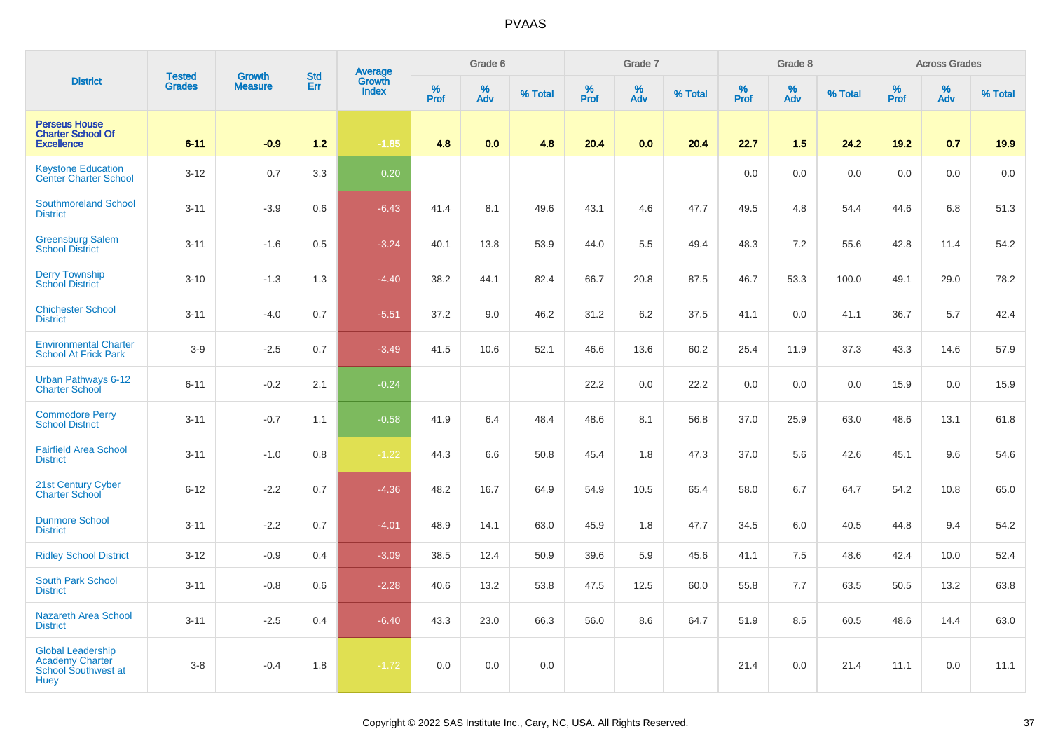|                                                                                   |                                |                                 |                   |                                          |                     | Grade 6     |         |                     | Grade 7  |         |                  | Grade 8                 |         |           | <b>Across Grades</b> |         |
|-----------------------------------------------------------------------------------|--------------------------------|---------------------------------|-------------------|------------------------------------------|---------------------|-------------|---------|---------------------|----------|---------|------------------|-------------------------|---------|-----------|----------------------|---------|
| <b>District</b>                                                                   | <b>Tested</b><br><b>Grades</b> | <b>Growth</b><br><b>Measure</b> | <b>Std</b><br>Err | <b>Average</b><br>Growth<br><b>Index</b> | $\%$<br><b>Prof</b> | $\%$<br>Adv | % Total | $\%$<br><b>Prof</b> | %<br>Adv | % Total | %<br><b>Prof</b> | $\frac{\%}{\text{Adv}}$ | % Total | %<br>Prof | %<br>Adv             | % Total |
| <b>Perseus House</b><br><b>Charter School Of</b><br><b>Excellence</b>             | $6 - 11$                       | $-0.9$                          | $1.2$             | $-1.85$                                  | 4.8                 | 0.0         | 4.8     | 20.4                | 0.0      | 20.4    | 22.7             | 1.5                     | 24.2    | 19.2      | 0.7                  | 19.9    |
| <b>Keystone Education</b><br><b>Center Charter School</b>                         | $3 - 12$                       | 0.7                             | 3.3               | 0.20                                     |                     |             |         |                     |          |         | 0.0              | 0.0                     | 0.0     | 0.0       | 0.0                  | 0.0     |
| <b>Southmoreland School</b><br><b>District</b>                                    | $3 - 11$                       | $-3.9$                          | 0.6               | $-6.43$                                  | 41.4                | 8.1         | 49.6    | 43.1                | 4.6      | 47.7    | 49.5             | 4.8                     | 54.4    | 44.6      | 6.8                  | 51.3    |
| <b>Greensburg Salem</b><br><b>School District</b>                                 | $3 - 11$                       | $-1.6$                          | 0.5               | $-3.24$                                  | 40.1                | 13.8        | 53.9    | 44.0                | 5.5      | 49.4    | 48.3             | 7.2                     | 55.6    | 42.8      | 11.4                 | 54.2    |
| <b>Derry Township</b><br><b>School District</b>                                   | $3 - 10$                       | $-1.3$                          | 1.3               | $-4.40$                                  | 38.2                | 44.1        | 82.4    | 66.7                | 20.8     | 87.5    | 46.7             | 53.3                    | 100.0   | 49.1      | 29.0                 | 78.2    |
| <b>Chichester School</b><br><b>District</b>                                       | $3 - 11$                       | $-4.0$                          | 0.7               | $-5.51$                                  | 37.2                | 9.0         | 46.2    | 31.2                | 6.2      | 37.5    | 41.1             | 0.0                     | 41.1    | 36.7      | 5.7                  | 42.4    |
| <b>Environmental Charter</b><br><b>School At Frick Park</b>                       | $3-9$                          | $-2.5$                          | 0.7               | $-3.49$                                  | 41.5                | 10.6        | 52.1    | 46.6                | 13.6     | 60.2    | 25.4             | 11.9                    | 37.3    | 43.3      | 14.6                 | 57.9    |
| Urban Pathways 6-12<br><b>Charter School</b>                                      | $6 - 11$                       | $-0.2$                          | 2.1               | $-0.24$                                  |                     |             |         | 22.2                | 0.0      | 22.2    | 0.0              | 0.0                     | 0.0     | 15.9      | 0.0                  | 15.9    |
| <b>Commodore Perry</b><br><b>School District</b>                                  | $3 - 11$                       | $-0.7$                          | 1.1               | $-0.58$                                  | 41.9                | 6.4         | 48.4    | 48.6                | 8.1      | 56.8    | 37.0             | 25.9                    | 63.0    | 48.6      | 13.1                 | 61.8    |
| <b>Fairfield Area School</b><br><b>District</b>                                   | $3 - 11$                       | $-1.0$                          | 0.8               | $-1.22$                                  | 44.3                | 6.6         | 50.8    | 45.4                | 1.8      | 47.3    | 37.0             | 5.6                     | 42.6    | 45.1      | 9.6                  | 54.6    |
| 21st Century Cyber<br><b>Charter School</b>                                       | $6 - 12$                       | $-2.2$                          | 0.7               | $-4.36$                                  | 48.2                | 16.7        | 64.9    | 54.9                | 10.5     | 65.4    | 58.0             | 6.7                     | 64.7    | 54.2      | 10.8                 | 65.0    |
| <b>Dunmore School</b><br><b>District</b>                                          | $3 - 11$                       | $-2.2$                          | 0.7               | $-4.01$                                  | 48.9                | 14.1        | 63.0    | 45.9                | 1.8      | 47.7    | 34.5             | 6.0                     | 40.5    | 44.8      | 9.4                  | 54.2    |
| <b>Ridley School District</b>                                                     | $3 - 12$                       | $-0.9$                          | 0.4               | $-3.09$                                  | 38.5                | 12.4        | 50.9    | 39.6                | 5.9      | 45.6    | 41.1             | 7.5                     | 48.6    | 42.4      | 10.0                 | 52.4    |
| South Park School<br><b>District</b>                                              | $3 - 11$                       | $-0.8$                          | 0.6               | $-2.28$                                  | 40.6                | 13.2        | 53.8    | 47.5                | 12.5     | 60.0    | 55.8             | 7.7                     | 63.5    | 50.5      | 13.2                 | 63.8    |
| <b>Nazareth Area School</b><br><b>District</b>                                    | $3 - 11$                       | $-2.5$                          | 0.4               | $-6.40$                                  | 43.3                | 23.0        | 66.3    | 56.0                | 8.6      | 64.7    | 51.9             | 8.5                     | 60.5    | 48.6      | 14.4                 | 63.0    |
| <b>Global Leadership</b><br><b>Academy Charter</b><br>School Southwest at<br>Huey | $3 - 8$                        | $-0.4$                          | 1.8               | $-1.72$                                  | 0.0                 | 0.0         | 0.0     |                     |          |         | 21.4             | 0.0                     | 21.4    | 11.1      | 0.0                  | 11.1    |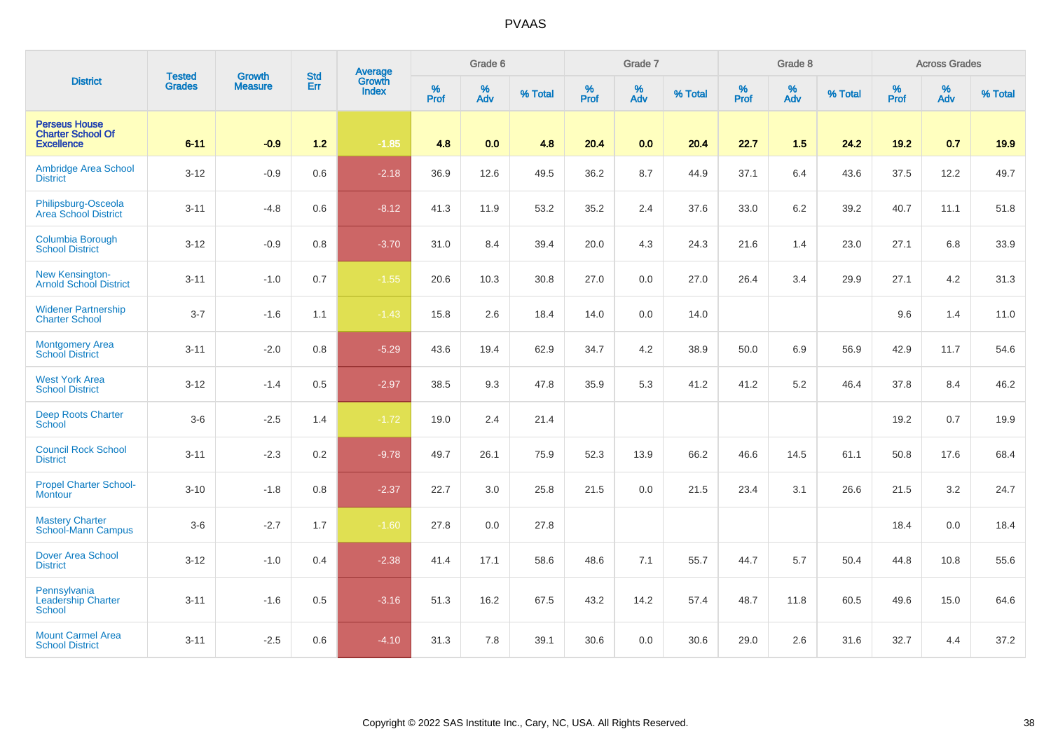|                                                                       | <b>Tested</b> | <b>Growth</b>  | <b>Std</b> | Average                |              | Grade 6  |         |           | Grade 7  |         |                  | Grade 8  |         |           | <b>Across Grades</b> |         |
|-----------------------------------------------------------------------|---------------|----------------|------------|------------------------|--------------|----------|---------|-----------|----------|---------|------------------|----------|---------|-----------|----------------------|---------|
| <b>District</b>                                                       | Grades        | <b>Measure</b> | Err        | Growth<br><b>Index</b> | $\%$<br>Prof | %<br>Adv | % Total | %<br>Prof | %<br>Adv | % Total | %<br><b>Prof</b> | %<br>Adv | % Total | %<br>Prof | %<br>Adv             | % Total |
| <b>Perseus House</b><br><b>Charter School Of</b><br><b>Excellence</b> | $6 - 11$      | $-0.9$         | $1.2$      | $-1.85$                | 4.8          | 0.0      | 4.8     | 20.4      | 0.0      | 20.4    | 22.7             | 1.5      | 24.2    | 19.2      | 0.7                  | 19.9    |
| Ambridge Area School<br><b>District</b>                               | $3 - 12$      | $-0.9$         | 0.6        | $-2.18$                | 36.9         | 12.6     | 49.5    | 36.2      | 8.7      | 44.9    | 37.1             | 6.4      | 43.6    | 37.5      | 12.2                 | 49.7    |
| Philipsburg-Osceola<br>Area School District                           | $3 - 11$      | $-4.8$         | 0.6        | $-8.12$                | 41.3         | 11.9     | 53.2    | 35.2      | 2.4      | 37.6    | 33.0             | 6.2      | 39.2    | 40.7      | 11.1                 | 51.8    |
| <b>Columbia Borough</b><br><b>School District</b>                     | $3 - 12$      | $-0.9$         | 0.8        | $-3.70$                | 31.0         | 8.4      | 39.4    | 20.0      | 4.3      | 24.3    | 21.6             | 1.4      | 23.0    | 27.1      | 6.8                  | 33.9    |
| New Kensington-<br><b>Arnold School District</b>                      | $3 - 11$      | $-1.0$         | 0.7        | $-1.55$                | 20.6         | 10.3     | 30.8    | 27.0      | 0.0      | 27.0    | 26.4             | 3.4      | 29.9    | 27.1      | 4.2                  | 31.3    |
| <b>Widener Partnership</b><br><b>Charter School</b>                   | $3 - 7$       | $-1.6$         | 1.1        | $-1.43$                | 15.8         | 2.6      | 18.4    | 14.0      | 0.0      | 14.0    |                  |          |         | 9.6       | 1.4                  | 11.0    |
| <b>Montgomery Area</b><br><b>School District</b>                      | $3 - 11$      | $-2.0$         | 0.8        | $-5.29$                | 43.6         | 19.4     | 62.9    | 34.7      | 4.2      | 38.9    | 50.0             | 6.9      | 56.9    | 42.9      | 11.7                 | 54.6    |
| <b>West York Area</b><br><b>School District</b>                       | $3 - 12$      | $-1.4$         | 0.5        | $-2.97$                | 38.5         | 9.3      | 47.8    | 35.9      | 5.3      | 41.2    | 41.2             | 5.2      | 46.4    | 37.8      | 8.4                  | 46.2    |
| <b>Deep Roots Charter</b><br>School                                   | $3-6$         | $-2.5$         | 1.4        | $-1.72$                | 19.0         | 2.4      | 21.4    |           |          |         |                  |          |         | 19.2      | 0.7                  | 19.9    |
| <b>Council Rock School</b><br><b>District</b>                         | $3 - 11$      | $-2.3$         | 0.2        | $-9.78$                | 49.7         | 26.1     | 75.9    | 52.3      | 13.9     | 66.2    | 46.6             | 14.5     | 61.1    | 50.8      | 17.6                 | 68.4    |
| <b>Propel Charter School-</b><br><b>Montour</b>                       | $3 - 10$      | $-1.8$         | 0.8        | $-2.37$                | 22.7         | 3.0      | 25.8    | 21.5      | 0.0      | 21.5    | 23.4             | 3.1      | 26.6    | 21.5      | 3.2                  | 24.7    |
| <b>Mastery Charter</b><br><b>School-Mann Campus</b>                   | $3-6$         | $-2.7$         | 1.7        | $-1.60$                | 27.8         | 0.0      | 27.8    |           |          |         |                  |          |         | 18.4      | 0.0                  | 18.4    |
| <b>Dover Area School</b><br><b>District</b>                           | $3 - 12$      | $-1.0$         | 0.4        | $-2.38$                | 41.4         | 17.1     | 58.6    | 48.6      | 7.1      | 55.7    | 44.7             | 5.7      | 50.4    | 44.8      | 10.8                 | 55.6    |
| Pennsylvania<br><b>Leadership Charter</b><br><b>School</b>            | $3 - 11$      | $-1.6$         | 0.5        | $-3.16$                | 51.3         | 16.2     | 67.5    | 43.2      | 14.2     | 57.4    | 48.7             | 11.8     | 60.5    | 49.6      | 15.0                 | 64.6    |
| <b>Mount Carmel Area</b><br><b>School District</b>                    | $3 - 11$      | $-2.5$         | 0.6        | $-4.10$                | 31.3         | 7.8      | 39.1    | 30.6      | 0.0      | 30.6    | 29.0             | 2.6      | 31.6    | 32.7      | 4.4                  | 37.2    |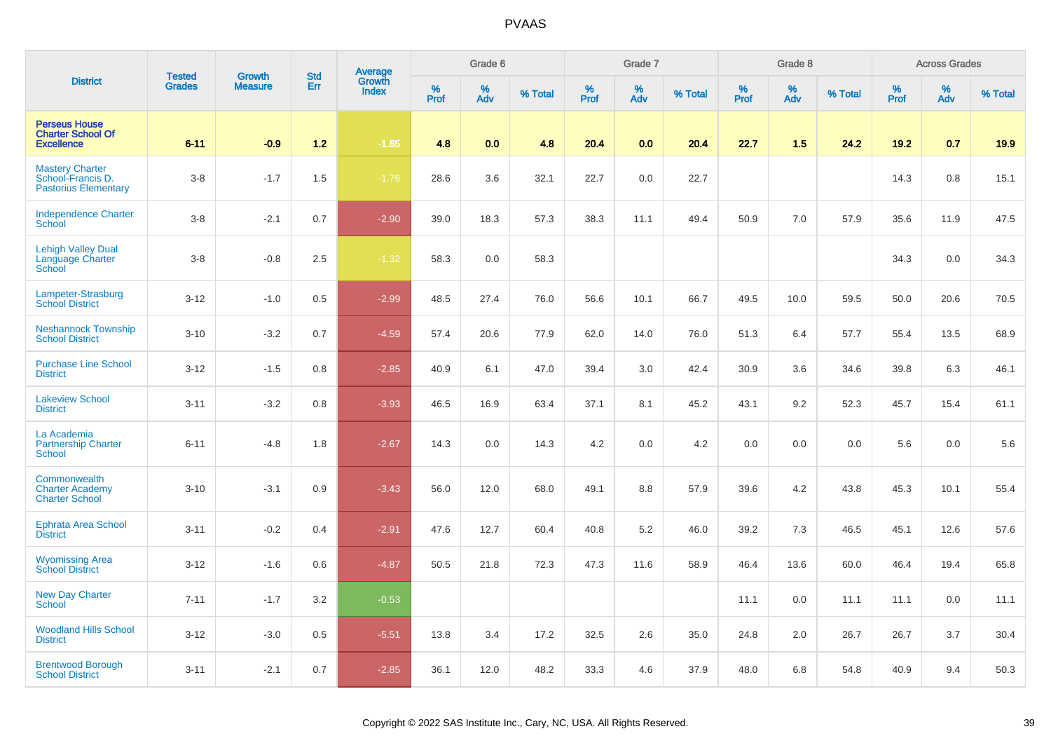|                                                                            |                                |                                 |                   | Average                |              | Grade 6     |         |           | Grade 7  |         |           | Grade 8  |         |           | <b>Across Grades</b> |         |
|----------------------------------------------------------------------------|--------------------------------|---------------------------------|-------------------|------------------------|--------------|-------------|---------|-----------|----------|---------|-----------|----------|---------|-----------|----------------------|---------|
| <b>District</b>                                                            | <b>Tested</b><br><b>Grades</b> | <b>Growth</b><br><b>Measure</b> | <b>Std</b><br>Err | Growth<br><b>Index</b> | $\%$<br>Prof | $\%$<br>Adv | % Total | %<br>Prof | %<br>Adv | % Total | %<br>Prof | %<br>Adv | % Total | %<br>Prof | %<br>Adv             | % Total |
| <b>Perseus House</b><br><b>Charter School Of</b><br><b>Excellence</b>      | $6 - 11$                       | $-0.9$                          | $1.2$             | $-1.85$                | 4.8          | 0.0         | 4.8     | 20.4      | 0.0      | 20.4    | 22.7      | 1.5      | 24.2    | 19.2      | 0.7                  | 19.9    |
| <b>Mastery Charter</b><br>School-Francis D.<br><b>Pastorius Elementary</b> | $3 - 8$                        | $-1.7$                          | 1.5               | $-1.76$                | 28.6         | 3.6         | 32.1    | 22.7      | 0.0      | 22.7    |           |          |         | 14.3      | 0.8                  | 15.1    |
| <b>Independence Charter</b><br>School                                      | $3 - 8$                        | $-2.1$                          | 0.7               | $-2.90$                | 39.0         | 18.3        | 57.3    | 38.3      | 11.1     | 49.4    | 50.9      | 7.0      | 57.9    | 35.6      | 11.9                 | 47.5    |
| <b>Lehigh Valley Dual</b><br><b>Language Charter</b><br>School             | $3 - 8$                        | $-0.8$                          | 2.5               | $-1.32$                | 58.3         | 0.0         | 58.3    |           |          |         |           |          |         | 34.3      | 0.0                  | 34.3    |
| Lampeter-Strasburg<br><b>School District</b>                               | $3 - 12$                       | $-1.0$                          | 0.5               | $-2.99$                | 48.5         | 27.4        | 76.0    | 56.6      | 10.1     | 66.7    | 49.5      | 10.0     | 59.5    | 50.0      | 20.6                 | 70.5    |
| <b>Neshannock Township</b><br><b>School District</b>                       | $3 - 10$                       | $-3.2$                          | 0.7               | $-4.59$                | 57.4         | 20.6        | 77.9    | 62.0      | 14.0     | 76.0    | 51.3      | 6.4      | 57.7    | 55.4      | 13.5                 | 68.9    |
| <b>Purchase Line School</b><br><b>District</b>                             | $3 - 12$                       | $-1.5$                          | 0.8               | $-2.85$                | 40.9         | 6.1         | 47.0    | 39.4      | 3.0      | 42.4    | 30.9      | 3.6      | 34.6    | 39.8      | 6.3                  | 46.1    |
| <b>Lakeview School</b><br><b>District</b>                                  | $3 - 11$                       | $-3.2$                          | 0.8               | $-3.93$                | 46.5         | 16.9        | 63.4    | 37.1      | 8.1      | 45.2    | 43.1      | 9.2      | 52.3    | 45.7      | 15.4                 | 61.1    |
| La Academia<br><b>Partnership Charter</b><br><b>School</b>                 | $6 - 11$                       | $-4.8$                          | 1.8               | $-2.67$                | 14.3         | 0.0         | 14.3    | 4.2       | 0.0      | 4.2     | 0.0       | 0.0      | 0.0     | 5.6       | 0.0                  | 5.6     |
| Commonwealth<br><b>Charter Academy</b><br><b>Charter School</b>            | $3 - 10$                       | $-3.1$                          | 0.9               | $-3.43$                | 56.0         | 12.0        | 68.0    | 49.1      | 8.8      | 57.9    | 39.6      | 4.2      | 43.8    | 45.3      | 10.1                 | 55.4    |
| <b>Ephrata Area School</b><br><b>District</b>                              | $3 - 11$                       | $-0.2$                          | 0.4               | $-2.91$                | 47.6         | 12.7        | 60.4    | 40.8      | $5.2\,$  | 46.0    | 39.2      | 7.3      | 46.5    | 45.1      | 12.6                 | 57.6    |
| <b>Wyomissing Area</b><br><b>School District</b>                           | $3 - 12$                       | $-1.6$                          | 0.6               | $-4.87$                | 50.5         | 21.8        | 72.3    | 47.3      | 11.6     | 58.9    | 46.4      | 13.6     | 60.0    | 46.4      | 19.4                 | 65.8    |
| <b>New Day Charter</b><br><b>School</b>                                    | $7 - 11$                       | $-1.7$                          | 3.2               | $-0.53$                |              |             |         |           |          |         | 11.1      | 0.0      | 11.1    | 11.1      | 0.0                  | 11.1    |
| <b>Woodland Hills School</b><br><b>District</b>                            | $3 - 12$                       | $-3.0$                          | 0.5               | $-5.51$                | 13.8         | 3.4         | 17.2    | 32.5      | 2.6      | 35.0    | 24.8      | 2.0      | 26.7    | 26.7      | 3.7                  | 30.4    |
| <b>Brentwood Borough</b><br><b>School District</b>                         | $3 - 11$                       | $-2.1$                          | 0.7               | $-2.85$                | 36.1         | 12.0        | 48.2    | 33.3      | 4.6      | 37.9    | 48.0      | 6.8      | 54.8    | 40.9      | 9.4                  | 50.3    |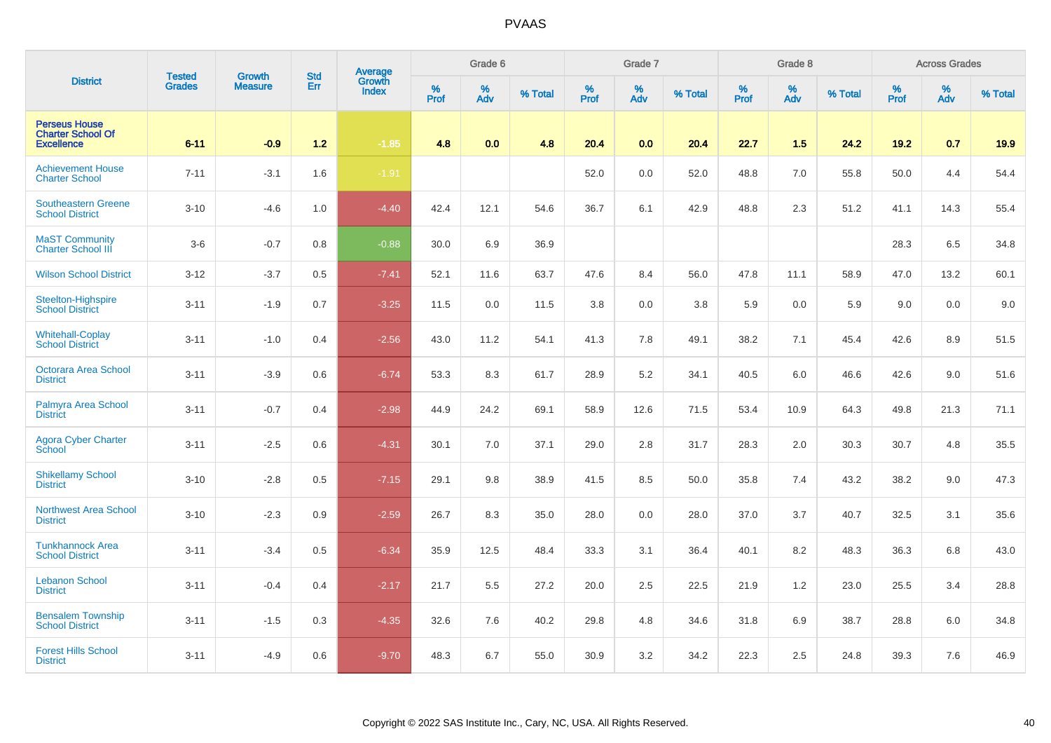|                                                                       |                                | <b>Growth</b>  | <b>Std</b> |                                          |                     | Grade 6  |         |                     | Grade 7  |         |                     | Grade 8     |         |                     | <b>Across Grades</b> |         |
|-----------------------------------------------------------------------|--------------------------------|----------------|------------|------------------------------------------|---------------------|----------|---------|---------------------|----------|---------|---------------------|-------------|---------|---------------------|----------------------|---------|
| <b>District</b>                                                       | <b>Tested</b><br><b>Grades</b> | <b>Measure</b> | Err        | <b>Average</b><br>Growth<br><b>Index</b> | $\%$<br><b>Prof</b> | %<br>Adv | % Total | $\%$<br><b>Prof</b> | %<br>Adv | % Total | $\%$<br><b>Prof</b> | $\%$<br>Adv | % Total | $\%$<br><b>Prof</b> | $\%$<br>Adv          | % Total |
| <b>Perseus House</b><br><b>Charter School Of</b><br><b>Excellence</b> | $6 - 11$                       | $-0.9$         | $1.2$      | $-1.85$                                  | 4.8                 | 0.0      | 4.8     | 20.4                | 0.0      | 20.4    | 22.7                | 1.5         | 24.2    | 19.2                | 0.7                  | 19.9    |
| <b>Achievement House</b><br><b>Charter School</b>                     | $7 - 11$                       | $-3.1$         | 1.6        | $-1.91$                                  |                     |          |         | 52.0                | 0.0      | 52.0    | 48.8                | 7.0         | 55.8    | 50.0                | 4.4                  | 54.4    |
| <b>Southeastern Greene</b><br><b>School District</b>                  | $3 - 10$                       | $-4.6$         | 1.0        | $-4.40$                                  | 42.4                | 12.1     | 54.6    | 36.7                | 6.1      | 42.9    | 48.8                | 2.3         | 51.2    | 41.1                | 14.3                 | 55.4    |
| <b>MaST Community</b><br><b>Charter School III</b>                    | $3-6$                          | $-0.7$         | 0.8        | $-0.88$                                  | 30.0                | 6.9      | 36.9    |                     |          |         |                     |             |         | 28.3                | 6.5                  | 34.8    |
| <b>Wilson School District</b>                                         | $3 - 12$                       | $-3.7$         | 0.5        | $-7.41$                                  | 52.1                | 11.6     | 63.7    | 47.6                | 8.4      | 56.0    | 47.8                | 11.1        | 58.9    | 47.0                | 13.2                 | 60.1    |
| Steelton-Highspire<br><b>School District</b>                          | $3 - 11$                       | $-1.9$         | 0.7        | $-3.25$                                  | 11.5                | 0.0      | 11.5    | 3.8                 | 0.0      | 3.8     | 5.9                 | 0.0         | 5.9     | 9.0                 | 0.0                  | 9.0     |
| <b>Whitehall-Coplay</b><br><b>School District</b>                     | $3 - 11$                       | $-1.0$         | 0.4        | $-2.56$                                  | 43.0                | 11.2     | 54.1    | 41.3                | 7.8      | 49.1    | 38.2                | 7.1         | 45.4    | 42.6                | 8.9                  | 51.5    |
| <b>Octorara Area School</b><br><b>District</b>                        | $3 - 11$                       | $-3.9$         | 0.6        | $-6.74$                                  | 53.3                | 8.3      | 61.7    | 28.9                | 5.2      | 34.1    | 40.5                | 6.0         | 46.6    | 42.6                | 9.0                  | 51.6    |
| Palmyra Area School<br><b>District</b>                                | $3 - 11$                       | $-0.7$         | 0.4        | $-2.98$                                  | 44.9                | 24.2     | 69.1    | 58.9                | 12.6     | 71.5    | 53.4                | 10.9        | 64.3    | 49.8                | 21.3                 | 71.1    |
| <b>Agora Cyber Charter</b><br>School                                  | $3 - 11$                       | $-2.5$         | 0.6        | $-4.31$                                  | 30.1                | 7.0      | 37.1    | 29.0                | 2.8      | 31.7    | 28.3                | 2.0         | 30.3    | 30.7                | 4.8                  | 35.5    |
| <b>Shikellamy School</b><br><b>District</b>                           | $3 - 10$                       | $-2.8$         | 0.5        | $-7.15$                                  | 29.1                | 9.8      | 38.9    | 41.5                | 8.5      | 50.0    | 35.8                | 7.4         | 43.2    | 38.2                | 9.0                  | 47.3    |
| <b>Northwest Area School</b><br><b>District</b>                       | $3 - 10$                       | $-2.3$         | 0.9        | $-2.59$                                  | 26.7                | 8.3      | 35.0    | 28.0                | 0.0      | 28.0    | 37.0                | 3.7         | 40.7    | 32.5                | 3.1                  | 35.6    |
| <b>Tunkhannock Area</b><br><b>School District</b>                     | $3 - 11$                       | $-3.4$         | 0.5        | $-6.34$                                  | 35.9                | 12.5     | 48.4    | 33.3                | 3.1      | 36.4    | 40.1                | 8.2         | 48.3    | 36.3                | 6.8                  | 43.0    |
| <b>Lebanon School</b><br><b>District</b>                              | $3 - 11$                       | $-0.4$         | 0.4        | $-2.17$                                  | 21.7                | 5.5      | 27.2    | 20.0                | 2.5      | 22.5    | 21.9                | 1.2         | 23.0    | 25.5                | 3.4                  | 28.8    |
| <b>Bensalem Township</b><br><b>School District</b>                    | $3 - 11$                       | $-1.5$         | 0.3        | $-4.35$                                  | 32.6                | 7.6      | 40.2    | 29.8                | 4.8      | 34.6    | 31.8                | 6.9         | 38.7    | 28.8                | 6.0                  | 34.8    |
| <b>Forest Hills School</b><br><b>District</b>                         | $3 - 11$                       | $-4.9$         | 0.6        | $-9.70$                                  | 48.3                | 6.7      | 55.0    | 30.9                | 3.2      | 34.2    | 22.3                | 2.5         | 24.8    | 39.3                | 7.6                  | 46.9    |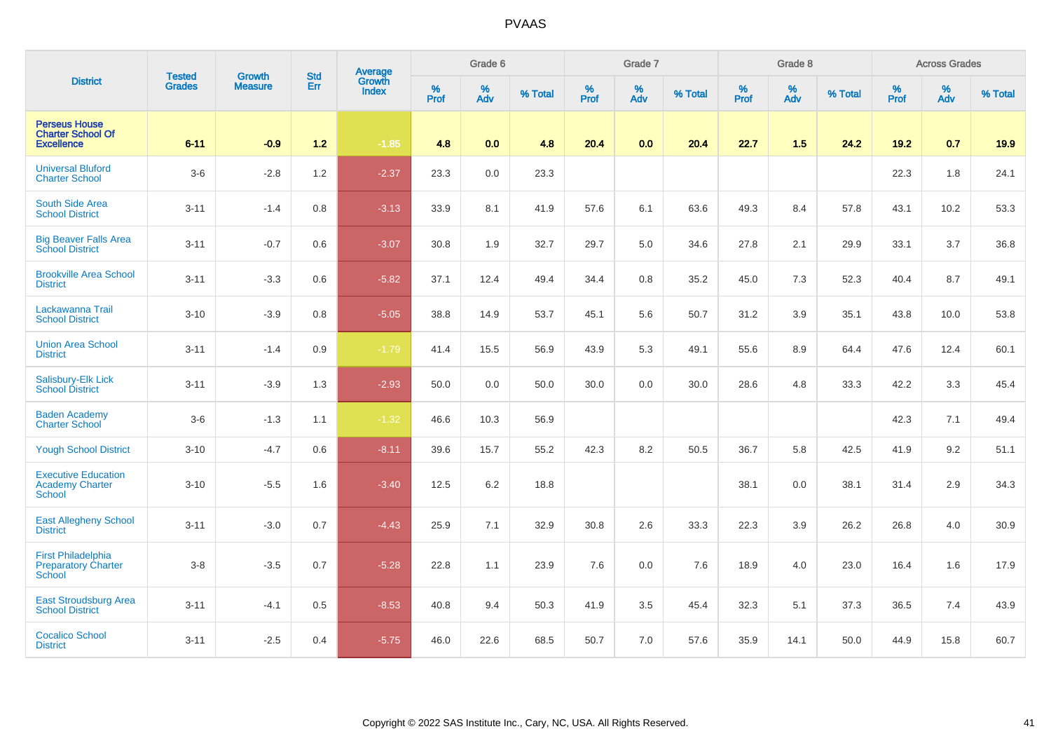|                                                                       | <b>Tested</b> | <b>Growth</b>  | Average<br>Growth<br><b>Std</b> |              |                     | Grade 6     |         |                  | Grade 7  |         |                  | Grade 8     |         |                  | <b>Across Grades</b> |         |
|-----------------------------------------------------------------------|---------------|----------------|---------------------------------|--------------|---------------------|-------------|---------|------------------|----------|---------|------------------|-------------|---------|------------------|----------------------|---------|
| <b>District</b>                                                       | <b>Grades</b> | <b>Measure</b> | Err                             | <b>Index</b> | $\%$<br><b>Prof</b> | $\%$<br>Adv | % Total | %<br><b>Prof</b> | %<br>Adv | % Total | %<br><b>Prof</b> | $\%$<br>Adv | % Total | %<br><b>Prof</b> | %<br>Adv             | % Total |
| <b>Perseus House</b><br><b>Charter School Of</b><br><b>Excellence</b> | $6 - 11$      | $-0.9$         | $1.2$                           | $-1.85$      | 4.8                 | 0.0         | 4.8     | 20.4             | 0.0      | 20.4    | 22.7             | 1.5         | 24.2    | 19.2             | 0.7                  | 19.9    |
| <b>Universal Bluford</b><br><b>Charter School</b>                     | $3-6$         | $-2.8$         | 1.2                             | $-2.37$      | 23.3                | 0.0         | 23.3    |                  |          |         |                  |             |         | 22.3             | 1.8                  | 24.1    |
| <b>South Side Area</b><br><b>School District</b>                      | $3 - 11$      | $-1.4$         | $0.8\,$                         | $-3.13$      | 33.9                | 8.1         | 41.9    | 57.6             | 6.1      | 63.6    | 49.3             | 8.4         | 57.8    | 43.1             | 10.2                 | 53.3    |
| <b>Big Beaver Falls Area</b><br><b>School District</b>                | $3 - 11$      | $-0.7$         | 0.6                             | $-3.07$      | 30.8                | 1.9         | 32.7    | 29.7             | 5.0      | 34.6    | 27.8             | 2.1         | 29.9    | 33.1             | 3.7                  | 36.8    |
| <b>Brookville Area School</b><br><b>District</b>                      | $3 - 11$      | $-3.3$         | 0.6                             | $-5.82$      | 37.1                | 12.4        | 49.4    | 34.4             | 0.8      | 35.2    | 45.0             | 7.3         | 52.3    | 40.4             | 8.7                  | 49.1    |
| Lackawanna Trail<br><b>School District</b>                            | $3 - 10$      | $-3.9$         | 0.8                             | $-5.05$      | 38.8                | 14.9        | 53.7    | 45.1             | 5.6      | 50.7    | 31.2             | 3.9         | 35.1    | 43.8             | 10.0                 | 53.8    |
| <b>Union Area School</b><br><b>District</b>                           | $3 - 11$      | $-1.4$         | 0.9                             | $-1.79$      | 41.4                | 15.5        | 56.9    | 43.9             | 5.3      | 49.1    | 55.6             | 8.9         | 64.4    | 47.6             | 12.4                 | 60.1    |
| Salisbury-Elk Lick<br><b>School District</b>                          | $3 - 11$      | $-3.9$         | 1.3                             | $-2.93$      | 50.0                | 0.0         | 50.0    | 30.0             | 0.0      | 30.0    | 28.6             | 4.8         | 33.3    | 42.2             | 3.3                  | 45.4    |
| <b>Baden Academy</b><br><b>Charter School</b>                         | $3-6$         | $-1.3$         | 1.1                             | $-1.32$      | 46.6                | 10.3        | 56.9    |                  |          |         |                  |             |         | 42.3             | 7.1                  | 49.4    |
| <b>Yough School District</b>                                          | $3 - 10$      | $-4.7$         | 0.6                             | $-8.11$      | 39.6                | 15.7        | 55.2    | 42.3             | 8.2      | 50.5    | 36.7             | 5.8         | 42.5    | 41.9             | 9.2                  | 51.1    |
| <b>Executive Education</b><br><b>Academy Charter</b><br><b>School</b> | $3 - 10$      | $-5.5$         | 1.6                             | $-3.40$      | 12.5                | 6.2         | 18.8    |                  |          |         | 38.1             | 0.0         | 38.1    | 31.4             | 2.9                  | 34.3    |
| <b>East Allegheny School</b><br><b>District</b>                       | $3 - 11$      | $-3.0$         | 0.7                             | $-4.43$      | 25.9                | 7.1         | 32.9    | 30.8             | 2.6      | 33.3    | 22.3             | 3.9         | 26.2    | 26.8             | 4.0                  | 30.9    |
| <b>First Philadelphia</b><br><b>Preparatory Charter</b><br>School     | $3 - 8$       | $-3.5$         | 0.7                             | $-5.28$      | 22.8                | 1.1         | 23.9    | 7.6              | 0.0      | 7.6     | 18.9             | 4.0         | 23.0    | 16.4             | 1.6                  | 17.9    |
| <b>East Stroudsburg Area</b><br><b>School District</b>                | $3 - 11$      | $-4.1$         | 0.5                             | $-8.53$      | 40.8                | 9.4         | 50.3    | 41.9             | 3.5      | 45.4    | 32.3             | 5.1         | 37.3    | 36.5             | 7.4                  | 43.9    |
| <b>Cocalico School</b><br><b>District</b>                             | $3 - 11$      | $-2.5$         | 0.4                             | $-5.75$      | 46.0                | 22.6        | 68.5    | 50.7             | 7.0      | 57.6    | 35.9             | 14.1        | 50.0    | 44.9             | 15.8                 | 60.7    |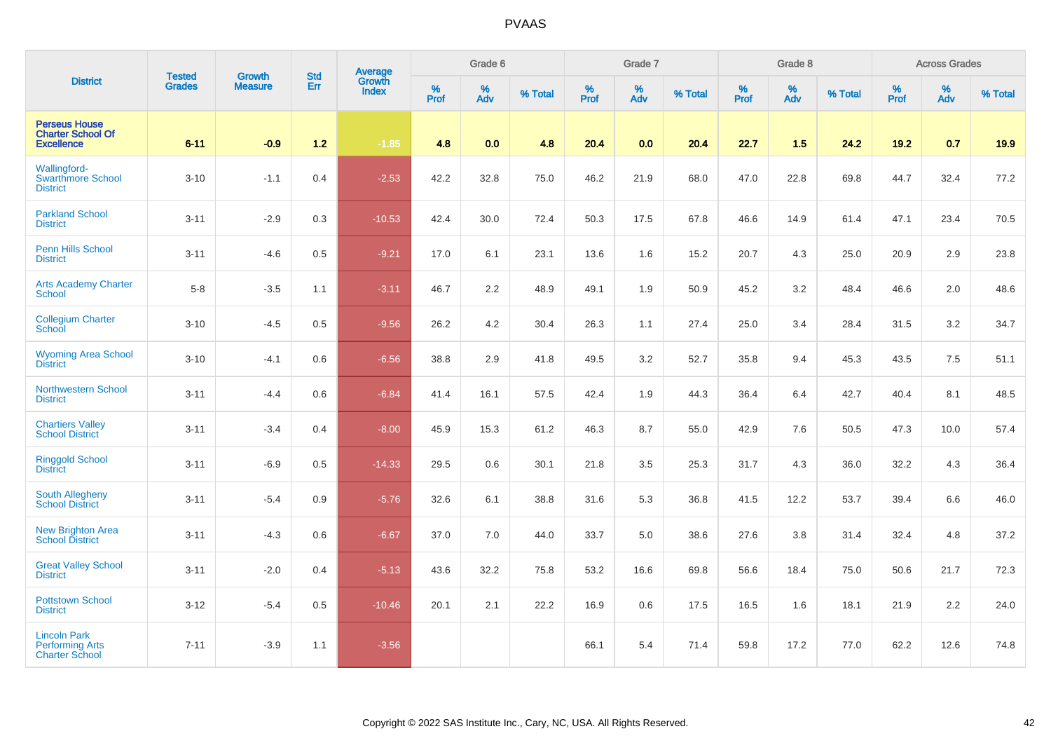|                                                                        | <b>Tested</b> |                | <b>Std</b><br><b>Growth</b> |                                   |              | Grade 6  |         |           | Grade 7  |         |           | Grade 8                       |         |           | <b>Across Grades</b> |         |
|------------------------------------------------------------------------|---------------|----------------|-----------------------------|-----------------------------------|--------------|----------|---------|-----------|----------|---------|-----------|-------------------------------|---------|-----------|----------------------|---------|
| <b>District</b>                                                        | <b>Grades</b> | <b>Measure</b> | Err                         | Average<br>Growth<br><b>Index</b> | $\%$<br>Prof | %<br>Adv | % Total | %<br>Prof | %<br>Adv | % Total | %<br>Prof | $\stackrel{\%}{\mathsf{Adv}}$ | % Total | %<br>Prof | %<br>Adv             | % Total |
| <b>Perseus House</b><br><b>Charter School Of</b><br><b>Excellence</b>  | $6 - 11$      | $-0.9$         | $1.2$                       | $-1.85$                           | 4.8          | 0.0      | 4.8     | 20.4      | 0.0      | 20.4    | 22.7      | 1.5                           | 24.2    | $19.2$    | 0.7                  | 19.9    |
| <b>Wallingford-</b><br><b>Swarthmore School</b><br><b>District</b>     | $3 - 10$      | $-1.1$         | 0.4                         | $-2.53$                           | 42.2         | 32.8     | 75.0    | 46.2      | 21.9     | 68.0    | 47.0      | 22.8                          | 69.8    | 44.7      | 32.4                 | 77.2    |
| <b>Parkland School</b><br><b>District</b>                              | $3 - 11$      | $-2.9$         | 0.3                         | $-10.53$                          | 42.4         | 30.0     | 72.4    | 50.3      | 17.5     | 67.8    | 46.6      | 14.9                          | 61.4    | 47.1      | 23.4                 | 70.5    |
| <b>Penn Hills School</b><br><b>District</b>                            | $3 - 11$      | $-4.6$         | 0.5                         | $-9.21$                           | 17.0         | 6.1      | 23.1    | 13.6      | 1.6      | 15.2    | 20.7      | 4.3                           | 25.0    | 20.9      | 2.9                  | 23.8    |
| <b>Arts Academy Charter</b><br><b>School</b>                           | $5-8$         | $-3.5$         | 1.1                         | $-3.11$                           | 46.7         | 2.2      | 48.9    | 49.1      | 1.9      | 50.9    | 45.2      | 3.2                           | 48.4    | 46.6      | 2.0                  | 48.6    |
| <b>Collegium Charter</b><br>School                                     | $3 - 10$      | $-4.5$         | 0.5                         | $-9.56$                           | 26.2         | 4.2      | 30.4    | 26.3      | 1.1      | 27.4    | 25.0      | 3.4                           | 28.4    | 31.5      | 3.2                  | 34.7    |
| <b>Wyoming Area School</b><br><b>District</b>                          | $3 - 10$      | $-4.1$         | 0.6                         | $-6.56$                           | 38.8         | 2.9      | 41.8    | 49.5      | 3.2      | 52.7    | 35.8      | 9.4                           | 45.3    | 43.5      | 7.5                  | 51.1    |
| Northwestern School<br><b>District</b>                                 | $3 - 11$      | $-4.4$         | 0.6                         | $-6.84$                           | 41.4         | 16.1     | 57.5    | 42.4      | 1.9      | 44.3    | 36.4      | 6.4                           | 42.7    | 40.4      | 8.1                  | 48.5    |
| <b>Chartiers Valley</b><br><b>School District</b>                      | $3 - 11$      | $-3.4$         | 0.4                         | $-8.00$                           | 45.9         | 15.3     | 61.2    | 46.3      | 8.7      | 55.0    | 42.9      | 7.6                           | 50.5    | 47.3      | 10.0                 | 57.4    |
| <b>Ringgold School</b><br><b>District</b>                              | $3 - 11$      | $-6.9$         | 0.5                         | $-14.33$                          | 29.5         | 0.6      | 30.1    | 21.8      | 3.5      | 25.3    | 31.7      | 4.3                           | 36.0    | 32.2      | 4.3                  | 36.4    |
| South Allegheny<br><b>School District</b>                              | $3 - 11$      | $-5.4$         | 0.9                         | $-5.76$                           | 32.6         | 6.1      | 38.8    | 31.6      | 5.3      | 36.8    | 41.5      | 12.2                          | 53.7    | 39.4      | 6.6                  | 46.0    |
| <b>New Brighton Area</b><br>School District                            | $3 - 11$      | $-4.3$         | 0.6                         | $-6.67$                           | 37.0         | 7.0      | 44.0    | 33.7      | 5.0      | 38.6    | 27.6      | 3.8                           | 31.4    | 32.4      | 4.8                  | 37.2    |
| <b>Great Valley School</b><br><b>District</b>                          | $3 - 11$      | $-2.0$         | 0.4                         | $-5.13$                           | 43.6         | 32.2     | 75.8    | 53.2      | 16.6     | 69.8    | 56.6      | 18.4                          | 75.0    | 50.6      | 21.7                 | 72.3    |
| <b>Pottstown School</b><br><b>District</b>                             | $3 - 12$      | $-5.4$         | $0.5\,$                     | $-10.46$                          | 20.1         | 2.1      | 22.2    | 16.9      | 0.6      | 17.5    | 16.5      | 1.6                           | 18.1    | 21.9      | 2.2                  | 24.0    |
| <b>Lincoln Park</b><br><b>Performing Arts</b><br><b>Charter School</b> | $7 - 11$      | $-3.9$         | 1.1                         | $-3.56$                           |              |          |         | 66.1      | 5.4      | 71.4    | 59.8      | 17.2                          | 77.0    | 62.2      | 12.6                 | 74.8    |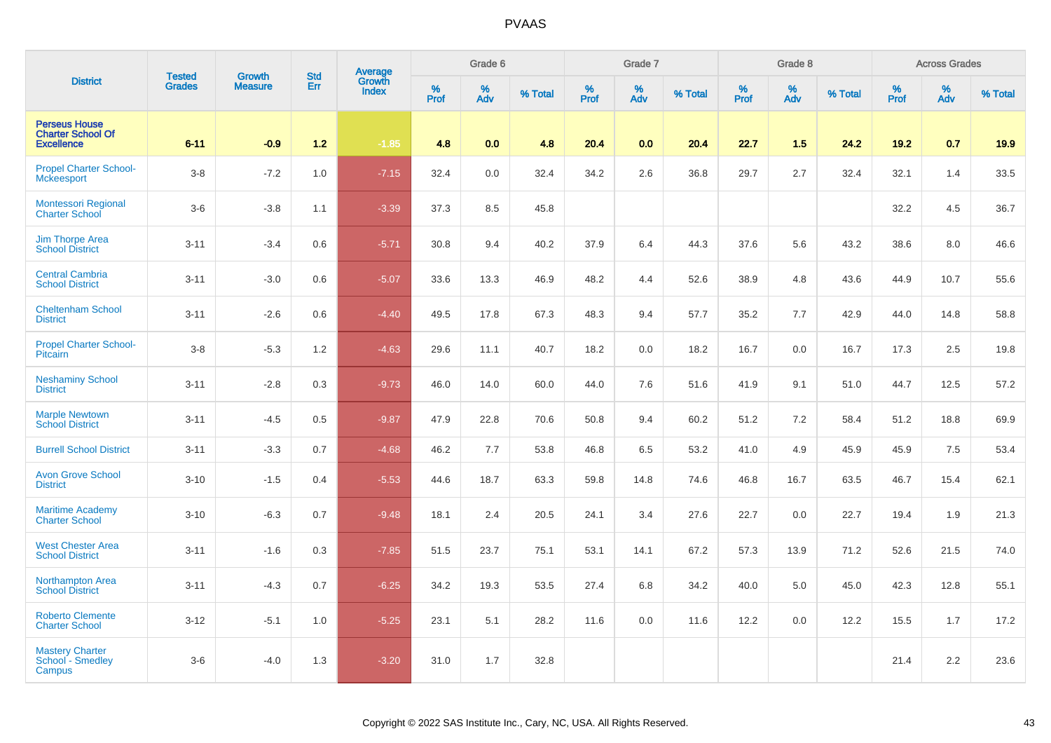|                                                                       | <b>Tested</b> | <b>Growth</b>  | <b>Std</b> | <b>Average</b><br>Growth |           | Grade 6  |         |           | Grade 7  |         |              | Grade 8  |         |           | <b>Across Grades</b> |         |
|-----------------------------------------------------------------------|---------------|----------------|------------|--------------------------|-----------|----------|---------|-----------|----------|---------|--------------|----------|---------|-----------|----------------------|---------|
| <b>District</b>                                                       | <b>Grades</b> | <b>Measure</b> | Err        | <b>Index</b>             | %<br>Prof | %<br>Adv | % Total | %<br>Prof | %<br>Adv | % Total | $\%$<br>Prof | %<br>Adv | % Total | %<br>Prof | %<br>Adv             | % Total |
| <b>Perseus House</b><br><b>Charter School Of</b><br><b>Excellence</b> | $6 - 11$      | $-0.9$         | $1.2$      | $-1.85$                  | 4.8       | 0.0      | 4.8     | 20.4      | 0.0      | 20.4    | 22.7         | 1.5      | 24.2    | 19.2      | 0.7                  | 19.9    |
| <b>Propel Charter School-</b><br><b>Mckeesport</b>                    | $3-8$         | $-7.2$         | 1.0        | $-7.15$                  | 32.4      | 0.0      | 32.4    | 34.2      | 2.6      | 36.8    | 29.7         | 2.7      | 32.4    | 32.1      | 1.4                  | 33.5    |
| <b>Montessori Regional</b><br><b>Charter School</b>                   | $3-6$         | $-3.8$         | 1.1        | $-3.39$                  | 37.3      | 8.5      | 45.8    |           |          |         |              |          |         | 32.2      | 4.5                  | 36.7    |
| <b>Jim Thorpe Area</b><br><b>School District</b>                      | $3 - 11$      | $-3.4$         | 0.6        | $-5.71$                  | 30.8      | 9.4      | 40.2    | 37.9      | 6.4      | 44.3    | 37.6         | 5.6      | 43.2    | 38.6      | 8.0                  | 46.6    |
| <b>Central Cambria</b><br><b>School District</b>                      | $3 - 11$      | $-3.0$         | 0.6        | $-5.07$                  | 33.6      | 13.3     | 46.9    | 48.2      | 4.4      | 52.6    | 38.9         | 4.8      | 43.6    | 44.9      | 10.7                 | 55.6    |
| <b>Cheltenham School</b><br><b>District</b>                           | $3 - 11$      | $-2.6$         | 0.6        | $-4.40$                  | 49.5      | 17.8     | 67.3    | 48.3      | 9.4      | 57.7    | 35.2         | 7.7      | 42.9    | 44.0      | 14.8                 | 58.8    |
| <b>Propel Charter School-</b><br><b>Pitcairn</b>                      | $3-8$         | $-5.3$         | 1.2        | $-4.63$                  | 29.6      | 11.1     | 40.7    | 18.2      | 0.0      | 18.2    | 16.7         | 0.0      | 16.7    | 17.3      | 2.5                  | 19.8    |
| <b>Neshaminy School</b><br><b>District</b>                            | $3 - 11$      | $-2.8$         | 0.3        | $-9.73$                  | 46.0      | 14.0     | 60.0    | 44.0      | 7.6      | 51.6    | 41.9         | 9.1      | 51.0    | 44.7      | 12.5                 | 57.2    |
| <b>Marple Newtown</b><br><b>School District</b>                       | $3 - 11$      | $-4.5$         | 0.5        | $-9.87$                  | 47.9      | 22.8     | 70.6    | 50.8      | 9.4      | 60.2    | 51.2         | 7.2      | 58.4    | 51.2      | 18.8                 | 69.9    |
| <b>Burrell School District</b>                                        | $3 - 11$      | $-3.3$         | 0.7        | $-4.68$                  | 46.2      | 7.7      | 53.8    | 46.8      | 6.5      | 53.2    | 41.0         | 4.9      | 45.9    | 45.9      | 7.5                  | 53.4    |
| <b>Avon Grove School</b><br><b>District</b>                           | $3 - 10$      | $-1.5$         | 0.4        | $-5.53$                  | 44.6      | 18.7     | 63.3    | 59.8      | 14.8     | 74.6    | 46.8         | 16.7     | 63.5    | 46.7      | 15.4                 | 62.1    |
| <b>Maritime Academy</b><br><b>Charter School</b>                      | $3 - 10$      | $-6.3$         | 0.7        | $-9.48$                  | 18.1      | 2.4      | 20.5    | 24.1      | 3.4      | 27.6    | 22.7         | 0.0      | 22.7    | 19.4      | 1.9                  | 21.3    |
| <b>West Chester Area</b><br><b>School District</b>                    | $3 - 11$      | $-1.6$         | 0.3        | $-7.85$                  | 51.5      | 23.7     | 75.1    | 53.1      | 14.1     | 67.2    | 57.3         | 13.9     | 71.2    | 52.6      | 21.5                 | 74.0    |
| Northampton Area<br><b>School District</b>                            | $3 - 11$      | $-4.3$         | 0.7        | $-6.25$                  | 34.2      | 19.3     | 53.5    | 27.4      | 6.8      | 34.2    | 40.0         | 5.0      | 45.0    | 42.3      | 12.8                 | 55.1    |
| <b>Roberto Clemente</b><br><b>Charter School</b>                      | $3 - 12$      | $-5.1$         | 1.0        | $-5.25$                  | 23.1      | 5.1      | 28.2    | 11.6      | 0.0      | 11.6    | 12.2         | 0.0      | 12.2    | 15.5      | 1.7                  | 17.2    |
| <b>Mastery Charter</b><br>School - Smedley<br>Campus                  | $3-6$         | $-4.0$         | 1.3        | $-3.20$                  | 31.0      | 1.7      | 32.8    |           |          |         |              |          |         | 21.4      | 2.2                  | 23.6    |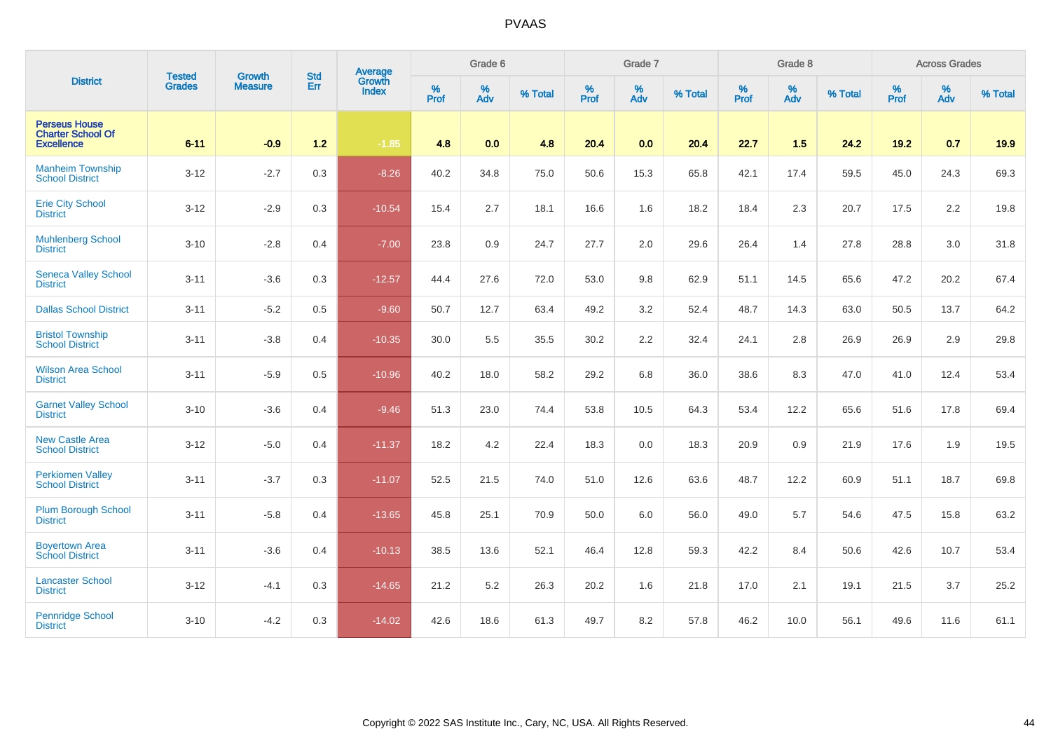|                                                                       | <b>Tested</b> | <b>Growth</b>  | Average<br><b>Std</b><br>Growth |              | Grade 6      |          |         | Grade 7   |          |         | Grade 8   |          |         | <b>Across Grades</b> |          |         |
|-----------------------------------------------------------------------|---------------|----------------|---------------------------------|--------------|--------------|----------|---------|-----------|----------|---------|-----------|----------|---------|----------------------|----------|---------|
| <b>District</b>                                                       | <b>Grades</b> | <b>Measure</b> | Err                             | <b>Index</b> | $\%$<br>Prof | %<br>Adv | % Total | %<br>Prof | %<br>Adv | % Total | %<br>Prof | %<br>Adv | % Total | %<br>Prof            | %<br>Adv | % Total |
| <b>Perseus House</b><br><b>Charter School Of</b><br><b>Excellence</b> | $6 - 11$      | $-0.9$         | $1.2$                           | $-1.85$      | 4.8          | 0.0      | 4.8     | 20.4      | 0.0      | 20.4    | 22.7      | 1.5      | 24.2    | 19.2                 | 0.7      | 19.9    |
| <b>Manheim Township</b><br><b>School District</b>                     | $3 - 12$      | $-2.7$         | 0.3                             | $-8.26$      | 40.2         | 34.8     | 75.0    | 50.6      | 15.3     | 65.8    | 42.1      | 17.4     | 59.5    | 45.0                 | 24.3     | 69.3    |
| <b>Erie City School</b><br><b>District</b>                            | $3 - 12$      | $-2.9$         | 0.3                             | $-10.54$     | 15.4         | 2.7      | 18.1    | 16.6      | 1.6      | 18.2    | 18.4      | 2.3      | 20.7    | 17.5                 | 2.2      | 19.8    |
| <b>Muhlenberg School</b><br><b>District</b>                           | $3 - 10$      | $-2.8$         | 0.4                             | $-7.00$      | 23.8         | 0.9      | 24.7    | 27.7      | 2.0      | 29.6    | 26.4      | 1.4      | 27.8    | 28.8                 | 3.0      | 31.8    |
| <b>Seneca Valley School</b><br><b>District</b>                        | $3 - 11$      | $-3.6$         | 0.3                             | $-12.57$     | 44.4         | 27.6     | 72.0    | 53.0      | 9.8      | 62.9    | 51.1      | 14.5     | 65.6    | 47.2                 | 20.2     | 67.4    |
| <b>Dallas School District</b>                                         | $3 - 11$      | $-5.2$         | 0.5                             | $-9.60$      | 50.7         | 12.7     | 63.4    | 49.2      | 3.2      | 52.4    | 48.7      | 14.3     | 63.0    | 50.5                 | 13.7     | 64.2    |
| <b>Bristol Township</b><br><b>School District</b>                     | $3 - 11$      | $-3.8$         | 0.4                             | $-10.35$     | 30.0         | 5.5      | 35.5    | 30.2      | 2.2      | 32.4    | 24.1      | 2.8      | 26.9    | 26.9                 | 2.9      | 29.8    |
| <b>Wilson Area School</b><br><b>District</b>                          | $3 - 11$      | $-5.9$         | 0.5                             | $-10.96$     | 40.2         | 18.0     | 58.2    | 29.2      | 6.8      | 36.0    | 38.6      | 8.3      | 47.0    | 41.0                 | 12.4     | 53.4    |
| <b>Garnet Valley School</b><br><b>District</b>                        | $3 - 10$      | $-3.6$         | 0.4                             | $-9.46$      | 51.3         | 23.0     | 74.4    | 53.8      | 10.5     | 64.3    | 53.4      | 12.2     | 65.6    | 51.6                 | 17.8     | 69.4    |
| <b>New Castle Area</b><br><b>School District</b>                      | $3 - 12$      | $-5.0$         | 0.4                             | $-11.37$     | 18.2         | 4.2      | 22.4    | 18.3      | 0.0      | 18.3    | 20.9      | 0.9      | 21.9    | 17.6                 | 1.9      | 19.5    |
| <b>Perkiomen Valley</b><br><b>School District</b>                     | $3 - 11$      | $-3.7$         | 0.3                             | $-11.07$     | 52.5         | 21.5     | 74.0    | 51.0      | 12.6     | 63.6    | 48.7      | 12.2     | 60.9    | 51.1                 | 18.7     | 69.8    |
| <b>Plum Borough School</b><br><b>District</b>                         | $3 - 11$      | $-5.8$         | 0.4                             | $-13.65$     | 45.8         | 25.1     | 70.9    | 50.0      | 6.0      | 56.0    | 49.0      | 5.7      | 54.6    | 47.5                 | 15.8     | 63.2    |
| <b>Boyertown Area</b><br><b>School District</b>                       | $3 - 11$      | $-3.6$         | 0.4                             | $-10.13$     | 38.5         | 13.6     | 52.1    | 46.4      | 12.8     | 59.3    | 42.2      | 8.4      | 50.6    | 42.6                 | 10.7     | 53.4    |
| <b>Lancaster School</b><br><b>District</b>                            | $3 - 12$      | $-4.1$         | 0.3                             | $-14.65$     | 21.2         | 5.2      | 26.3    | 20.2      | 1.6      | 21.8    | 17.0      | 2.1      | 19.1    | 21.5                 | 3.7      | 25.2    |
| <b>Pennridge School</b><br><b>District</b>                            | $3 - 10$      | $-4.2$         | 0.3                             | $-14.02$     | 42.6         | 18.6     | 61.3    | 49.7      | 8.2      | 57.8    | 46.2      | 10.0     | 56.1    | 49.6                 | 11.6     | 61.1    |